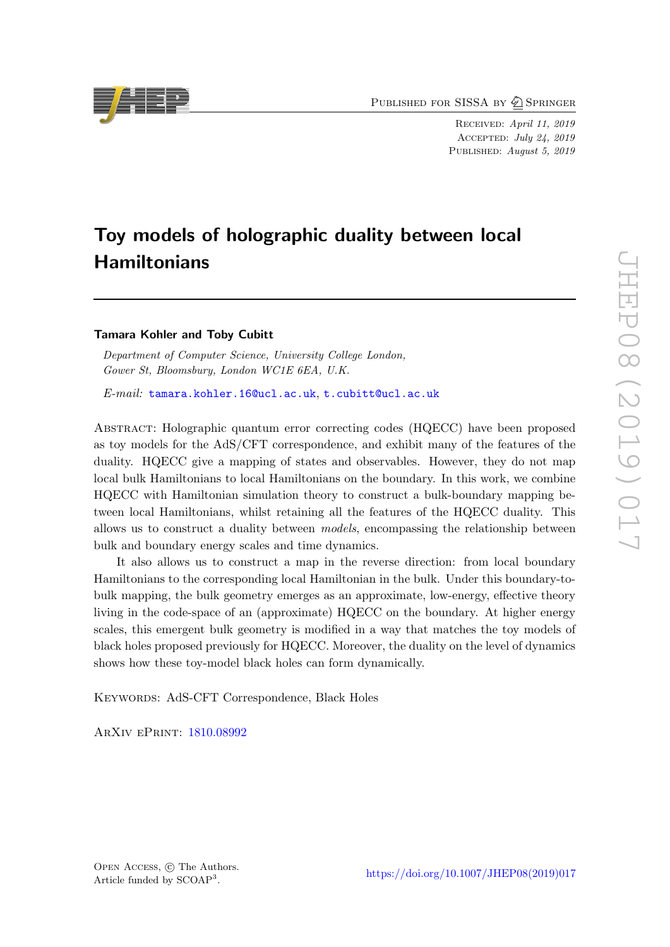PUBLISHED FOR SISSA BY 2 SPRINGER

Received: April 11, 2019 Accepted: July 24, 2019 PUBLISHED: August 5, 2019

# Toy models of holographic duality between local **Hamiltonians**

# Tamara Kohler and Toby Cubitt

Department of Computer Science, University College London, Gower St, Bloomsbury, London WC1E 6EA, U.K.

E-mail: [tamara.kohler.16@ucl.ac.uk](mailto:tamara.kohler.16@ucl.ac.uk), [t.cubitt@ucl.ac.uk](mailto:t.cubitt@ucl.ac.uk)

Abstract: Holographic quantum error correcting codes (HQECC) have been proposed as toy models for the AdS/CFT correspondence, and exhibit many of the features of the duality. HQECC give a mapping of states and observables. However, they do not map local bulk Hamiltonians to local Hamiltonians on the boundary. In this work, we combine HQECC with Hamiltonian simulation theory to construct a bulk-boundary mapping between local Hamiltonians, whilst retaining all the features of the HQECC duality. This allows us to construct a duality between models, encompassing the relationship between bulk and boundary energy scales and time dynamics.

It also allows us to construct a map in the reverse direction: from local boundary Hamiltonians to the corresponding local Hamiltonian in the bulk. Under this boundary-tobulk mapping, the bulk geometry emerges as an approximate, low-energy, effective theory living in the code-space of an (approximate) HQECC on the boundary. At higher energy scales, this emergent bulk geometry is modified in a way that matches the toy models of black holes proposed previously for HQECC. Moreover, the duality on the level of dynamics shows how these toy-model black holes can form dynamically.

KEYWORDS: AdS-CFT Correspondence, Black Holes

ArXiv ePrint: [1810.08992](https://arxiv.org/abs/1810.08992)

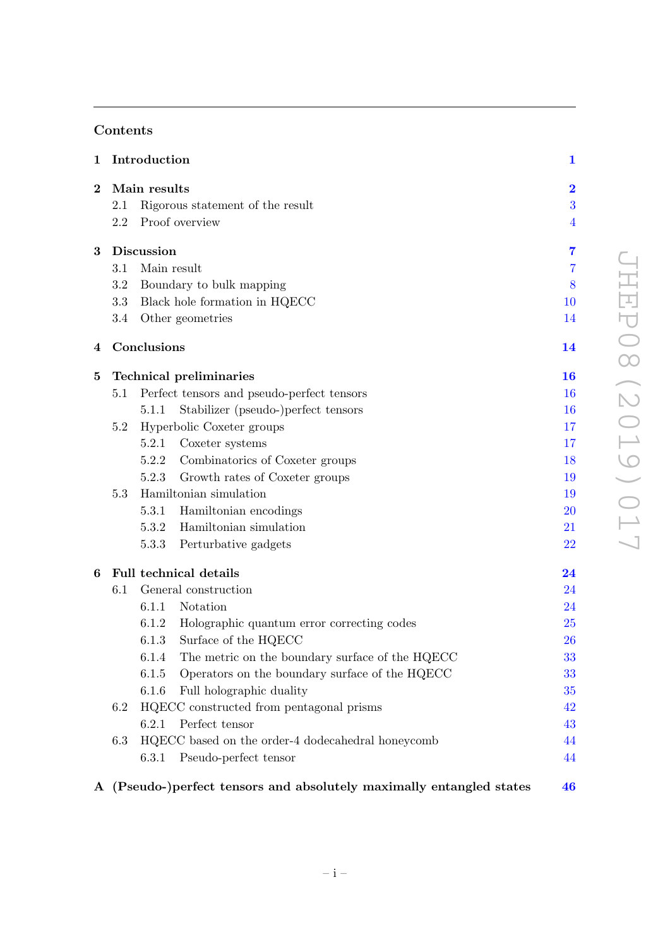# Contents

| $\mathbf 1$ | Introduction                  |                               | $\mathbf{1}$                                                         |                |
|-------------|-------------------------------|-------------------------------|----------------------------------------------------------------------|----------------|
| $\bf{2}$    | Main results                  |                               |                                                                      |                |
|             | 2.1                           |                               | Rigorous statement of the result                                     | 3              |
|             | 2.2                           |                               | Proof overview                                                       | $\overline{4}$ |
| 3           | <b>Discussion</b>             |                               |                                                                      | $\overline{7}$ |
|             | 3.1                           | Main result                   |                                                                      |                |
|             | 3.2                           | Boundary to bulk mapping      |                                                                      |                |
|             | 3.3                           | Black hole formation in HQECC |                                                                      | 10             |
|             | 3.4                           |                               | Other geometries                                                     | 14             |
| 4           |                               | Conclusions                   |                                                                      | 14             |
| $\bf{5}$    |                               |                               | <b>Technical preliminaries</b>                                       | 16             |
|             | 5.1                           |                               | Perfect tensors and pseudo-perfect tensors                           | 16             |
|             |                               | 5.1.1                         | Stabilizer (pseudo-)perfect tensors                                  | 16             |
|             | 5.2                           |                               | Hyperbolic Coxeter groups                                            | 17             |
|             |                               | 5.2.1                         | Coxeter systems                                                      | 17             |
|             |                               | 5.2.2                         | Combinatorics of Coxeter groups                                      | 18             |
|             |                               | 5.2.3                         | Growth rates of Coxeter groups                                       | 19             |
|             | 5.3<br>Hamiltonian simulation |                               |                                                                      | 19             |
|             |                               |                               | 5.3.1 Hamiltonian encodings                                          | 20             |
|             |                               | 5.3.2                         | Hamiltonian simulation                                               | 21             |
|             |                               | 5.3.3                         | Perturbative gadgets                                                 | 22             |
| 6           | <b>Full technical details</b> |                               | 24                                                                   |                |
|             | 6.1                           |                               | General construction                                                 | 24             |
|             |                               | 6.1.1                         | Notation                                                             | 24             |
|             |                               |                               | 6.1.2 Holographic quantum error correcting codes                     | <b>25</b>      |
|             |                               |                               | 6.1.3 Surface of the HQECC                                           | 26             |
|             |                               | 6.1.4                         | The metric on the boundary surface of the HQECC                      | 33             |
|             |                               | 6.1.5                         | Operators on the boundary surface of the HQECC                       | 33             |
|             |                               | 6.1.6                         | Full holographic duality                                             | 35             |
|             | $6.2\,$                       |                               | HQECC constructed from pentagonal prisms                             | 42             |
|             |                               | 6.2.1                         | Perfect tensor                                                       | 43             |
|             | 6.3                           |                               | $\rm HQECC$ based on the order-4 dodecahedral honeycomb              | 44             |
|             |                               | 6.3.1                         | Pseudo-perfect tensor                                                | 44             |
|             |                               |                               | A (Pseudo-)perfect tensors and absolutely maximally entangled states | 46             |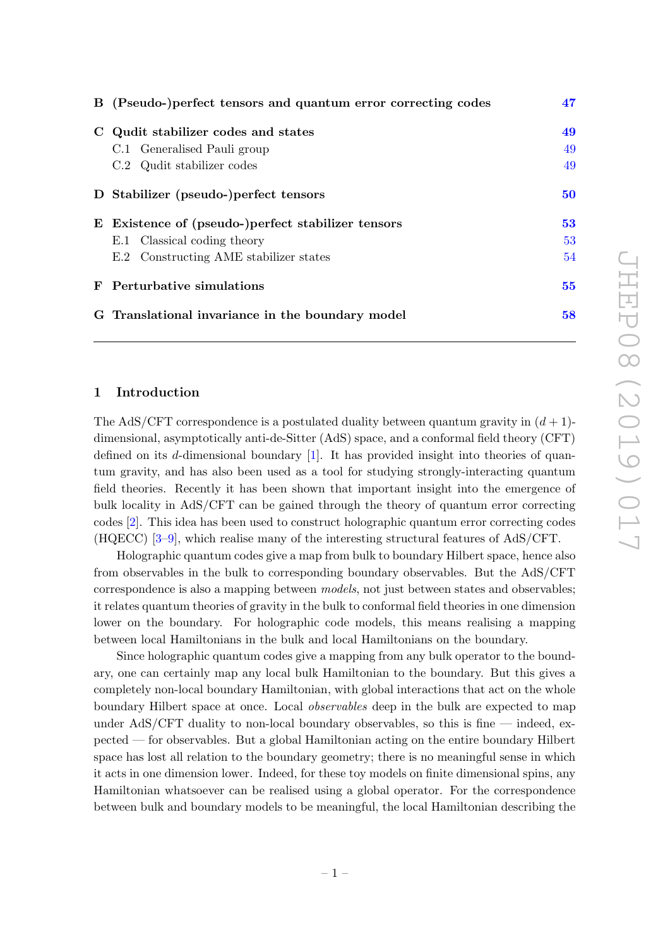| B (Pseudo-)perfect tensors and quantum error correcting codes | 47 |  |
|---------------------------------------------------------------|----|--|
| C Qudit stabilizer codes and states                           | 49 |  |
| C.1 Generalised Pauli group                                   | 49 |  |
| C.2 Qudit stabilizer codes                                    | 49 |  |
| D Stabilizer (pseudo-)perfect tensors                         | 50 |  |
| E Existence of (pseudo-)perfect stabilizer tensors            | 53 |  |
| E.1 Classical coding theory                                   | 53 |  |
| E.2 Constructing AME stabilizer states                        | 54 |  |
| F Perturbative simulations                                    |    |  |
| 58<br>G Translational invariance in the boundary model        |    |  |

# <span id="page-2-0"></span>1 Introduction

The AdS/CFT correspondence is a postulated duality between quantum gravity in  $(d+1)$ dimensional, asymptotically anti-de-Sitter (AdS) space, and a conformal field theory (CFT) defined on its d-dimensional boundary  $[1]$ . It has provided insight into theories of quantum gravity, and has also been used as a tool for studying strongly-interacting quantum field theories. Recently it has been shown that important insight into the emergence of bulk locality in AdS/CFT can be gained through the theory of quantum error correcting codes [\[2\]](#page-61-1). This idea has been used to construct holographic quantum error correcting codes (HQECC) [\[3](#page-61-2)[–9\]](#page-61-3), which realise many of the interesting structural features of AdS/CFT.

Holographic quantum codes give a map from bulk to boundary Hilbert space, hence also from observables in the bulk to corresponding boundary observables. But the AdS/CFT correspondence is also a mapping between *models*, not just between states and observables; it relates quantum theories of gravity in the bulk to conformal field theories in one dimension lower on the boundary. For holographic code models, this means realising a mapping between local Hamiltonians in the bulk and local Hamiltonians on the boundary.

Since holographic quantum codes give a mapping from any bulk operator to the boundary, one can certainly map any local bulk Hamiltonian to the boundary. But this gives a completely non-local boundary Hamiltonian, with global interactions that act on the whole boundary Hilbert space at once. Local observables deep in the bulk are expected to map under AdS/CFT duality to non-local boundary observables, so this is fine — indeed, expected — for observables. But a global Hamiltonian acting on the entire boundary Hilbert space has lost all relation to the boundary geometry; there is no meaningful sense in which it acts in one dimension lower. Indeed, for these toy models on finite dimensional spins, any Hamiltonian whatsoever can be realised using a global operator. For the correspondence between bulk and boundary models to be meaningful, the local Hamiltonian describing the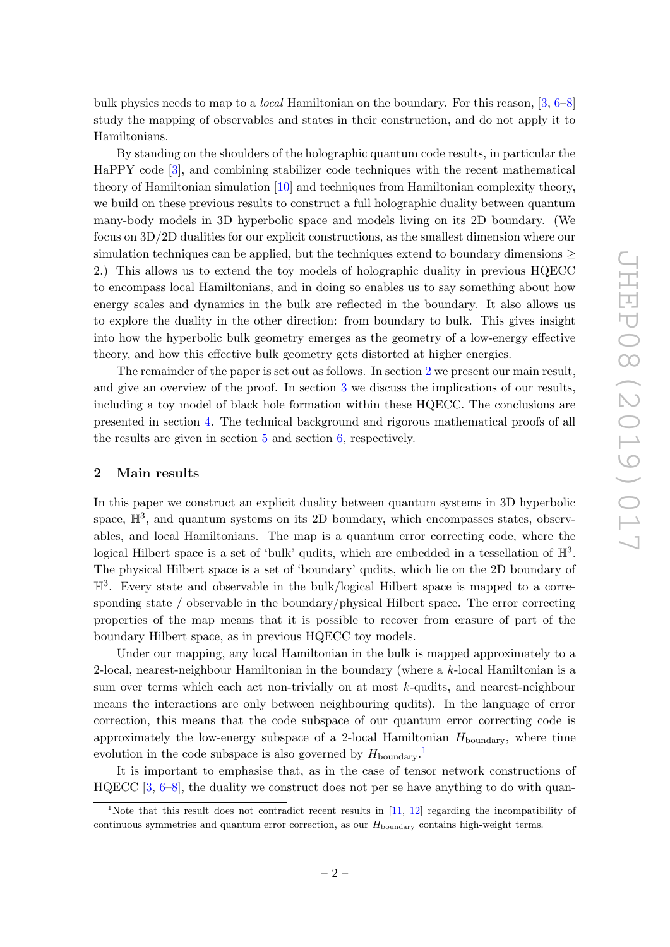bulk physics needs to map to a local Hamiltonian on the boundary. For this reason, [\[3,](#page-61-2) [6](#page-61-4)[–8\]](#page-61-5) study the mapping of observables and states in their construction, and do not apply it to Hamiltonians.

By standing on the shoulders of the holographic quantum code results, in particular the HaPPY code [\[3\]](#page-61-2), and combining stabilizer code techniques with the recent mathematical theory of Hamiltonian simulation [\[10\]](#page-62-0) and techniques from Hamiltonian complexity theory, we build on these previous results to construct a full holographic duality between quantum many-body models in 3D hyperbolic space and models living on its 2D boundary. (We focus on 3D/2D dualities for our explicit constructions, as the smallest dimension where our simulation techniques can be applied, but the techniques extend to boundary dimensions  $\geq$ 2.) This allows us to extend the toy models of holographic duality in previous HQECC to encompass local Hamiltonians, and in doing so enables us to say something about how energy scales and dynamics in the bulk are reflected in the boundary. It also allows us to explore the duality in the other direction: from boundary to bulk. This gives insight into how the hyperbolic bulk geometry emerges as the geometry of a low-energy effective theory, and how this effective bulk geometry gets distorted at higher energies.

The remainder of the paper is set out as follows. In section [2](#page-3-0) we present our main result, and give an overview of the proof. In section [3](#page-8-0) we discuss the implications of our results, including a toy model of black hole formation within these HQECC. The conclusions are presented in section [4.](#page-15-1) The technical background and rigorous mathematical proofs of all the results are given in section  $5$  and section  $6$ , respectively.

# <span id="page-3-0"></span>2 Main results

In this paper we construct an explicit duality between quantum systems in 3D hyperbolic space,  $\mathbb{H}^3$ , and quantum systems on its 2D boundary, which encompasses states, observables, and local Hamiltonians. The map is a quantum error correcting code, where the logical Hilbert space is a set of 'bulk' qudits, which are embedded in a tessellation of  $\mathbb{H}^3$ . The physical Hilbert space is a set of 'boundary' qudits, which lie on the 2D boundary of  $\mathbb{H}^3$ . Every state and observable in the bulk/logical Hilbert space is mapped to a corresponding state / observable in the boundary/physical Hilbert space. The error correcting properties of the map means that it is possible to recover from erasure of part of the boundary Hilbert space, as in previous HQECC toy models.

Under our mapping, any local Hamiltonian in the bulk is mapped approximately to a 2-local, nearest-neighbour Hamiltonian in the boundary (where a k-local Hamiltonian is a sum over terms which each act non-trivially on at most k-qudits, and nearest-neighbour means the interactions are only between neighbouring qudits). In the language of error correction, this means that the code subspace of our quantum error correcting code is approximately the low-energy subspace of a 2-local Hamiltonian  $H_{\text{boundary}}$ , where time evolution in the code subspace is also governed by  $H_{\text{boundary}}$ .<sup>[1](#page-3-1)</sup>

It is important to emphasise that, as in the case of tensor network constructions of  $HQECC$  [\[3,](#page-61-2) [6–](#page-61-4)[8\]](#page-61-5), the duality we construct does not per se have anything to do with quan-

<span id="page-3-1"></span><sup>&</sup>lt;sup>1</sup>Note that this result does not contradict recent results in  $[11, 12]$  $[11, 12]$  $[11, 12]$  regarding the incompatibility of continuous symmetries and quantum error correction, as our  $H_{\text{boundary}}$  contains high-weight terms.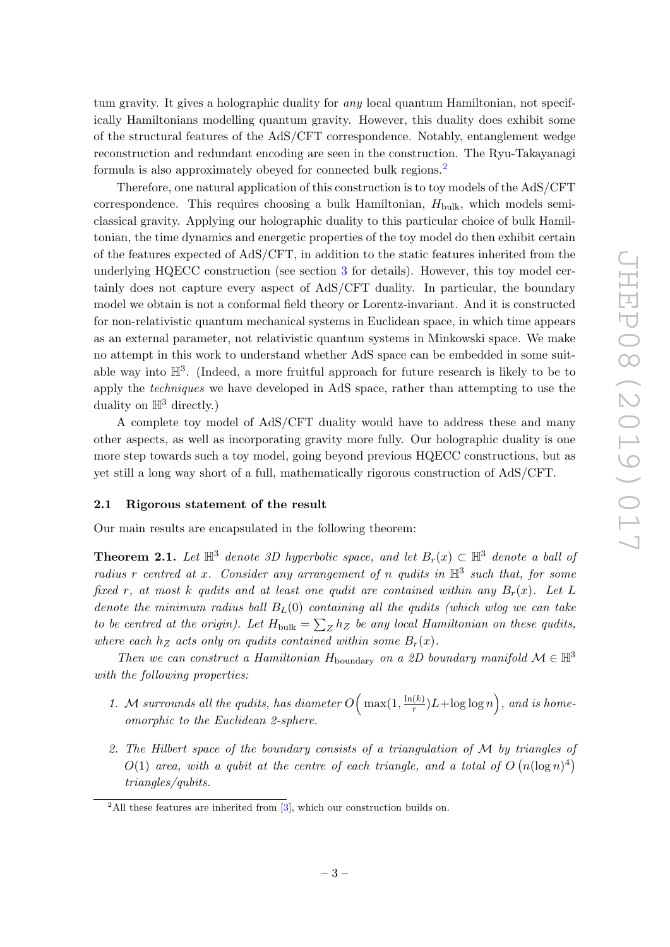tum gravity. It gives a holographic duality for any local quantum Hamiltonian, not specifically Hamiltonians modelling quantum gravity. However, this duality does exhibit some of the structural features of the AdS/CFT correspondence. Notably, entanglement wedge reconstruction and redundant encoding are seen in the construction. The Ryu-Takayanagi formula is also approximately obeyed for connected bulk regions.[2](#page-4-1)

Therefore, one natural application of this construction is to toy models of the AdS/CFT correspondence. This requires choosing a bulk Hamiltonian,  $H_{\text{bulk}}$ , which models semiclassical gravity. Applying our holographic duality to this particular choice of bulk Hamiltonian, the time dynamics and energetic properties of the toy model do then exhibit certain of the features expected of AdS/CFT, in addition to the static features inherited from the underlying HQECC construction (see section [3](#page-8-0) for details). However, this toy model certainly does not capture every aspect of AdS/CFT duality. In particular, the boundary model we obtain is not a conformal field theory or Lorentz-invariant. And it is constructed for non-relativistic quantum mechanical systems in Euclidean space, in which time appears as an external parameter, not relativistic quantum systems in Minkowski space. We make no attempt in this work to understand whether AdS space can be embedded in some suitable way into  $\mathbb{H}^3$ . (Indeed, a more fruitful approach for future research is likely to be to apply the *techniques* we have developed in AdS space, rather than attempting to use the duality on  $\mathbb{H}^3$  directly.)

A complete toy model of AdS/CFT duality would have to address these and many other aspects, as well as incorporating gravity more fully. Our holographic duality is one more step towards such a toy model, going beyond previous HQECC constructions, but as yet still a long way short of a full, mathematically rigorous construction of AdS/CFT.

### <span id="page-4-0"></span>2.1 Rigorous statement of the result

<span id="page-4-2"></span>Our main results are encapsulated in the following theorem:

**Theorem 2.1.** Let  $\mathbb{H}^3$  denote 3D hyperbolic space, and let  $B_r(x) \subset \mathbb{H}^3$  denote a ball of radius r centred at x. Consider any arrangement of n qudits in  $\mathbb{H}^3$  such that, for some fixed r, at most k qudits and at least one qudit are contained within any  $B_r(x)$ . Let L denote the minimum radius ball  $B_L(0)$  containing all the qudits (which wlog we can take to be centred at the origin). Let  $H_{\text{bulk}} = \sum_{Z} h_Z$  be any local Hamiltonian on these qudits, where each  $h_Z$  acts only on qudits contained within some  $B_r(x)$ .

Then we can construct a Hamiltonian H<sub>boundary</sub> on a 2D boundary manifold  $\mathcal{M} \in \mathbb{H}^3$ with the following properties:

- 1. M surrounds all the qudits, has diameter  $O\left(\max(1, \frac{\ln(k)}{r})\right)$  $\frac{f(k)}{r}$ ) $L + \log \log n$ , and is homeomorphic to the Euclidean 2-sphere.
- 2. The Hilbert space of the boundary consists of a triangulation of M by triangles of  $O(1)$  area, with a qubit at the centre of each triangle, and a total of  $O(n(\log n)^4)$ triangles/qubits.

<span id="page-4-1"></span> $^{2}$ All these features are inherited from [\[3\]](#page-61-2), which our construction builds on.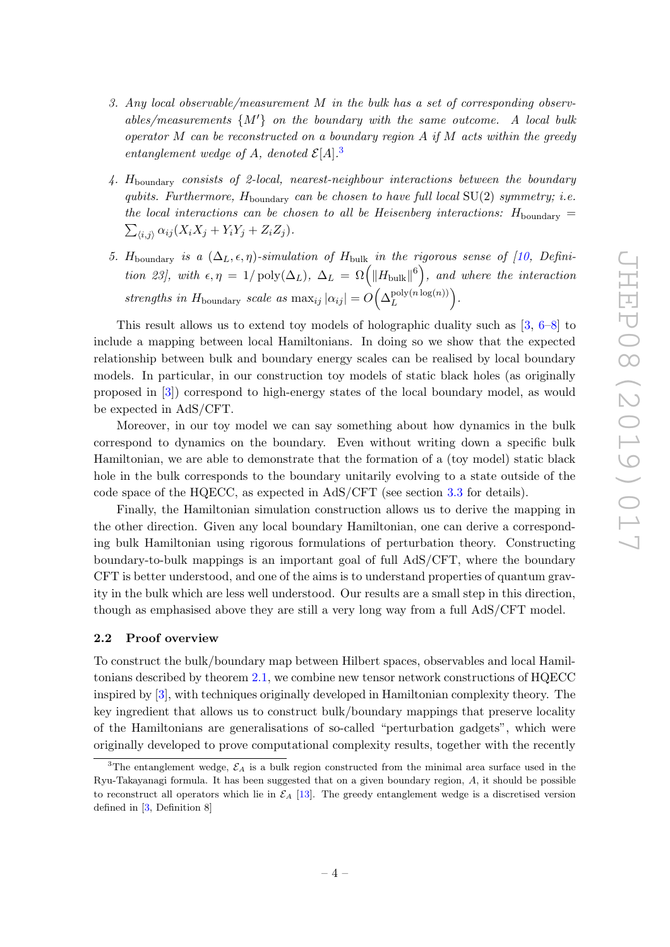- 3. Any local observable/measurement M in the bulk has a set of corresponding observables/measurements  $\{M'\}$  on the boundary with the same outcome. A local bulk operator M can be reconstructed on a boundary region  $A$  if  $M$  acts within the greedy entanglement wedge of A, denoted  $\mathcal{E}[A].^3$  $\mathcal{E}[A].^3$
- 4.  $H_{\text{boundary}}$  consists of 2-local, nearest-neighbour interactions between the boundary qubits. Furthermore,  $H_{\text{boundary}}$  can be chosen to have full local  $SU(2)$  symmetry; i.e. the local interactions can be chosen to all be Heisenberg interactions:  $H_{\text{boundary}} =$  $\sum_{\langle i,j \rangle} \alpha_{ij} (X_i X_j + Y_i Y_j + Z_i Z_j).$
- 5. H<sub>boundary</sub> is a  $(\Delta_L, \epsilon, \eta)$ -simulation of H<sub>bulk</sub> in the rigorous sense of [\[10,](#page-62-0) Definition 23], with  $\epsilon, \eta = 1/\text{poly}(\Delta_L)$ ,  $\Delta_L = \Omega(|H_{\text{bulk}}|^6)$ , and where the interaction strengths in H<sub>boundary</sub> scale as  $\max_{ij} |\alpha_{ij}| = O\left(\Delta_L^{\text{poly}(n \log(n))}\right)$  $\frac{\text{poly}(n \log(n))}{L}$ .

This result allows us to extend toy models of holographic duality such as [\[3,](#page-61-2) [6–](#page-61-4)[8\]](#page-61-5) to include a mapping between local Hamiltonians. In doing so we show that the expected relationship between bulk and boundary energy scales can be realised by local boundary models. In particular, in our construction toy models of static black holes (as originally proposed in [\[3\]](#page-61-2)) correspond to high-energy states of the local boundary model, as would be expected in AdS/CFT.

Moreover, in our toy model we can say something about how dynamics in the bulk correspond to dynamics on the boundary. Even without writing down a specific bulk Hamiltonian, we are able to demonstrate that the formation of a (toy model) static black hole in the bulk corresponds to the boundary unitarily evolving to a state outside of the code space of the HQECC, as expected in AdS/CFT (see section [3.3](#page-11-0) for details).

Finally, the Hamiltonian simulation construction allows us to derive the mapping in the other direction. Given any local boundary Hamiltonian, one can derive a corresponding bulk Hamiltonian using rigorous formulations of perturbation theory. Constructing boundary-to-bulk mappings is an important goal of full AdS/CFT, where the boundary CFT is better understood, and one of the aims is to understand properties of quantum gravity in the bulk which are less well understood. Our results are a small step in this direction, though as emphasised above they are still a very long way from a full AdS/CFT model.

# <span id="page-5-0"></span>2.2 Proof overview

To construct the bulk/boundary map between Hilbert spaces, observables and local Hamiltonians described by theorem [2.1,](#page-4-2) we combine new tensor network constructions of HQECC inspired by [\[3\]](#page-61-2), with techniques originally developed in Hamiltonian complexity theory. The key ingredient that allows us to construct bulk/boundary mappings that preserve locality of the Hamiltonians are generalisations of so-called "perturbation gadgets", which were originally developed to prove computational complexity results, together with the recently

<span id="page-5-1"></span><sup>&</sup>lt;sup>3</sup>The entanglement wedge,  $\mathcal{E}_A$  is a bulk region constructed from the minimal area surface used in the Ryu-Takayanagi formula. It has been suggested that on a given boundary region, A, it should be possible to reconstruct all operators which lie in  $\mathcal{E}_A$  [\[13\]](#page-62-3). The greedy entanglement wedge is a discretised version defined in [\[3,](#page-61-2) Definition 8]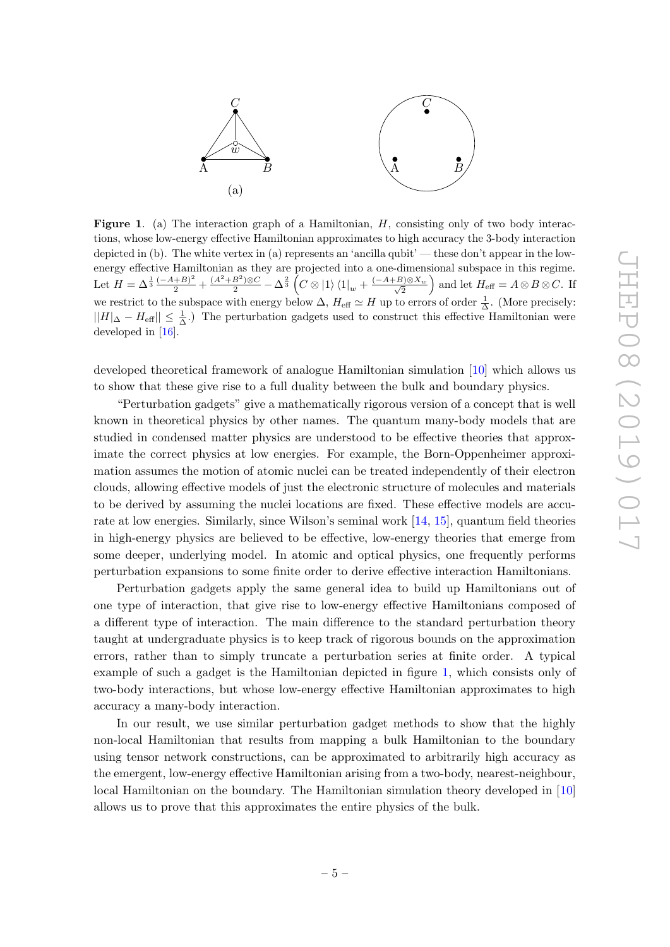

<span id="page-6-0"></span>Figure 1. (a) The interaction graph of a Hamiltonian, H, consisting only of two body interactions, whose low-energy effective Hamiltonian approximates to high accuracy the 3-body interaction depicted in (b). The white vertex in (a) represents an 'ancilla qubit' — these don't appear in the lowenergy effective Hamiltonian as they are projected into a one-dimensional subspace in this regime. Let  $H = \Delta^{\frac{1}{3}} \frac{(-A+B)^2}{2} + \frac{(A^2+B^2)\otimes C}{2} - \Delta^{\frac{2}{3}} \left(C \otimes |1\rangle\langle 1|_w + \frac{(-A+B)\otimes X_w}{\sqrt{2}}\right)$  $\left(\frac{B}{2}\right)^{2}\otimes X_w$  and let  $H_{\text{eff}} = A \otimes B \otimes C$ . If we restrict to the subspace with energy below  $\Delta$ ,  $H_{\text{eff}} \simeq H$  up to errors of order  $\frac{1}{\Delta}$ . (More precisely:  $||H||_{\Delta} - H_{\text{eff}}|| \leq \frac{1}{\Delta}$ .) The perturbation gadgets used to construct this effective Hamiltonian were developed in [\[16\]](#page-62-4).

developed theoretical framework of analogue Hamiltonian simulation [\[10\]](#page-62-0) which allows us to show that these give rise to a full duality between the bulk and boundary physics.

"Perturbation gadgets" give a mathematically rigorous version of a concept that is well known in theoretical physics by other names. The quantum many-body models that are studied in condensed matter physics are understood to be effective theories that approximate the correct physics at low energies. For example, the Born-Oppenheimer approximation assumes the motion of atomic nuclei can be treated independently of their electron clouds, allowing effective models of just the electronic structure of molecules and materials to be derived by assuming the nuclei locations are fixed. These effective models are accurate at low energies. Similarly, since Wilson's seminal work [\[14,](#page-62-5) [15\]](#page-62-6), quantum field theories in high-energy physics are believed to be effective, low-energy theories that emerge from some deeper, underlying model. In atomic and optical physics, one frequently performs perturbation expansions to some finite order to derive effective interaction Hamiltonians.

Perturbation gadgets apply the same general idea to build up Hamiltonians out of one type of interaction, that give rise to low-energy effective Hamiltonians composed of a different type of interaction. The main difference to the standard perturbation theory taught at undergraduate physics is to keep track of rigorous bounds on the approximation errors, rather than to simply truncate a perturbation series at finite order. A typical example of such a gadget is the Hamiltonian depicted in figure [1,](#page-6-0) which consists only of two-body interactions, but whose low-energy effective Hamiltonian approximates to high accuracy a many-body interaction.

In our result, we use similar perturbation gadget methods to show that the highly non-local Hamiltonian that results from mapping a bulk Hamiltonian to the boundary using tensor network constructions, can be approximated to arbitrarily high accuracy as the emergent, low-energy effective Hamiltonian arising from a two-body, nearest-neighbour, local Hamiltonian on the boundary. The Hamiltonian simulation theory developed in [\[10\]](#page-62-0) allows us to prove that this approximates the entire physics of the bulk.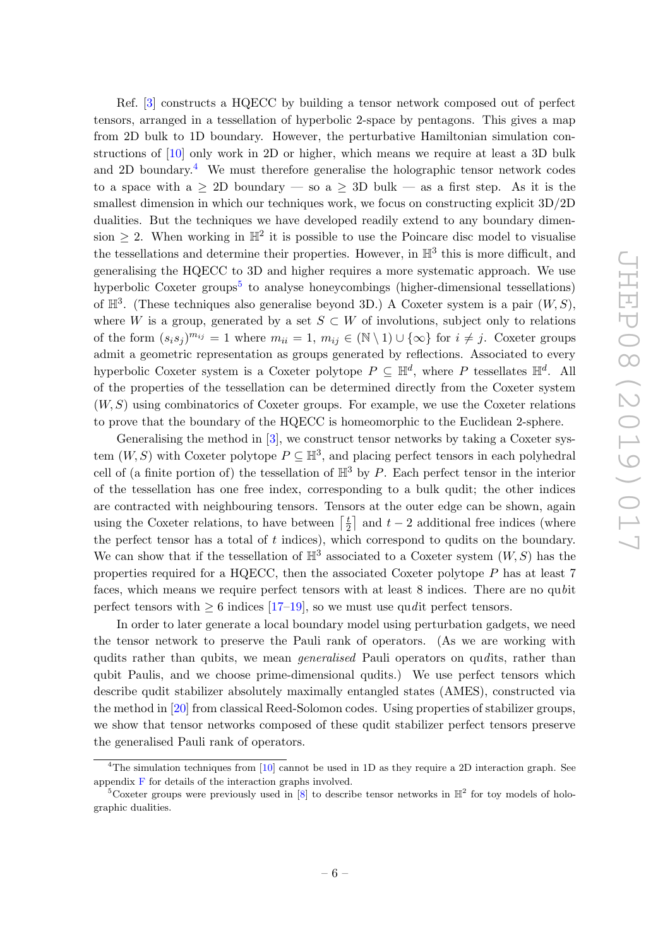Ref. [\[3\]](#page-61-2) constructs a HQECC by building a tensor network composed out of perfect tensors, arranged in a tessellation of hyperbolic 2-space by pentagons. This gives a map from 2D bulk to 1D boundary. However, the perturbative Hamiltonian simulation constructions of [\[10\]](#page-62-0) only work in 2D or higher, which means we require at least a 3D bulk and 2D boundary.<sup>[4](#page-7-0)</sup> We must therefore generalise the holographic tensor network codes to a space with a  $\geq$  2D boundary — so a  $\geq$  3D bulk — as a first step. As it is the smallest dimension in which our techniques work, we focus on constructing explicit 3D/2D dualities. But the techniques we have developed readily extend to any boundary dimension  $\geq 2$ . When working in  $\mathbb{H}^2$  it is possible to use the Poincare disc model to visualise the tessellations and determine their properties. However, in  $\mathbb{H}^3$  this is more difficult, and generalising the HQECC to 3D and higher requires a more systematic approach. We use hyperbolic Coxeter groups<sup>[5](#page-7-1)</sup> to analyse honeycombings (higher-dimensional tessellations) of  $\mathbb{H}^3$ . (These techniques also generalise beyond 3D.) A Coxeter system is a pair  $(W, S)$ , where W is a group, generated by a set  $S \subset W$  of involutions, subject only to relations of the form  $(s_i s_j)^{m_{ij}} = 1$  where  $m_{ii} = 1, m_{ij} \in (\mathbb{N} \setminus 1) \cup \{\infty\}$  for  $i \neq j$ . Coxeter groups admit a geometric representation as groups generated by reflections. Associated to every hyperbolic Coxeter system is a Coxeter polytope  $P \subseteq \mathbb{H}^d$ , where P tessellates  $\mathbb{H}^d$ . All of the properties of the tessellation can be determined directly from the Coxeter system  $(W, S)$  using combinatorics of Coxeter groups. For example, we use the Coxeter relations to prove that the boundary of the HQECC is homeomorphic to the Euclidean 2-sphere.

Generalising the method in [\[3\]](#page-61-2), we construct tensor networks by taking a Coxeter system  $(W, S)$  with Coxeter polytope  $P \subseteq \mathbb{H}^3$ , and placing perfect tensors in each polyhedral cell of (a finite portion of) the tessellation of  $\mathbb{H}^3$  by P. Each perfect tensor in the interior of the tessellation has one free index, corresponding to a bulk qudit; the other indices are contracted with neighbouring tensors. Tensors at the outer edge can be shown, again using the Coxeter relations, to have between  $\lceil \frac{t}{2} \rceil$  $\frac{t}{2}$  and  $t-2$  additional free indices (where the perfect tensor has a total of  $t$  indices), which correspond to qudits on the boundary. We can show that if the tessellation of  $\mathbb{H}^3$  associated to a Coxeter system  $(W, S)$  has the properties required for a HQECC, then the associated Coxeter polytope  $P$  has at least 7 faces, which means we require perfect tensors with at least 8 indices. There are no qubit perfect tensors with  $\geq 6$  indices [\[17–](#page-62-7)[19\]](#page-62-8), so we must use qudit perfect tensors.

In order to later generate a local boundary model using perturbation gadgets, we need the tensor network to preserve the Pauli rank of operators. (As we are working with qudits rather than qubits, we mean *generalised* Pauli operators on qudits, rather than qubit Paulis, and we choose prime-dimensional qudits.) We use perfect tensors which describe qudit stabilizer absolutely maximally entangled states (AMES), constructed via the method in [\[20\]](#page-62-9) from classical Reed-Solomon codes. Using properties of stabilizer groups, we show that tensor networks composed of these qudit stabilizer perfect tensors preserve the generalised Pauli rank of operators.

<span id="page-7-0"></span><sup>&</sup>lt;sup>4</sup>The simulation techniques from  $[10]$  cannot be used in 1D as they require a 2D interaction graph. See appendix [F](#page-56-0) for details of the interaction graphs involved.

<span id="page-7-1"></span><sup>&</sup>lt;sup>5</sup>Coxeter groups were previously used in [\[8\]](#page-61-5) to describe tensor networks in  $\mathbb{H}^2$  for toy models of holographic dualities.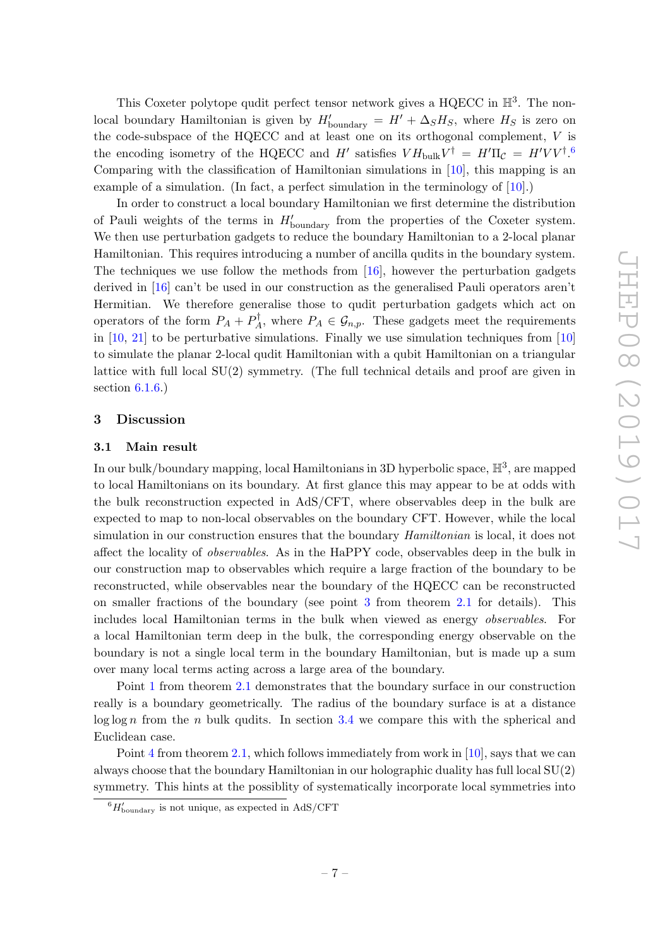This Coxeter polytope qudit perfect tensor network gives a HQECC in  $\mathbb{H}^3$ . The nonlocal boundary Hamiltonian is given by  $H'_{\text{boundary}} = H' + \Delta_S H_S$ , where  $H_S$  is zero on the code-subspace of the HQECC and at least one on its orthogonal complement, V is the encoding isometry of the HQECC and H' satisfies  $V H_{\text{bulk}} V^{\dagger} = H' \Pi_{\mathcal{C}} = H' V V^{\dagger}$ . Comparing with the classification of Hamiltonian simulations in [\[10\]](#page-62-0), this mapping is an example of a simulation. (In fact, a perfect simulation in the terminology of [\[10\]](#page-62-0).)

In order to construct a local boundary Hamiltonian we first determine the distribution of Pauli weights of the terms in  $H'_{\text{boundary}}$  from the properties of the Coxeter system. We then use perturbation gadgets to reduce the boundary Hamiltonian to a 2-local planar Hamiltonian. This requires introducing a number of ancilla qudits in the boundary system. The techniques we use follow the methods from [\[16\]](#page-62-4), however the perturbation gadgets derived in [\[16\]](#page-62-4) can't be used in our construction as the generalised Pauli operators aren't Hermitian. We therefore generalise those to qudit perturbation gadgets which act on operators of the form  $P_A + P_A^{\dagger}$  $P_A^{\mathsf{T}}$ , where  $P_A \in \mathcal{G}_{n,p}$ . These gadgets meet the requirements in [\[10,](#page-62-0) [21\]](#page-62-10) to be perturbative simulations. Finally we use simulation techniques from [\[10\]](#page-62-0) to simulate the planar 2-local qudit Hamiltonian with a qubit Hamiltonian on a triangular lattice with full local  $SU(2)$  symmetry. (The full technical details and proof are given in section  $6.1.6$ .)

### <span id="page-8-0"></span>3 Discussion

#### <span id="page-8-1"></span>3.1 Main result

In our bulk/boundary mapping, local Hamiltonians in 3D hyperbolic space,  $\mathbb{H}^3$ , are mapped to local Hamiltonians on its boundary. At first glance this may appear to be at odds with the bulk reconstruction expected in AdS/CFT, where observables deep in the bulk are expected to map to non-local observables on the boundary CFT. However, while the local simulation in our construction ensures that the boundary *Hamiltonian* is local, it does not affect the locality of observables. As in the HaPPY code, observables deep in the bulk in our construction map to observables which require a large fraction of the boundary to be reconstructed, while observables near the boundary of the HQECC can be reconstructed on smaller fractions of the boundary (see point [3](#page-38-0) from theorem [2.1](#page-4-2) for details). This includes local Hamiltonian terms in the bulk when viewed as energy observables. For a local Hamiltonian term deep in the bulk, the corresponding energy observable on the boundary is not a single local term in the boundary Hamiltonian, but is made up a sum over many local terms acting across a large area of the boundary.

Point [1](#page-38-1) from theorem [2.1](#page-4-2) demonstrates that the boundary surface in our construction really is a boundary geometrically. The radius of the boundary surface is at a distance  $\log \log n$  from the *n* bulk qudits. In section [3.4](#page-15-0) we compare this with the spherical and Euclidean case.

Point [4](#page-38-2) from theorem [2.1,](#page-4-2) which follows immediately from work in  $[10]$ , says that we can always choose that the boundary Hamiltonian in our holographic duality has full local SU(2) symmetry. This hints at the possiblity of systematically incorporate local symmetries into

<span id="page-8-2"></span> ${}^{6}H'_{\text{boundary}}$  is not unique, as expected in AdS/CFT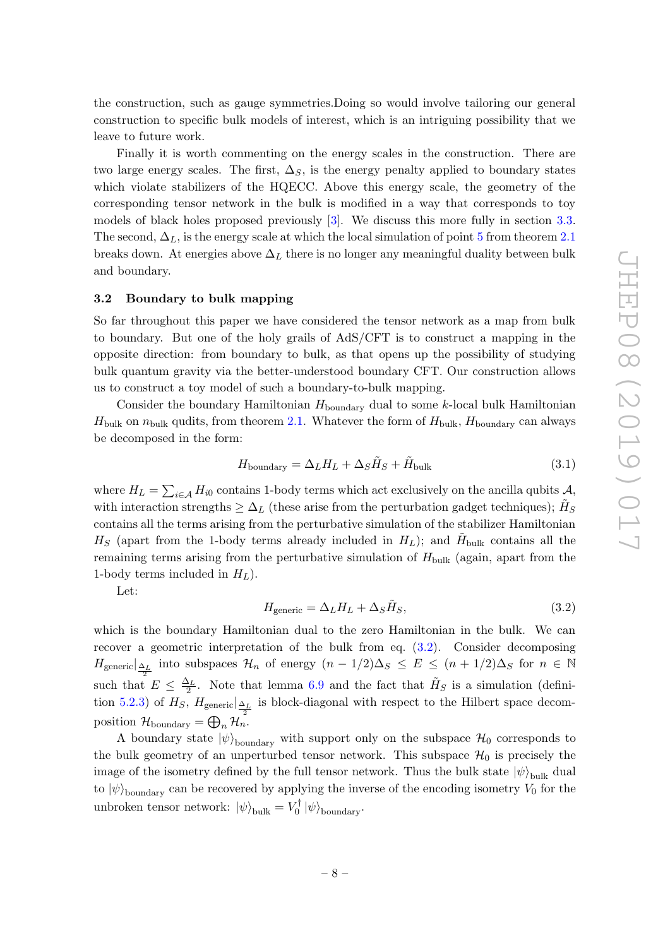the construction, such as gauge symmetries.Doing so would involve tailoring our general construction to specific bulk models of interest, which is an intriguing possibility that we leave to future work.

Finally it is worth commenting on the energy scales in the construction. There are two large energy scales. The first,  $\Delta_S$ , is the energy penalty applied to boundary states which violate stabilizers of the HQECC. Above this energy scale, the geometry of the corresponding tensor network in the bulk is modified in a way that corresponds to toy models of black holes proposed previously [\[3\]](#page-61-2). We discuss this more fully in section [3.3.](#page-11-0) The second,  $\Delta_L$ , is the energy scale at which the local simulation of point [5](#page-38-3) from theorem [2.1](#page-4-2) breaks down. At energies above  $\Delta_L$  there is no longer any meaningful duality between bulk and boundary.

### <span id="page-9-0"></span>3.2 Boundary to bulk mapping

So far throughout this paper we have considered the tensor network as a map from bulk to boundary. But one of the holy grails of AdS/CFT is to construct a mapping in the opposite direction: from boundary to bulk, as that opens up the possibility of studying bulk quantum gravity via the better-understood boundary CFT. Our construction allows us to construct a toy model of such a boundary-to-bulk mapping.

Consider the boundary Hamiltonian  $H_{\text{boundary}}$  dual to some k-local bulk Hamiltonian  $H_{\text{bulk}}$  on  $n_{\text{bulk}}$  qudits, from theorem [2.1.](#page-4-2) Whatever the form of  $H_{\text{bulk}}$ ,  $H_{\text{boundary}}$  can always be decomposed in the form:

<span id="page-9-2"></span>
$$
H_{\text{boundary}} = \Delta_L H_L + \Delta_S \tilde{H}_S + \tilde{H}_{\text{bulk}} \tag{3.1}
$$

where  $H_L = \sum_{i \in \mathcal{A}} H_{i0}$  contains 1-body terms which act exclusively on the ancilla qubits  $\mathcal{A}$ , with interaction strengths  $\geq \Delta_L$  (these arise from the perturbation gadget techniques);  $\tilde{H}_S$ contains all the terms arising from the perturbative simulation of the stabilizer Hamiltonian  $H_S$  (apart from the 1-body terms already included in  $H_L$ ); and  $\tilde{H}_{\text{bulk}}$  contains all the remaining terms arising from the perturbative simulation of  $H_{\text{bulk}}$  (again, apart from the 1-body terms included in  $H_L$ ).

Let:

<span id="page-9-1"></span>
$$
H_{\text{generic}} = \Delta_L H_L + \Delta_S \tilde{H}_S,\tag{3.2}
$$

which is the boundary Hamiltonian dual to the zero Hamiltonian in the bulk. We can recover a geometric interpretation of the bulk from eq. [\(3.2\)](#page-9-1). Consider decomposing  $H_{\text{generic}}|_{\frac{\Delta_L}{2}}$  into subspaces  $\mathcal{H}_n$  of energy  $(n-1/2)\Delta_S \leq E \leq (n+1/2)\Delta_S$  for  $n \in \mathbb{N}$ such that  $E \leq \frac{\Delta_L}{2}$ . Note that lemma [6.9](#page-36-1) and the fact that  $H_S$  is a simulation (defini-tion [5.2.3\)](#page-22-1) of  $H_S$ ,  $H_{\text{generic}}|_{\frac{\Delta_L}{2}}$  is block-diagonal with respect to the Hilbert space decomposition  $\mathcal{H}_{\text{boundary}} = \bigoplus_{n} \mathcal{H}_n$ .

A boundary state  $|\psi\rangle_{\text{boundary}}$  with support only on the subspace  $\mathcal{H}_0$  corresponds to the bulk geometry of an unperturbed tensor network. This subspace  $\mathcal{H}_0$  is precisely the image of the isometry defined by the full tensor network. Thus the bulk state  $|\psi\rangle_{\text{bulk}}$  dual to  $|\psi\rangle$ <sub>boundary</sub> can be recovered by applying the inverse of the encoding isometry V<sub>0</sub> for the unbroken tensor network:  $|\psi\rangle_{\text{bulk}} = V_0^{\dagger}$  $\binom{7}{0} \ket{\psi}_{\text{boundary}}.$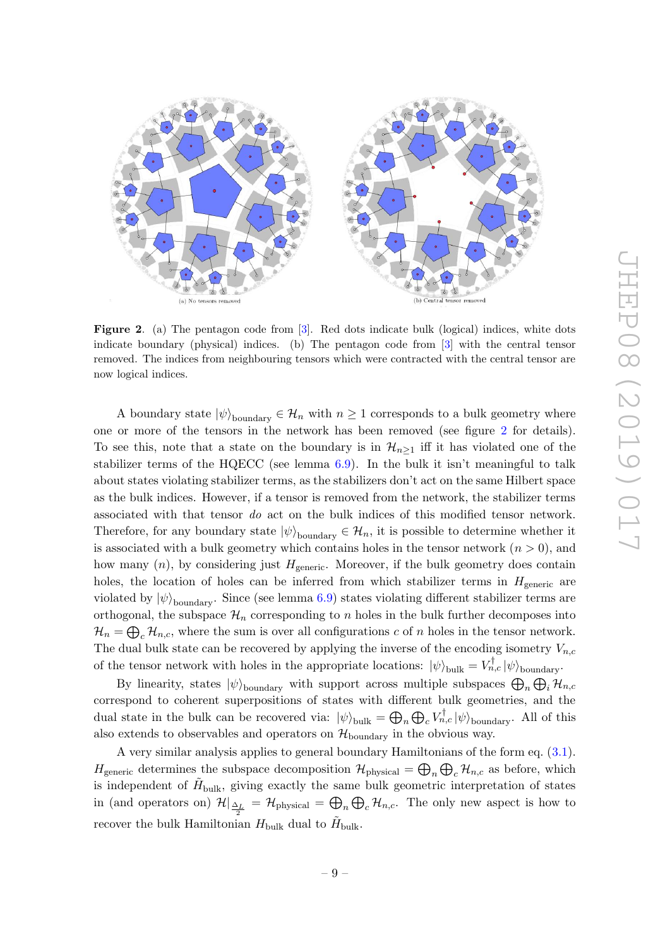

Figure 2. (a) The pentagon code from [[3\]](#page-61-2). Red dots indicate bulk (logical) indices, white dots indicate boundary (physical) indices. (b) The pentagon code from [ [3\]](#page-61-2) with the central tensor removed. The indices from neighbouring tensors which were contracted with the central tensor are now logical indices.

A boundary state  $|\psi\rangle$ <sub>boundary</sub>  $\in \mathcal{H}_n$  with  $n \geq 1$  corresponds to a bulk geometry where one or more of the tensors in the network has been removed (see figure [2](#page--1-0) for details). To see this, note that a state on the boundary is in  $\mathcal{H}_{n\geq 1}$  iff it has violated one of the stabilizer terms of the HQECC (see lemma [6.9\)](#page-36-1). In the bulk it isn't meaningful to talk about states violating stabilizer terms, as the stabilizers don't act on the same Hilbert space as the bulk indices. However, if a tensor is removed from the network, the stabilizer terms associated with that tensor do act on the bulk indices of this modified tensor network. Therefore, for any boundary state  $|\psi\rangle$ <sub>boundary</sub>  $\in \mathcal{H}_n$ , it is possible to determine whether it is associated with a bulk geometry which contains holes in the tensor network  $(n > 0)$ , and how many  $(n)$ , by considering just  $H_{\text{generic}}$ . Moreover, if the bulk geometry does contain holes, the location of holes can be inferred from which stabilizer terms in  $H_{\text{generic}}$  are violated by  $|\psi\rangle$ <sub>boundary</sub>. Since (see lemma [6.9\)](#page-36-1) states violating different stabilizer terms are orthogonal, the subspace  $\mathcal{H}_n$  corresponding to n holes in the bulk further decomposes into  $\mathcal{H}_n = \bigoplus_c \mathcal{H}_{n,c}$ , where the sum is over all configurations c of n holes in the tensor network. The dual bulk state can be recovered by applying the inverse of the encoding isometry  $V_{n,c}$ of the tensor network with holes in the appropriate locations:  $|\psi\rangle_{\text{bulk}} = V_{n,c}^{\dagger} |\psi\rangle_{\text{boundary}}$ .

By linearity, states  $|\psi\rangle$ <sub>boundary</sub> with support across multiple subspaces  $\bigoplus_n \bigoplus_i \mathcal{H}_{n,c}$ correspond to coherent superpositions of states with different bulk geometries, and the dual state in the bulk can be recovered via:  $|\psi\rangle_{\text{bulk}} = \bigoplus_n \bigoplus_c V_{n,c}^{\dagger} |\psi\rangle_{\text{boundary}}$ . All of this also extends to observables and operators on  $\mathcal{H}_{\text{boundary}}$  in the obvious way.

A very similar analysis applies to general boundary Hamiltonians of the form eq. [\(3.1\)](#page-9-2).  $H_{\text{generic}}$  determines the subspace decomposition  $\mathcal{H}_{\text{physical}} = \bigoplus_n \bigoplus_c \mathcal{H}_{n,c}$  as before, which is independent of  $\tilde{H}_{\text{bulk}}$ , giving exactly the same bulk geometric interpretation of states in (and operators on)  $\mathcal{H}|_{\frac{\Delta_L}{2}} = \mathcal{H}_{\text{physical}} = \bigoplus_n \bigoplus_c \mathcal{H}_{n,c}$ . The only new aspect is how to recover the bulk Hamiltonian  $H_{\text{bulk}}$  dual to  $\tilde{H}_{\text{bulk}}$ .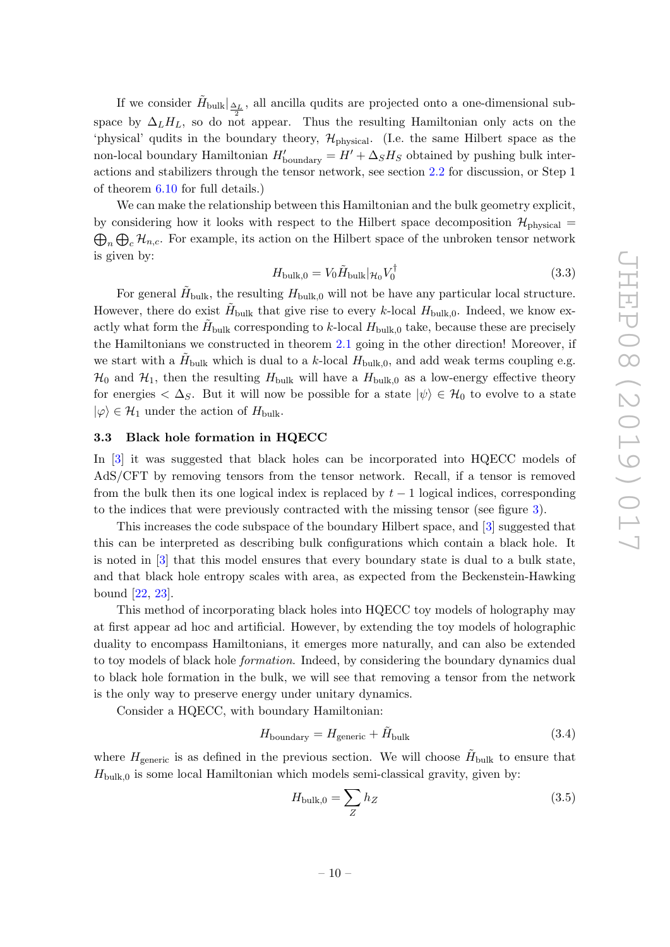If we consider  $\tilde{H}_{\text{bulk}}|_{\frac{\Delta_L}{2}}$ , all ancilla qudits are projected onto a one-dimensional subspace by  $\Delta_L H_L$ , so do not appear. Thus the resulting Hamiltonian only acts on the 'physical' qudits in the boundary theory,  $\mathcal{H}_{\text{physical}}$ . (I.e. the same Hilbert space as the non-local boundary Hamiltonian  $H'_{\text{boundary}} = H' + \Delta_S H_S$  obtained by pushing bulk interactions and stabilizers through the tensor network, see section [2.2](#page-5-0) for discussion, or Step 1 of theorem [6.10](#page-37-0) for full details.)

We can make the relationship between this Hamiltonian and the bulk geometry explicit, by considering how it looks with respect to the Hilbert space decomposition  $\mathcal{H}_{\text{physical}} =$  $\bigoplus_n \bigoplus_c \mathcal{H}_{n,c}$ . For example, its action on the Hilbert space of the unbroken tensor network is given by:

$$
H_{\text{bulk},0} = V_0 \tilde{H}_{\text{bulk}} |_{\mathcal{H}_0} V_0^{\dagger} \tag{3.3}
$$

For general  $\tilde{H}_{\text{bulk}}$ , the resulting  $H_{\text{bulk},0}$  will not be have any particular local structure. However, there do exist  $H_{\text{bulk}}$  that give rise to every k-local  $H_{\text{bulk},0}$ . Indeed, we know exactly what form the  $\tilde{H}_{\text{bulk}}$  corresponding to k-local  $H_{\text{bulk},0}$  take, because these are precisely the Hamiltonians we constructed in theorem [2.1](#page-4-2) going in the other direction! Moreover, if we start with a  $\tilde{H}_{\text{bulk}}$  which is dual to a k-local  $H_{\text{bulk},0}$ , and add weak terms coupling e.g.  $\mathcal{H}_0$  and  $\mathcal{H}_1$ , then the resulting  $H_{\text{bulk}}$  will have a  $H_{\text{bulk},0}$  as a low-energy effective theory for energies  $\langle \Delta_S$ . But it will now be possible for a state  $|\psi\rangle \in \mathcal{H}_0$  to evolve to a state  $|\varphi\rangle \in \mathcal{H}_1$  under the action of  $H_{\text{bulk}}$ .

### <span id="page-11-0"></span>3.3 Black hole formation in HQECC

In [\[3\]](#page-61-2) it was suggested that black holes can be incorporated into HQECC models of AdS/CFT by removing tensors from the tensor network. Recall, if a tensor is removed from the bulk then its one logical index is replaced by  $t-1$  logical indices, corresponding to the indices that were previously contracted with the missing tensor (see figure [3\)](#page--1-0).

This increases the code subspace of the boundary Hilbert space, and [\[3\]](#page-61-2) suggested that this can be interpreted as describing bulk configurations which contain a black hole. It is noted in [\[3\]](#page-61-2) that this model ensures that every boundary state is dual to a bulk state, and that black hole entropy scales with area, as expected from the Beckenstein-Hawking bound [\[22,](#page-62-11) [23\]](#page-62-12).

This method of incorporating black holes into HQECC toy models of holography may at first appear ad hoc and artificial. However, by extending the toy models of holographic duality to encompass Hamiltonians, it emerges more naturally, and can also be extended to toy models of black hole formation. Indeed, by considering the boundary dynamics dual to black hole formation in the bulk, we will see that removing a tensor from the network is the only way to preserve energy under unitary dynamics.

Consider a HQECC, with boundary Hamiltonian:

$$
H_{\text{boundary}} = H_{\text{generic}} + \tilde{H}_{\text{bulk}} \tag{3.4}
$$

where  $H_{\text{generic}}$  is as defined in the previous section. We will choose  $\tilde{H}_{\text{bulk}}$  to ensure that  $H_{\text{bulk},0}$  is some local Hamiltonian which models semi-classical gravity, given by:

$$
H_{\text{bulk},0} = \sum_{Z} h_Z \tag{3.5}
$$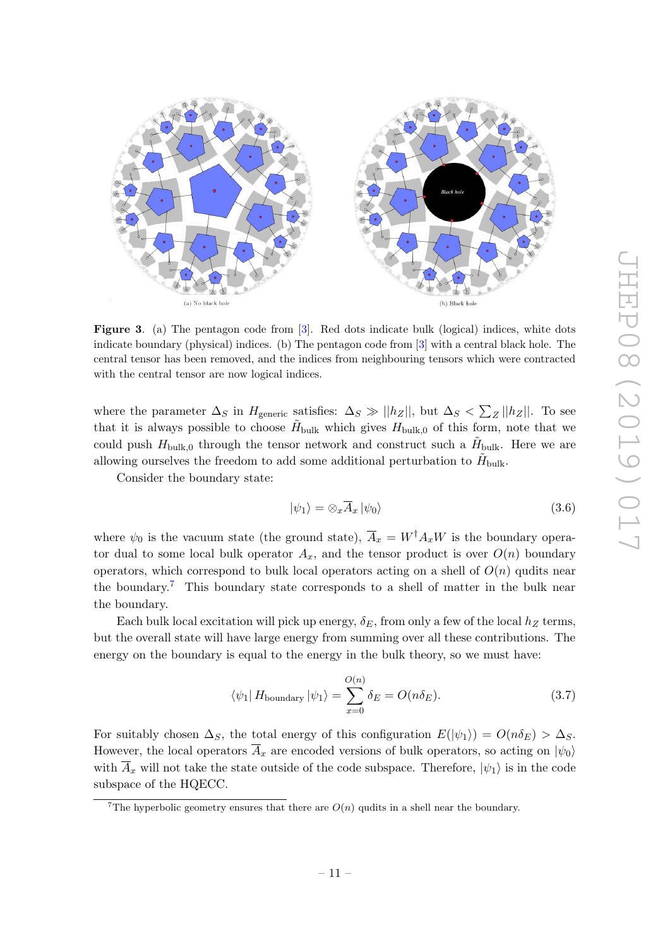

Figure 3. (a) The pentagon code from [[3\]](#page-61-2). Red dots indicate bulk (logical) indices, white dots indicate boundary (physical) indices. (b) The pentagon code from [ [3\]](#page-61-2) with a central black hole. The central tensor has been removed, and the indices from neighbouring tensors which were contracted with the central tensor are now logical indices.

where the parameter  $\Delta_S$  in  $H_{\text{generic}}$  satisfies:  $\Delta_S \gg ||h_Z||$ , but  $\Delta_S < \sum_Z ||h_Z||$ . To see that it is always possible to choose  $H_{\text{bulk}}$  which gives  $H_{\text{bulk},0}$  of this form, note that we could push  $H_{\text{bulk},0}$  through the tensor network and construct such a  $H_{\text{bulk}}$ . Here we are allowing ourselves the freedom to add some additional perturbation to  $\tilde{H}_{\text{bulk}}$ .

Consider the boundary state:

$$
|\psi_1\rangle = \otimes_x \overline{A}_x |\psi_0\rangle \tag{3.6}
$$

where  $\psi_0$  is the vacuum state (the ground state),  $A_x = W^{\dagger} A_x W$  is the boundary operator dual to some local bulk operator  $A_x$ , and the tensor product is over  $O(n)$  boundary operators, which correspond to bulk local operators acting on a shell of  $O(n)$  qudits near the boundary.<sup>[7](#page--1-1)</sup> This boundary state corresponds to a shell of matter in the bulk near the boundary.

Each bulk local excitation will pick up energy,  $\delta_E$ , from only a few of the local  $h_Z$  terms, but the overall state will have large energy from summing over all these contributions. The energy on the boundary is equal to the energy in the bulk theory, so we must have:

$$
\langle \psi_1 | H_{\text{boundary}} | \psi_1 \rangle = \sum_{x=0}^{O(n)} \delta_E = O(n \delta_E). \tag{3.7}
$$

For suitably chosen  $\Delta_S$ , the total energy of this configuration  $E(|\psi_1\rangle) = O(n\delta_E) > \Delta_S$ . However, the local operators  $A_x$  are encoded versions of bulk operators, so acting on  $|\psi_0\rangle$ with  $A_x$  will not take the state outside of the code subspace. Therefore,  $|\psi_1\rangle$  is in the code subspace of the HQECC.

<sup>&</sup>lt;sup>7</sup>The hyperbolic geometry ensures that there are  $O(n)$  qudits in a shell near the boundary.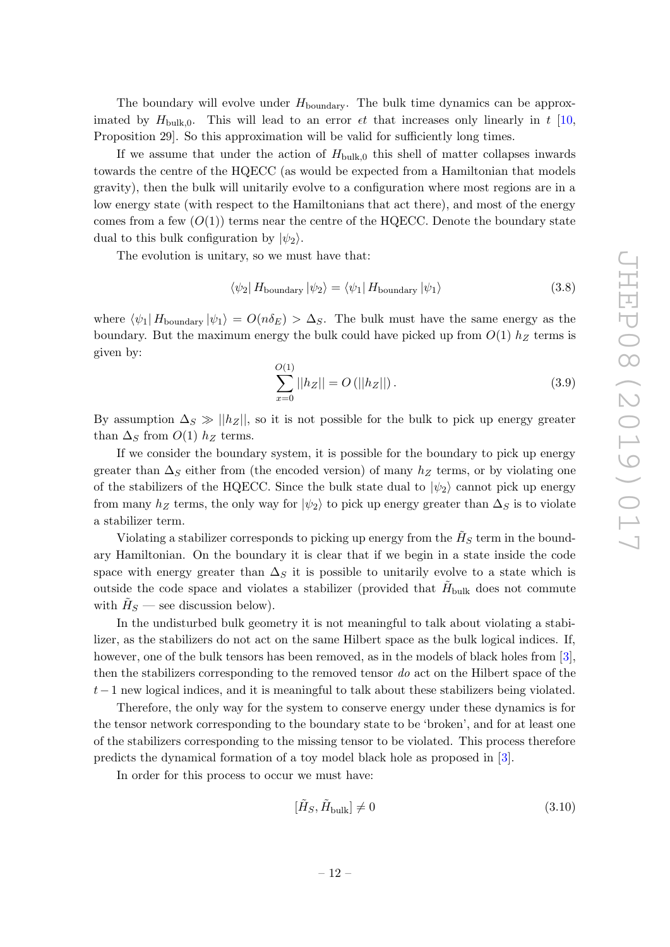The boundary will evolve under  $H_{\text{boundary}}$ . The bulk time dynamics can be approximated by  $H_{\text{bulk},0}$ . This will lead to an error  $\epsilon t$  that increases only linearly in t [\[10,](#page-62-0) Proposition 29]. So this approximation will be valid for sufficiently long times.

If we assume that under the action of  $H_{\text{bulk},0}$  this shell of matter collapses inwards towards the centre of the HQECC (as would be expected from a Hamiltonian that models gravity), then the bulk will unitarily evolve to a configuration where most regions are in a low energy state (with respect to the Hamiltonians that act there), and most of the energy comes from a few  $(O(1))$  terms near the centre of the HQECC. Denote the boundary state dual to this bulk configuration by  $|\psi_2\rangle$ .

The evolution is unitary, so we must have that:

$$
\langle \psi_2 | H_{\text{boundary}} | \psi_2 \rangle = \langle \psi_1 | H_{\text{boundary}} | \psi_1 \rangle \tag{3.8}
$$

where  $\langle \psi_1 | H_{\text{boundary}} | \psi_1 \rangle = O(n \delta_E) > \Delta_S$ . The bulk must have the same energy as the boundary. But the maximum energy the bulk could have picked up from  $O(1)$   $h_Z$  terms is given by:

$$
\sum_{x=0}^{O(1)} ||h_Z|| = O(||h_Z||). \tag{3.9}
$$

By assumption  $\Delta_S \gg ||h_Z||$ , so it is not possible for the bulk to pick up energy greater than  $\Delta_S$  from  $O(1)$   $h_Z$  terms.

If we consider the boundary system, it is possible for the boundary to pick up energy greater than  $\Delta_S$  either from (the encoded version) of many  $h_Z$  terms, or by violating one of the stabilizers of the HQECC. Since the bulk state dual to  $|\psi_2\rangle$  cannot pick up energy from many  $h_Z$  terms, the only way for  $|\psi_2\rangle$  to pick up energy greater than  $\Delta_S$  is to violate a stabilizer term.

Violating a stabilizer corresponds to picking up energy from the  $\tilde{H}_S$  term in the boundary Hamiltonian. On the boundary it is clear that if we begin in a state inside the code space with energy greater than  $\Delta_S$  it is possible to unitarily evolve to a state which is outside the code space and violates a stabilizer (provided that  $H_{\text{bulk}}$  does not commute with  $\tilde{H}_S$  — see discussion below).

In the undisturbed bulk geometry it is not meaningful to talk about violating a stabilizer, as the stabilizers do not act on the same Hilbert space as the bulk logical indices. If, however, one of the bulk tensors has been removed, as in the models of black holes from [\[3\]](#page-61-2), then the stabilizers corresponding to the removed tensor do act on the Hilbert space of the  $t-1$  new logical indices, and it is meaningful to talk about these stabilizers being violated.

Therefore, the only way for the system to conserve energy under these dynamics is for the tensor network corresponding to the boundary state to be 'broken', and for at least one of the stabilizers corresponding to the missing tensor to be violated. This process therefore predicts the dynamical formation of a toy model black hole as proposed in [\[3\]](#page-61-2).

In order for this process to occur we must have:

<span id="page-13-0"></span>
$$
[\tilde{H}_S, \tilde{H}_{\text{bulk}}] \neq 0 \tag{3.10}
$$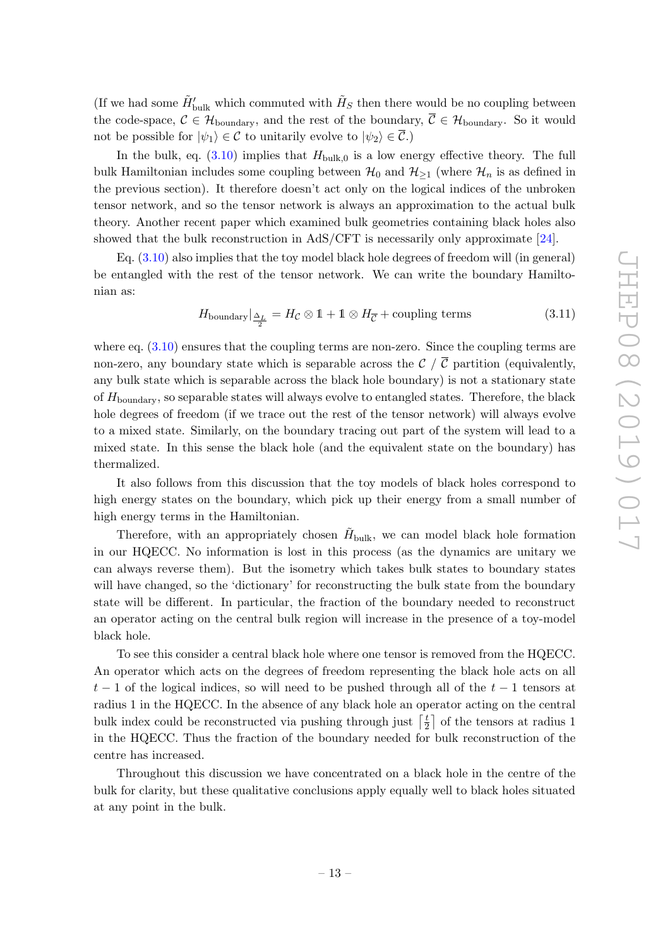(If we had some  $\tilde{H}_{\text{bulk}}'$  which commuted with  $\tilde{H}_S$  then there would be no coupling between the code-space,  $\mathcal{C} \in \mathcal{H}_{\text{boundary}}$ , and the rest of the boundary,  $\overline{\mathcal{C}} \in \mathcal{H}_{\text{boundary}}$ . So it would not be possible for  $|\psi_1\rangle \in \mathcal{C}$  to unitarily evolve to  $|\psi_2\rangle \in \overline{\mathcal{C}}$ .)

In the bulk, eq.  $(3.10)$  implies that  $H_{\text{bulk},0}$  is a low energy effective theory. The full bulk Hamiltonian includes some coupling between  $\mathcal{H}_0$  and  $\mathcal{H}_{\geq 1}$  (where  $\mathcal{H}_n$  is as defined in the previous section). It therefore doesn't act only on the logical indices of the unbroken tensor network, and so the tensor network is always an approximation to the actual bulk theory. Another recent paper which examined bulk geometries containing black holes also showed that the bulk reconstruction in AdS/CFT is necessarily only approximate [\[24\]](#page-62-13).

Eq. [\(3.10\)](#page-13-0) also implies that the toy model black hole degrees of freedom will (in general) be entangled with the rest of the tensor network. We can write the boundary Hamiltonian as:

$$
H_{\text{boundary}}|_{\frac{\Delta_L}{2}} = H_{\mathcal{C}} \otimes 1 + 1 \otimes H_{\overline{\mathcal{C}}} + \text{coupling terms} \tag{3.11}
$$

where eq.  $(3.10)$  ensures that the coupling terms are non-zero. Since the coupling terms are non-zero, any boundary state which is separable across the  $\mathcal{C}$  /  $\overline{\mathcal{C}}$  partition (equivalently, any bulk state which is separable across the black hole boundary) is not a stationary state of  $H_{\text{boundary}}$ , so separable states will always evolve to entangled states. Therefore, the black hole degrees of freedom (if we trace out the rest of the tensor network) will always evolve to a mixed state. Similarly, on the boundary tracing out part of the system will lead to a mixed state. In this sense the black hole (and the equivalent state on the boundary) has thermalized.

It also follows from this discussion that the toy models of black holes correspond to high energy states on the boundary, which pick up their energy from a small number of high energy terms in the Hamiltonian.

Therefore, with an appropriately chosen  $H_{\text{bulk}}$ , we can model black hole formation in our HQECC. No information is lost in this process (as the dynamics are unitary we can always reverse them). But the isometry which takes bulk states to boundary states will have changed, so the 'dictionary' for reconstructing the bulk state from the boundary state will be different. In particular, the fraction of the boundary needed to reconstruct an operator acting on the central bulk region will increase in the presence of a toy-model black hole.

To see this consider a central black hole where one tensor is removed from the HQECC. An operator which acts on the degrees of freedom representing the black hole acts on all  $t-1$  of the logical indices, so will need to be pushed through all of the  $t-1$  tensors at radius 1 in the HQECC. In the absence of any black hole an operator acting on the central bulk index could be reconstructed via pushing through just  $\lceil \frac{t}{2} \rceil$  $\left(\frac{t}{2}\right)$  of the tensors at radius 1 in the HQECC. Thus the fraction of the boundary needed for bulk reconstruction of the centre has increased.

Throughout this discussion we have concentrated on a black hole in the centre of the bulk for clarity, but these qualitative conclusions apply equally well to black holes situated at any point in the bulk.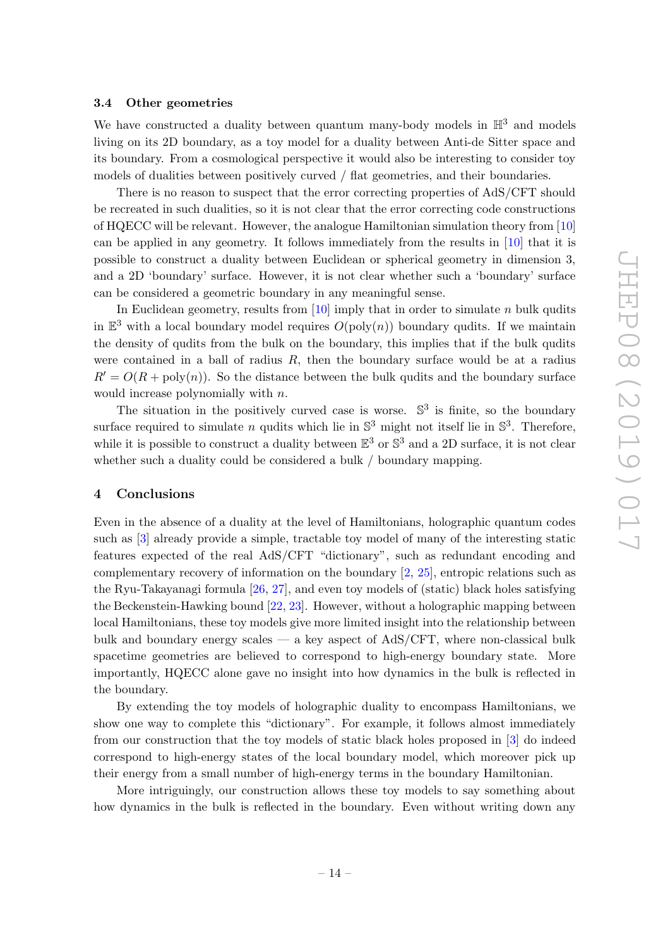### <span id="page-15-0"></span>3.4 Other geometries

We have constructed a duality between quantum many-body models in  $\mathbb{H}^3$  and models living on its 2D boundary, as a toy model for a duality between Anti-de Sitter space and its boundary. From a cosmological perspective it would also be interesting to consider toy models of dualities between positively curved / flat geometries, and their boundaries.

There is no reason to suspect that the error correcting properties of AdS/CFT should be recreated in such dualities, so it is not clear that the error correcting code constructions of HQECC will be relevant. However, the analogue Hamiltonian simulation theory from [\[10\]](#page-62-0) can be applied in any geometry. It follows immediately from the results in [\[10\]](#page-62-0) that it is possible to construct a duality between Euclidean or spherical geometry in dimension 3, and a 2D 'boundary' surface. However, it is not clear whether such a 'boundary' surface can be considered a geometric boundary in any meaningful sense.

In Euclidean geometry, results from  $[10]$  imply that in order to simulate n bulk qudits in  $\mathbb{E}^3$  with a local boundary model requires  $O(poly(n))$  boundary qudits. If we maintain the density of qudits from the bulk on the boundary, this implies that if the bulk qudits were contained in a ball of radius  $R$ , then the boundary surface would be at a radius  $R' = O(R + \text{poly}(n))$ . So the distance between the bulk qudits and the boundary surface would increase polynomially with n.

The situation in the positively curved case is worse.  $\mathbb{S}^3$  is finite, so the boundary surface required to simulate *n* qudits which lie in  $\mathbb{S}^3$  might not itself lie in  $\mathbb{S}^3$ . Therefore, while it is possible to construct a duality between  $\mathbb{E}^3$  or  $\mathbb{S}^3$  and a 2D surface, it is not clear whether such a duality could be considered a bulk / boundary mapping.

### <span id="page-15-1"></span>4 Conclusions

Even in the absence of a duality at the level of Hamiltonians, holographic quantum codes such as [\[3\]](#page-61-2) already provide a simple, tractable toy model of many of the interesting static features expected of the real AdS/CFT "dictionary", such as redundant encoding and complementary recovery of information on the boundary [\[2,](#page-61-1) [25\]](#page-62-14), entropic relations such as the Ryu-Takayanagi formula [\[26,](#page-62-15) [27\]](#page-62-16), and even toy models of (static) black holes satisfying the Beckenstein-Hawking bound [\[22,](#page-62-11) [23\]](#page-62-12). However, without a holographic mapping between local Hamiltonians, these toy models give more limited insight into the relationship between bulk and boundary energy scales — a key aspect of  $AdS/CFT$ , where non-classical bulk spacetime geometries are believed to correspond to high-energy boundary state. More importantly, HQECC alone gave no insight into how dynamics in the bulk is reflected in the boundary.

By extending the toy models of holographic duality to encompass Hamiltonians, we show one way to complete this "dictionary". For example, it follows almost immediately from our construction that the toy models of static black holes proposed in [\[3\]](#page-61-2) do indeed correspond to high-energy states of the local boundary model, which moreover pick up their energy from a small number of high-energy terms in the boundary Hamiltonian.

More intriguingly, our construction allows these toy models to say something about how dynamics in the bulk is reflected in the boundary. Even without writing down any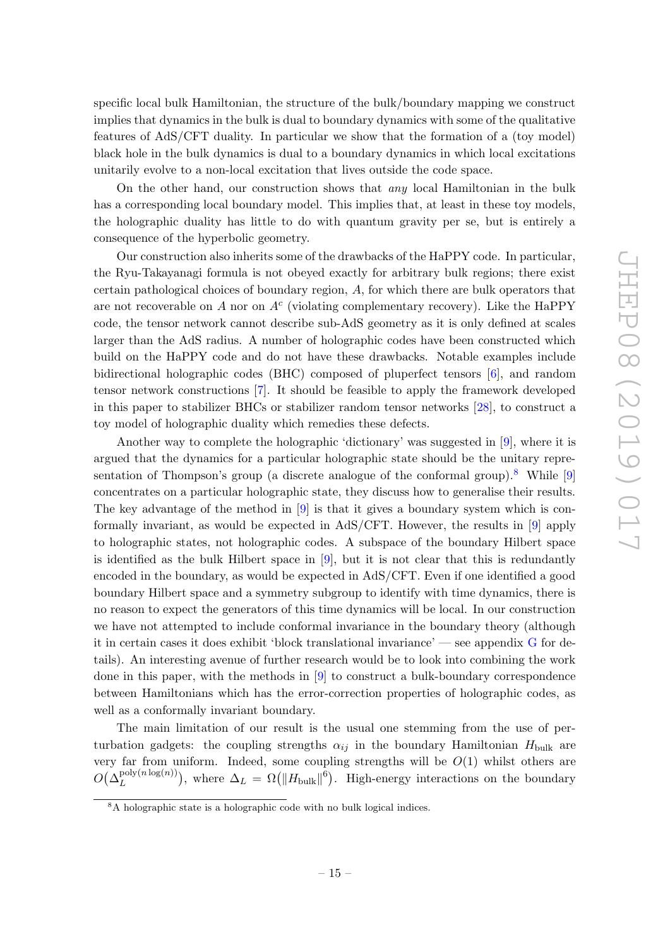specific local bulk Hamiltonian, the structure of the bulk/boundary mapping we construct implies that dynamics in the bulk is dual to boundary dynamics with some of the qualitative features of AdS/CFT duality. In particular we show that the formation of a (toy model) black hole in the bulk dynamics is dual to a boundary dynamics in which local excitations unitarily evolve to a non-local excitation that lives outside the code space.

On the other hand, our construction shows that any local Hamiltonian in the bulk has a corresponding local boundary model. This implies that, at least in these toy models, the holographic duality has little to do with quantum gravity per se, but is entirely a consequence of the hyperbolic geometry.

Our construction also inherits some of the drawbacks of the HaPPY code. In particular, the Ryu-Takayanagi formula is not obeyed exactly for arbitrary bulk regions; there exist certain pathological choices of boundary region, A, for which there are bulk operators that are not recoverable on A nor on  $A<sup>c</sup>$  (violating complementary recovery). Like the HaPPY code, the tensor network cannot describe sub-AdS geometry as it is only defined at scales larger than the AdS radius. A number of holographic codes have been constructed which build on the HaPPY code and do not have these drawbacks. Notable examples include bidirectional holographic codes (BHC) composed of pluperfect tensors [\[6\]](#page-61-4), and random tensor network constructions [\[7\]](#page-61-6). It should be feasible to apply the framework developed in this paper to stabilizer BHCs or stabilizer random tensor networks [\[28\]](#page-62-17), to construct a toy model of holographic duality which remedies these defects.

Another way to complete the holographic 'dictionary' was suggested in [\[9\]](#page-61-3), where it is argued that the dynamics for a particular holographic state should be the unitary repre-sentation of Thompson's group (a discrete analogue of the conformal group).<sup>[8](#page-16-0)</sup> While [\[9\]](#page-61-3) concentrates on a particular holographic state, they discuss how to generalise their results. The key advantage of the method in [\[9\]](#page-61-3) is that it gives a boundary system which is conformally invariant, as would be expected in AdS/CFT. However, the results in [\[9\]](#page-61-3) apply to holographic states, not holographic codes. A subspace of the boundary Hilbert space is identified as the bulk Hilbert space in  $[9]$ , but it is not clear that this is redundantly encoded in the boundary, as would be expected in AdS/CFT. Even if one identified a good boundary Hilbert space and a symmetry subgroup to identify with time dynamics, there is no reason to expect the generators of this time dynamics will be local. In our construction we have not attempted to include conformal invariance in the boundary theory (although it in certain cases it does exhibit 'block translational invariance' — see appendix [G](#page-59-0) for details). An interesting avenue of further research would be to look into combining the work done in this paper, with the methods in [\[9\]](#page-61-3) to construct a bulk-boundary correspondence between Hamiltonians which has the error-correction properties of holographic codes, as well as a conformally invariant boundary.

The main limitation of our result is the usual one stemming from the use of perturbation gadgets: the coupling strengths  $\alpha_{ij}$  in the boundary Hamiltonian  $H_{\text{bulk}}$  are very far from uniform. Indeed, some coupling strengths will be  $O(1)$  whilst others are  $O(\Delta_L^{\operatorname{poly}(n\log(n))})$  $L_L^{\text{poly}(n \log(n))}$ , where  $\Delta_L = \Omega(||H_{\text{bulk}}||^6)$ . High-energy interactions on the boundary

<span id="page-16-0"></span><sup>&</sup>lt;sup>8</sup>A holographic state is a holographic code with no bulk logical indices.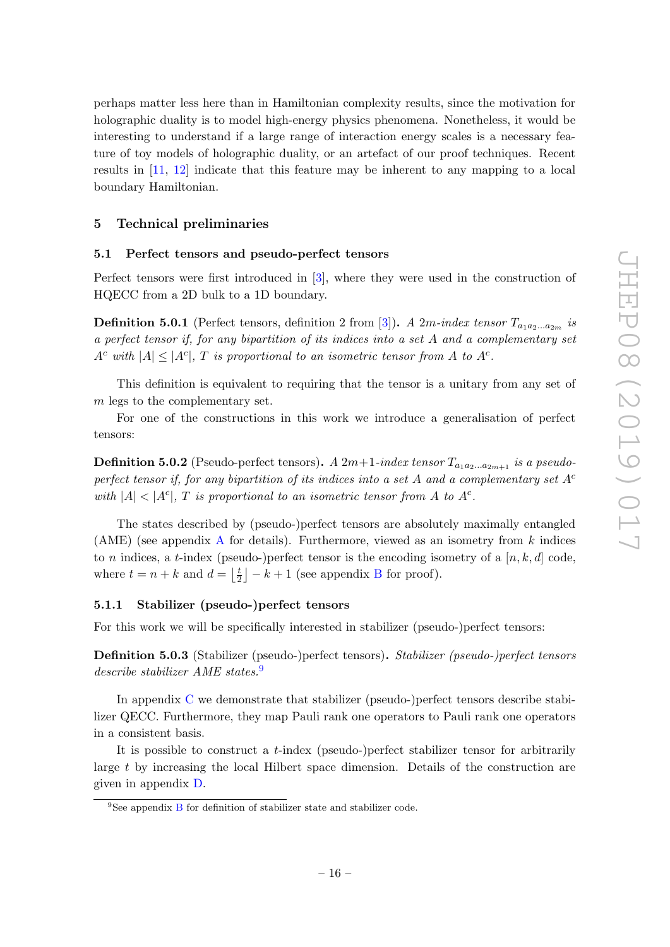perhaps matter less here than in Hamiltonian complexity results, since the motivation for holographic duality is to model high-energy physics phenomena. Nonetheless, it would be interesting to understand if a large range of interaction energy scales is a necessary feature of toy models of holographic duality, or an artefact of our proof techniques. Recent results in [\[11,](#page-62-1) [12\]](#page-62-2) indicate that this feature may be inherent to any mapping to a local boundary Hamiltonian.

# <span id="page-17-0"></span>5 Technical preliminaries

#### <span id="page-17-1"></span>5.1 Perfect tensors and pseudo-perfect tensors

Perfect tensors were first introduced in [\[3\]](#page-61-2), where they were used in the construction of HQECC from a 2D bulk to a 1D boundary.

**Definition 5.0.1** (Perfect tensors, definition 2 from [\[3\]](#page-61-2)). A 2m-index tensor  $T_{a_1a_2...a_{2m}}$  is a perfect tensor if, for any bipartition of its indices into a set A and a complementary set  $A^c$  with  $|A| \leq |A^c|$ , T is proportional to an isometric tensor from A to  $A^c$ .

This definition is equivalent to requiring that the tensor is a unitary from any set of m legs to the complementary set.

For one of the constructions in this work we introduce a generalisation of perfect tensors:

**Definition 5.0.2** (Pseudo-perfect tensors). A  $2m+1$ -index tensor  $T_{a_1a_2...a_{2m+1}}$  is a pseudoperfect tensor if, for any bipartition of its indices into a set A and a complementary set  $A<sup>c</sup>$ with  $|A| < |A^c|$ , T is proportional to an isometric tensor from A to  $A^c$ .

The states described by (pseudo-)perfect tensors are absolutely maximally entangled ([A](#page-47-0)ME) (see appendix A for details). Furthermore, viewed as an isometry from  $k$  indices to n indices, a t-index (pseudo-)perfect tensor is the encoding isometry of a  $[n, k, d]$  code, where  $t = n + k$  and  $d = \left\lfloor \frac{t}{2} \right\rfloor$  $\frac{t}{2}$  |  $-k+1$  (see appendix [B](#page-48-0) for proof).

### <span id="page-17-2"></span>5.1.1 Stabilizer (pseudo-)perfect tensors

For this work we will be specifically interested in stabilizer (pseudo-)perfect tensors:

Definition 5.0.3 (Stabilizer (pseudo-)perfect tensors). Stabilizer (pseudo-)perfect tensors describe stabilizer AME states.[9](#page-17-3)

In appendix [C](#page-50-0) we demonstrate that stabilizer (pseudo-)perfect tensors describe stabilizer QECC. Furthermore, they map Pauli rank one operators to Pauli rank one operators in a consistent basis.

It is possible to construct a t-index (pseudo-)perfect stabilizer tensor for arbitrarily large t by increasing the local Hilbert space dimension. Details of the construction are given in appendix [D.](#page-51-0)

<span id="page-17-3"></span><sup>&</sup>lt;sup>9</sup>See appendix [B](#page-48-0) for definition of stabilizer state and stabilizer code.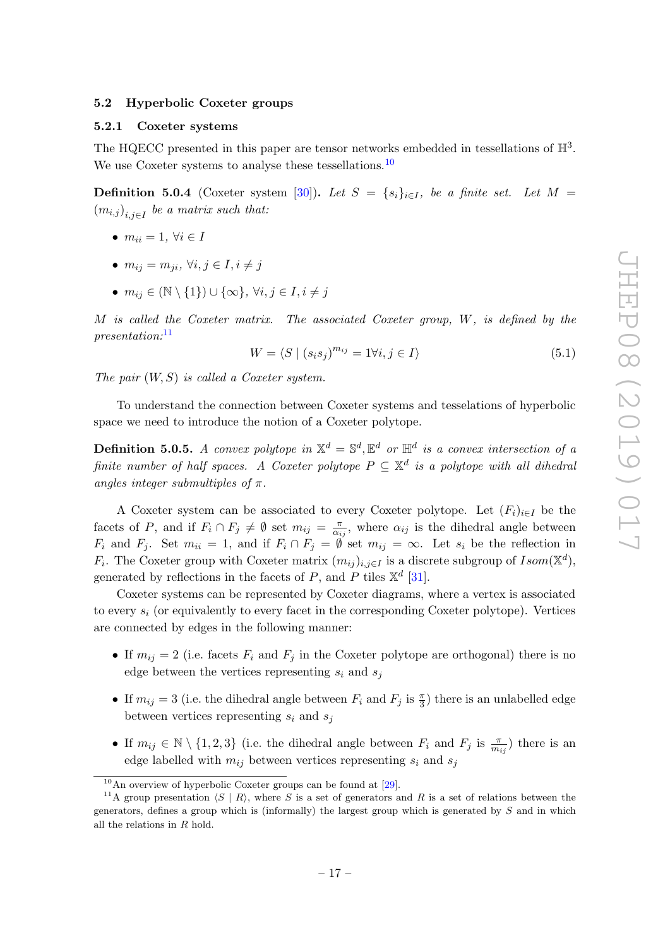### <span id="page-18-0"></span>5.2 Hyperbolic Coxeter groups

### <span id="page-18-1"></span>5.2.1 Coxeter systems

The HQECC presented in this paper are tensor networks embedded in tessellations of  $\mathbb{H}^3$ . We use Coxeter systems to analyse these tessellations.<sup>[10](#page-18-2)</sup>

**Definition 5.0.4** (Coxeter system [\[30\]](#page-62-18)). Let  $S = \{s_i\}_{i \in I}$ , be a finite set. Let  $M =$  $(m_{i,j})_{i,j\in I}$  be a matrix such that:

- $m_{ii} = 1, \forall i \in I$
- $m_{ii} = m_{ji}, \forall i, j \in I, i \neq j$
- $m_{ij} \in (\mathbb{N} \setminus \{1\}) \cup \{\infty\}, \forall i, j \in I, i \neq j$

M is called the Coxeter matrix. The associated Coxeter group, W, is defined by the presentation:[11](#page-18-3)

$$
W = \langle S \mid (s_i s_j)^{m_{ij}} = 1 \forall i, j \in I \rangle \tag{5.1}
$$

The pair  $(W, S)$  is called a Coxeter system.

To understand the connection between Coxeter systems and tesselations of hyperbolic space we need to introduce the notion of a Coxeter polytope.

**Definition 5.0.5.** A convex polytope in  $\mathbb{X}^d = \mathbb{S}^d$ ,  $\mathbb{E}^d$  or  $\mathbb{H}^d$  is a convex intersection of a finite number of half spaces. A Coxeter polytope  $P \subseteq \mathbb{X}^d$  is a polytope with all dihedral angles integer submultiples of  $\pi$ .

A Coxeter system can be associated to every Coxeter polytope. Let  $(F_i)_{i\in I}$  be the facets of P, and if  $F_i \cap F_j \neq \emptyset$  set  $m_{ij} = \frac{\pi}{\alpha_i}$  $\frac{\pi}{\alpha_{ij}}$ , where  $\alpha_{ij}$  is the dihedral angle between  $F_i$  and  $F_j$ . Set  $m_{ii} = 1$ , and if  $F_i \cap F_j = \emptyset$  set  $m_{ij} = \infty$ . Let  $s_i$  be the reflection in  $F_i$ . The Coxeter group with Coxeter matrix  $(m_{ij})_{i,j\in I}$  is a discrete subgroup of  $Isom(\mathbb{X}^d)$ , generated by reflections in the facets of P, and P tiles  $\mathbb{X}^d$  [\[31\]](#page-62-19).

Coxeter systems can be represented by Coxeter diagrams, where a vertex is associated to every  $s_i$  (or equivalently to every facet in the corresponding Coxeter polytope). Vertices are connected by edges in the following manner:

- If  $m_{ij} = 2$  (i.e. facets  $F_i$  and  $F_j$  in the Coxeter polytope are orthogonal) there is no edge between the vertices representing  $s_i$  and  $s_j$
- If  $m_{ij} = 3$  (i.e. the dihedral angle between  $F_i$  and  $F_j$  is  $\frac{\pi}{3}$ ) there is an unlabelled edge between vertices representing  $s_i$  and  $s_j$
- If  $m_{ij} \in \mathbb{N} \setminus \{1,2,3\}$  (i.e. the dihedral angle between  $F_i$  and  $F_j$  is  $\frac{\pi}{m_{ij}}$ ) there is an edge labelled with  $m_{ij}$  between vertices representing  $s_i$  and  $s_j$

<span id="page-18-3"></span><span id="page-18-2"></span> $10$ An overview of hyperbolic Coxeter groups can be found at [\[29\]](#page-62-20).

<sup>&</sup>lt;sup>11</sup>A group presentation  $\langle S | R \rangle$ , where S is a set of generators and R is a set of relations between the generators, defines a group which is (informally) the largest group which is generated by  $S$  and in which all the relations in R hold.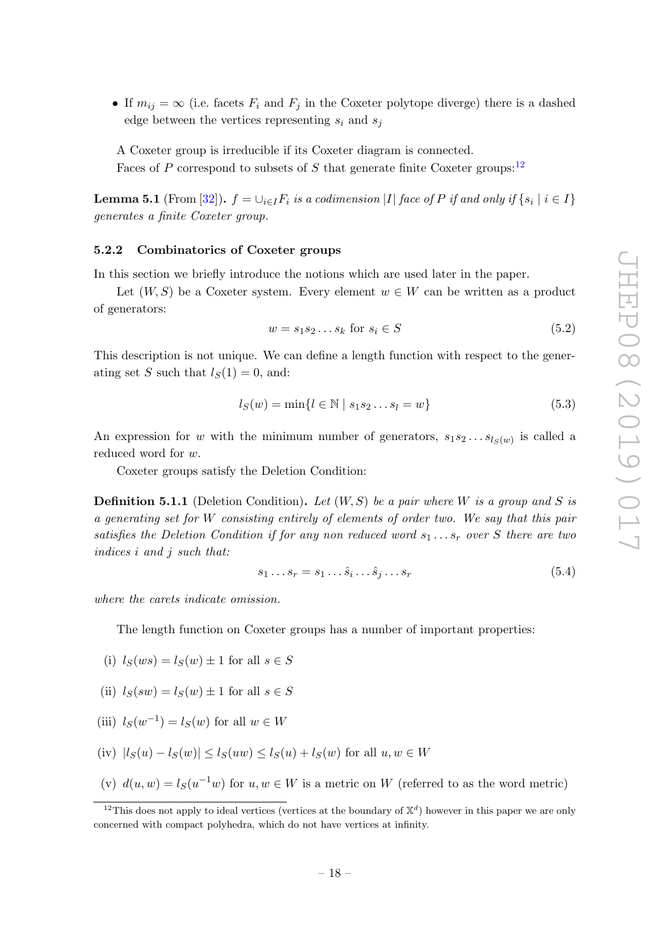• If  $m_{ij} = \infty$  (i.e. facets  $F_i$  and  $F_j$  in the Coxeter polytope diverge) there is a dashed edge between the vertices representing  $s_i$  and  $s_j$ 

A Coxeter group is irreducible if its Coxeter diagram is connected. Faces of P correspond to subsets of S that generate finite Coxeter groups:<sup>[12](#page-19-1)</sup>

<span id="page-19-2"></span>**Lemma 5.1** (From [\[32\]](#page-63-0)).  $f = \cup_{i \in I} F_i$  is a codimension  $|I|$  face of  $P$  if and only if  $\{s_i \mid i \in I\}$ generates a finite Coxeter group.

### <span id="page-19-0"></span>5.2.2 Combinatorics of Coxeter groups

In this section we briefly introduce the notions which are used later in the paper.

Let  $(W, S)$  be a Coxeter system. Every element  $w \in W$  can be written as a product of generators:

$$
w = s_1 s_2 \dots s_k \text{ for } s_i \in S \tag{5.2}
$$

This description is not unique. We can define a length function with respect to the generating set S such that  $l_S(1) = 0$ , and:

$$
l_S(w) = \min\{l \in \mathbb{N} \mid s_1 s_2 \dots s_l = w\}
$$
\n(5.3)

An expression for w with the minimum number of generators,  $s_1 s_2 \dots s_{l_S(w)}$  is called a reduced word for w.

Coxeter groups satisfy the Deletion Condition:

<span id="page-19-3"></span>**Definition 5.1.1** (Deletion Condition). Let  $(W, S)$  be a pair where W is a group and S is a generating set for W consisting entirely of elements of order two. We say that this pair satisfies the Deletion Condition if for any non reduced word  $s_1 \ldots s_r$  over S there are two indices i and j such that:

$$
s_1 \dots s_r = s_1 \dots \hat{s}_i \dots \hat{s}_j \dots s_r \tag{5.4}
$$

where the carets indicate omission.

The length function on Coxeter groups has a number of important properties:

- (i)  $l_S(ws) = l_S(w) \pm 1$  for all  $s \in S$
- (ii)  $l_S(sw) = l_S(w) \pm 1$  for all  $s \in S$
- (iii)  $l_S(w^{-1}) = l_S(w)$  for all  $w \in W$
- (iv)  $|l_S(u) l_S(w)| \le l_S(uw) \le l_S(u) + l_S(w)$  for all  $u, w \in W$
- (v)  $d(u, w) = l_S(u^{-1}w)$  for  $u, w \in W$  is a metric on W (referred to as the word metric)

<span id="page-19-1"></span><sup>&</sup>lt;sup>12</sup>This does not apply to ideal vertices (vertices at the boundary of  $\mathbb{X}^d$ ) however in this paper we are only concerned with compact polyhedra, which do not have vertices at infinity.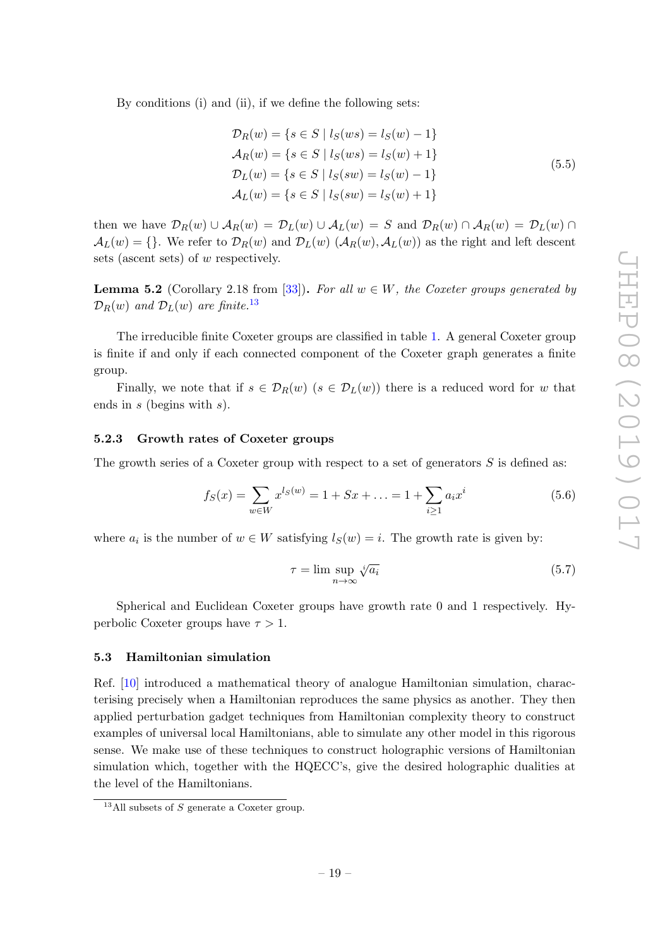By conditions (i) and (ii), if we define the following sets:

$$
\mathcal{D}_R(w) = \{ s \in S \mid l_S(ws) = l_S(w) - 1 \}
$$
  
\n
$$
\mathcal{A}_R(w) = \{ s \in S \mid l_S(ws) = l_S(w) + 1 \}
$$
  
\n
$$
\mathcal{D}_L(w) = \{ s \in S \mid l_S(sw) = l_S(w) - 1 \}
$$
  
\n
$$
\mathcal{A}_L(w) = \{ s \in S \mid l_S(sw) = l_S(w) + 1 \}
$$
\n(5.5)

then we have  $\mathcal{D}_R(w) \cup \mathcal{A}_R(w) = \mathcal{D}_L(w) \cup \mathcal{A}_L(w) = S$  and  $\mathcal{D}_R(w) \cap \mathcal{A}_R(w) = \mathcal{D}_L(w) \cap \mathcal{A}_R(w)$  $\mathcal{A}_L(w) = \{\}.$  We refer to  $\mathcal{D}_R(w)$  and  $\mathcal{D}_L(w)$   $(\mathcal{A}_R(w), \mathcal{A}_L(w))$  as the right and left descents sets (ascent sets) of w respectively.

<span id="page-20-3"></span>**Lemma 5.2** (Corollary 2.18 from [\[33\]](#page-63-1)). For all  $w \in W$ , the Coxeter groups generated by  $\mathcal{D}_R(w)$  and  $\mathcal{D}_L(w)$  are finite.<sup>[13](#page-20-2)</sup>

The irreducible finite Coxeter groups are classified in table [1.](#page-21-1) A general Coxeter group is finite if and only if each connected component of the Coxeter graph generates a finite group.

Finally, we note that if  $s \in \mathcal{D}_R(w)$   $(s \in \mathcal{D}_L(w))$  there is a reduced word for w that ends in s (begins with s).

### <span id="page-20-0"></span>5.2.3 Growth rates of Coxeter groups

The growth series of a Coxeter group with respect to a set of generators  $S$  is defined as:

$$
f_S(x) = \sum_{w \in W} x^{l_S(w)} = 1 + Sx + \dots = 1 + \sum_{i \ge 1} a_i x^i \tag{5.6}
$$

where  $a_i$  is the number of  $w \in W$  satisfying  $l_S(w) = i$ . The growth rate is given by:

$$
\tau = \limsup_{n \to \infty} \sqrt[n]{a_i} \tag{5.7}
$$

Spherical and Euclidean Coxeter groups have growth rate 0 and 1 respectively. Hyperbolic Coxeter groups have  $\tau > 1$ .

# <span id="page-20-1"></span>5.3 Hamiltonian simulation

Ref. [\[10\]](#page-62-0) introduced a mathematical theory of analogue Hamiltonian simulation, characterising precisely when a Hamiltonian reproduces the same physics as another. They then applied perturbation gadget techniques from Hamiltonian complexity theory to construct examples of universal local Hamiltonians, able to simulate any other model in this rigorous sense. We make use of these techniques to construct holographic versions of Hamiltonian simulation which, together with the HQECC's, give the desired holographic dualities at the level of the Hamiltonians.

<span id="page-20-2"></span><sup>&</sup>lt;sup>13</sup>All subsets of S generate a Coxeter group.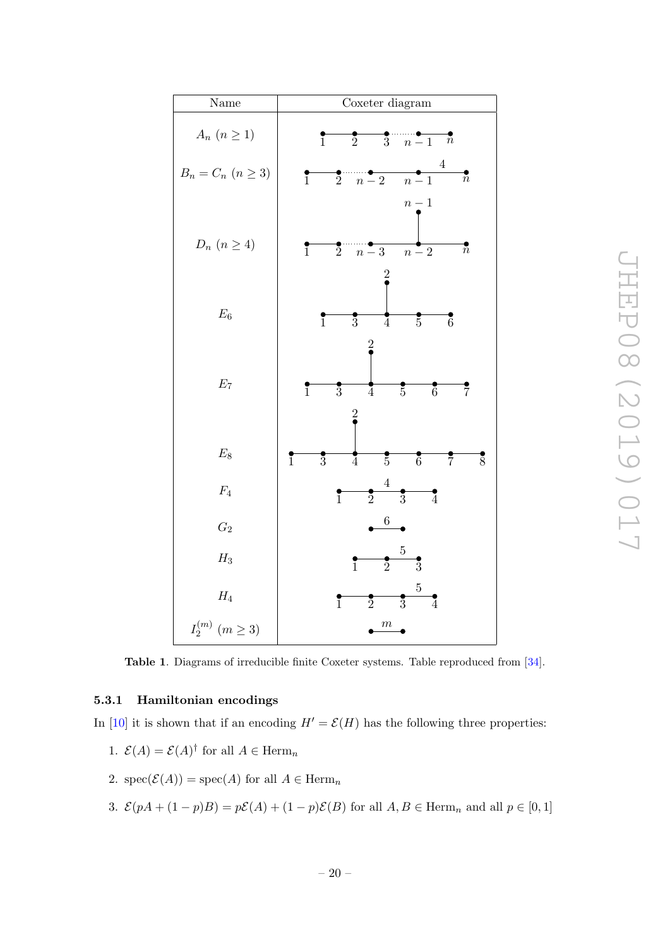| Name                     | Coxeter diagram                                                                                                      |
|--------------------------|----------------------------------------------------------------------------------------------------------------------|
| $A_n$ $(n \geq 1)$       | $\frac{1}{3}$ $\frac{1}{n-1}$<br>$\overline{n}$<br>$\overline{2}$<br>$\overline{1}$                                  |
| $B_n = C_n$ $(n \geq 3)$ | $\overline{4}$<br>$\frac{1}{n-2}$<br>$\frac{•}{2}$<br>$\vec{n}$<br>$\overline{1}$<br>$n-1$<br>$n-1$                  |
| $D_n$ $(n \geq 4)$       | $\frac{1}{2}$<br>$\bar{n}$<br>$n-3$<br>$\overline{n-2}$<br>$\overline{1}$                                            |
| $\mathcal{E}_6$          | $\overline{6}$<br>$\overline{3}$<br>$\overline{5}$<br>$\overline{1}$<br>$\overline{4}$                               |
| $\mathcal{E}_7$          | $\overline{7}$<br>$\overline{3}$<br>$\overline{5}$<br>$\overline{6}$<br>$\overline{1}$<br>$\overline{4}$             |
| $\mathcal{E}_8$          | $\overline{1}$<br>$\overline{3}$<br>$\overline{5}$<br>$\overline{6}$<br>$\overline{8}$<br>$\frac{1}{4}$<br>$\bar{7}$ |
| $\mathbb{F}_4$           | $\overline{4}$<br>$\frac{1}{2}$<br>$\overline{3}$<br>$\frac{•}{4}$<br>$\overline{1}$                                 |
| $\mathcal{G}_2$          | $\boldsymbol{6}$                                                                                                     |
| $H_3$                    | $\overline{5}$<br>$\frac{1}{2}$<br>$\overline{3}$<br>$\overline{1}$                                                  |
| $\mathcal{H}_4$          | $\overline{5}$<br>$\overline{2}$<br>$\overline{3}$<br>$\frac{1}{4}$<br>$\overline{1}$                                |
| $I_2^{(m)}\ (m\geq 3)$   | $\,m$                                                                                                                |

<span id="page-21-1"></span>Table 1. Diagrams of irreducible finite Coxeter systems. Table reproduced from [\[34\]](#page-63-2).

### <span id="page-21-0"></span>5.3.1 Hamiltonian encodings

In [\[10\]](#page-62-0) it is shown that if an encoding  $H' = \mathcal{E}(H)$  has the following three properties:

- 1.  $\mathcal{E}(A) = \mathcal{E}(A)^{\dagger}$  for all  $A \in \text{Herm}_n$
- 2.  $spec(\mathcal{E}(A)) = spec(A)$  for all  $A \in \text{Herm}_n$
- 3.  $\mathcal{E}(pA + (1-p)B) = p\mathcal{E}(A) + (1-p)\mathcal{E}(B)$  for all  $A, B \in \text{Herm}_n$  and all  $p \in [0, 1]$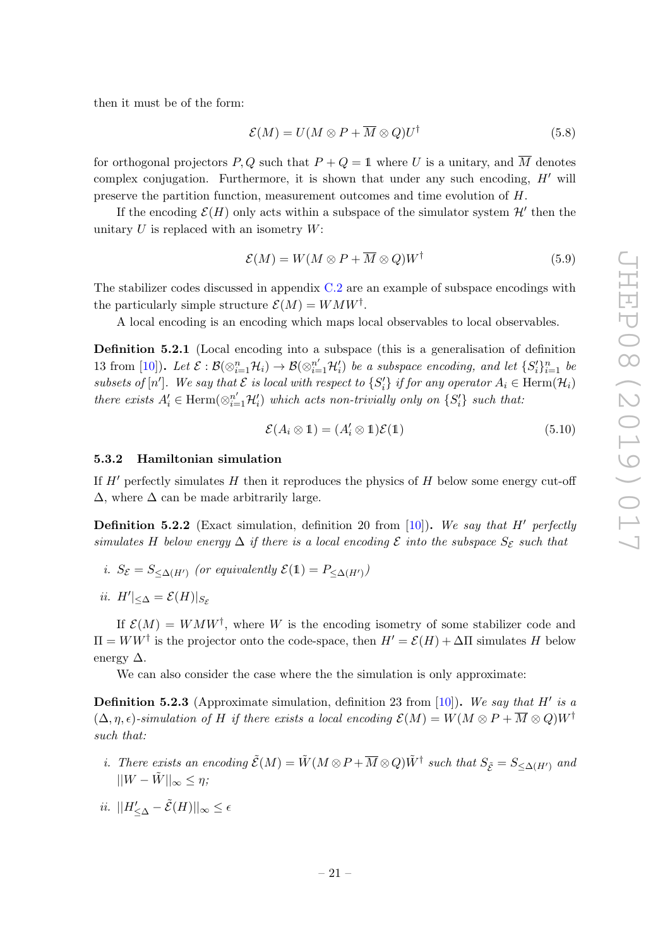then it must be of the form:

$$
\mathcal{E}(M) = U(M \otimes P + \overline{M} \otimes Q)U^{\dagger} \tag{5.8}
$$

for orthogonal projectors P, Q such that  $P + Q = 1$  where U is a unitary, and  $\overline{M}$  denotes complex conjugation. Furthermore, it is shown that under any such encoding,  $H'$  will preserve the partition function, measurement outcomes and time evolution of H.

If the encoding  $\mathcal{E}(H)$  only acts within a subspace of the simulator system  $\mathcal{H}'$  then the unitary  $U$  is replaced with an isometry  $W$ :

$$
\mathcal{E}(M) = W(M \otimes P + \overline{M} \otimes Q)W^{\dagger} \tag{5.9}
$$

The stabilizer codes discussed in appendix  $C.2$  are an example of subspace encodings with the particularly simple structure  $\mathcal{E}(M) = W M W^{\dagger}$ .

A local encoding is an encoding which maps local observables to local observables.

Definition 5.2.1 (Local encoding into a subspace (this is a generalisation of definition 13 from [\[10\]](#page-62-0)). Let  $\mathcal{E}: \mathcal{B}(\otimes_{i=1}^n \mathcal{H}_i) \to \mathcal{B}(\otimes_{i=1}^{n'} \mathcal{H}'_i)$  be a subspace encoding, and let  $\{S_i'\}_{i=1}^n$  be subsets of  $[n']$ . We say that  $\mathcal E$  is local with respect to  $\{S_i'\}$  if for any operator  $A_i \in \text{Herm}(\mathcal H_i)$ there exists  $A'_i \in \text{Herm}(\otimes_{i=1}^{n'} \mathcal{H}'_i)$  which acts non-trivially only on  $\{S'_i\}$  such that:

$$
\mathcal{E}(A_i \otimes 1) = (A'_i \otimes 1)\mathcal{E}(1) \tag{5.10}
$$

### <span id="page-22-0"></span>5.3.2 Hamiltonian simulation

If  $H'$  perfectly simulates H then it reproduces the physics of H below some energy cut-off  $\Delta$ , where  $\Delta$  can be made arbitrarily large.

**Definition 5.2.2** (Exact simulation, definition 20 from [\[10\]](#page-62-0)). We say that H' perfectly simulates H below energy  $\Delta$  if there is a local encoding  $\mathcal E$  into the subspace  $S_{\mathcal E}$  such that

- i.  $S_{\mathcal{E}} = S_{\leq \Delta(H')}$  (or equivalently  $\mathcal{E}(1) = P_{\leq \Delta(H')}$ )
- ii.  $H'|_{\leq \Delta} = \mathcal{E}(H)|_{S_{\mathcal{E}}}$

If  $\mathcal{E}(M) = W M W^{\dagger}$ , where W is the encoding isometry of some stabilizer code and  $\Pi = WW^{\dagger}$  is the projector onto the code-space, then  $H' = \mathcal{E}(H) + \Delta \Pi$  simulates H below energy  $\Delta$ .

We can also consider the case where the the simulation is only approximate:

<span id="page-22-1"></span>**Definition 5.2.3** (Approximate simulation, definition 23 from [\[10\]](#page-62-0)). We say that H' is a  $(\Delta, \eta, \epsilon)$ -simulation of H if there exists a local encoding  $\mathcal{E}(M) = W(M \otimes P + \overline{M} \otimes Q)W^{\dagger}$ such that:

- i. There exists an encoding  $\tilde{\mathcal{E}}(M) = \tilde{W}(M \otimes P + \overline{M} \otimes Q)\tilde{W}^{\dagger}$  such that  $S_{\tilde{\mathcal{E}}} = S_{\leq \Delta(H')}$  and  $||W - \tilde{W}||_{\infty} \leq \eta;$
- ii.  $||H'_{\leq \Delta} \tilde{\mathcal{E}}(H)||_{\infty} \leq \epsilon$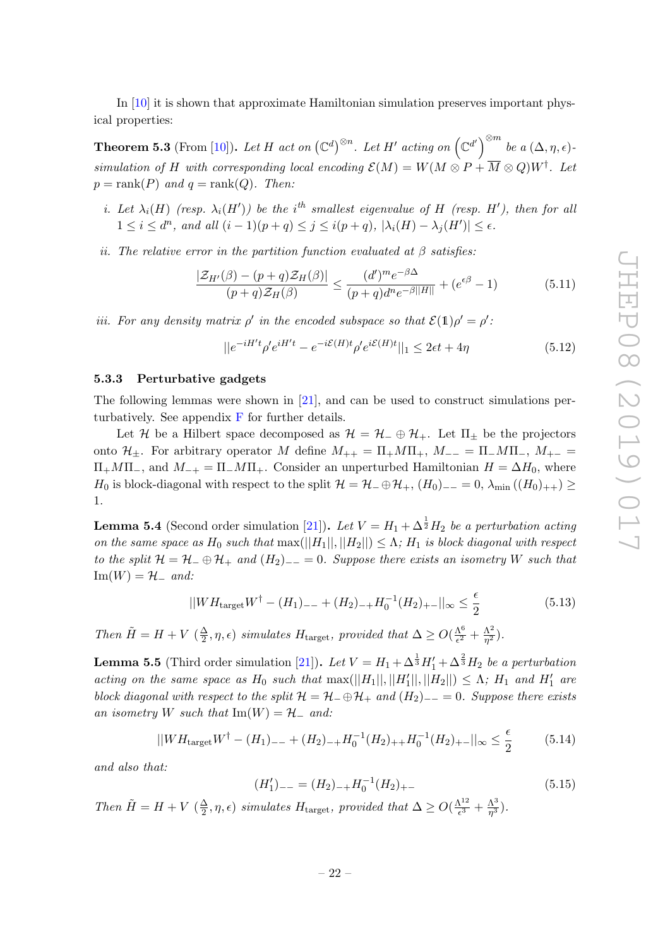In [\[10\]](#page-62-0) it is shown that approximate Hamiltonian simulation preserves important physical properties:

<span id="page-23-3"></span>**Theorem 5.3** (From [\[10\]](#page-62-0)). Let H act on  $(\mathbb{C}^d)^{\otimes n}$ . Let H' acting on  $(\mathbb{C}^{d'})^{\otimes m}$  be a  $(\Delta, \eta, \epsilon)$ . simulation of H with corresponding local encoding  $\mathcal{E}(M) = W(M \otimes P + \overline{M} \otimes Q)W^{\dagger}$ . Let  $p = \text{rank}(P)$  and  $q = \text{rank}(Q)$ . Then:

- i. Let  $\lambda_i(H)$  (resp.  $\lambda_i(H')$ ) be the i<sup>th</sup> smallest eigenvalue of H (resp. H'), then for all  $1 \leq i \leq d^n$ , and all  $(i-1)(p+q) \leq j \leq i(p+q)$ ,  $|\lambda_i(H) - \lambda_j(H')| \leq \epsilon$ .
- ii. The relative error in the partition function evaluated at  $\beta$  satisfies:

$$
\frac{|\mathcal{Z}_{H'}(\beta) - (p+q)\mathcal{Z}_{H}(\beta)|}{(p+q)\mathcal{Z}_{H}(\beta)} \le \frac{(d')^{m}e^{-\beta\Delta}}{(p+q)d^{n}e^{-\beta||H||}} + (e^{\epsilon\beta} - 1)
$$
(5.11)

iii. For any density matrix  $\rho'$  in the encoded subspace so that  $\mathcal{E}(1)\rho' = \rho'$ .

$$
||e^{-iH't}\rho'e^{iH't} - e^{-i\xi(H)t}\rho'e^{i\xi(H)t}||_1 \le 2\epsilon t + 4\eta
$$
\n(5.12)

# <span id="page-23-0"></span>5.3.3 Perturbative gadgets

The following lemmas were shown in [\[21\]](#page-62-10), and can be used to construct simulations perturbatively. See appendix  $\bf{F}$  $\bf{F}$  $\bf{F}$  for further details.

Let H be a Hilbert space decomposed as  $\mathcal{H} = \mathcal{H}_- \oplus \mathcal{H}_+$ . Let  $\Pi_{\pm}$  be the projectors onto  $\mathcal{H}_{\pm}$ . For arbitrary operator M define  $M_{++} = \Pi_+ M \Pi_+$ ,  $M_{--} = \Pi_- M \Pi_-$ ,  $M_{+-} =$  $\Pi_+M\Pi_-$ , and  $M_{-+} = \Pi_-M\Pi_+$ . Consider an unperturbed Hamiltonian  $H = \Delta H_0$ , where H<sub>0</sub> is block-diagonal with respect to the split  $\mathcal{H} = \mathcal{H}_- \oplus \mathcal{H}_+$ ,  $(H_0)_{--} = 0$ ,  $\lambda_{\min} ((H_0)_{++}) \ge$ 1.

<span id="page-23-1"></span>**Lemma 5.4** (Second order simulation [\[21\]](#page-62-10)). Let  $V = H_1 + \Delta^{\frac{1}{2}}H_2$  be a perturbation acting on the same space as  $H_0$  such that  $\max(||H_1||, ||H_2||) \leq \Lambda$ ;  $H_1$  is block diagonal with respect to the split  $\mathcal{H} = \mathcal{H}_- \oplus \mathcal{H}_+$  and  $(H_2)_{--} = 0$ . Suppose there exists an isometry W such that  $\text{Im}(W) = \mathcal{H}$  and:

<span id="page-23-4"></span>
$$
||WH_{\text{target}}W^{\dagger} - (H_1)_{--} + (H_2)_{-+}H_0^{-1}(H_2)_{+-}||_{\infty} \le \frac{\epsilon}{2}
$$
\n(5.13)

Then  $\tilde{H} = H + V \left( \frac{\Delta}{2} \right)$  $\frac{\Delta}{2}$ ,  $\eta$ ,  $\epsilon$ ) simulates  $H_{\text{target}}$ , provided that  $\Delta \geq O(\frac{\Lambda^6}{\epsilon^2})$  $\frac{\Lambda^6}{\epsilon^2}+\frac{\Lambda^2}{\eta^2}$  $\frac{\Lambda^2}{\eta^2}).$ 

<span id="page-23-2"></span>**Lemma 5.5** (Third order simulation [\[21\]](#page-62-10)). Let  $V = H_1 + \Delta^{\frac{1}{3}}H'_1 + \Delta^{\frac{2}{3}}H_2$  be a perturbation acting on the same space as  $H_0$  such that  $\max(||H_1||, ||H'_1||, ||H_2||) \leq \Lambda$ ;  $H_1$  and  $H'_1$  are block diagonal with respect to the split  $\mathcal{H} = \mathcal{H}_- \oplus \mathcal{H}_+$  and  $(H_2)_{--} = 0$ . Suppose there exists an isometry W such that  $\text{Im}(W) = \mathcal{H}_-$  and:

<span id="page-23-5"></span>
$$
||WH_{\text{target}}W^{\dagger} - (H_1)_{--} + (H_2)_{-+}H_0^{-1}(H_2)_{++}H_0^{-1}(H_2)_{+-}||_{\infty} \le \frac{\epsilon}{2}
$$
 (5.14)

and also that:

<span id="page-23-6"></span>
$$
(H_1')_{--} = (H_2)_{-+}H_0^{-1}(H_2)_{+-} \tag{5.15}
$$

Then  $\tilde{H} = H + V \left( \frac{\Delta}{2} \right)$  $\frac{\Delta}{2}$ ,  $\eta$ ,  $\epsilon$ ) simulates  $H_{\text{target}}$ , provided that  $\Delta \geq O(\frac{\Lambda^{12}}{\epsilon^3})$  $\frac{\Lambda^{12}}{\epsilon^3}+\frac{\Lambda^3}{\eta^3}$  $\frac{\Lambda^3}{\eta^3}).$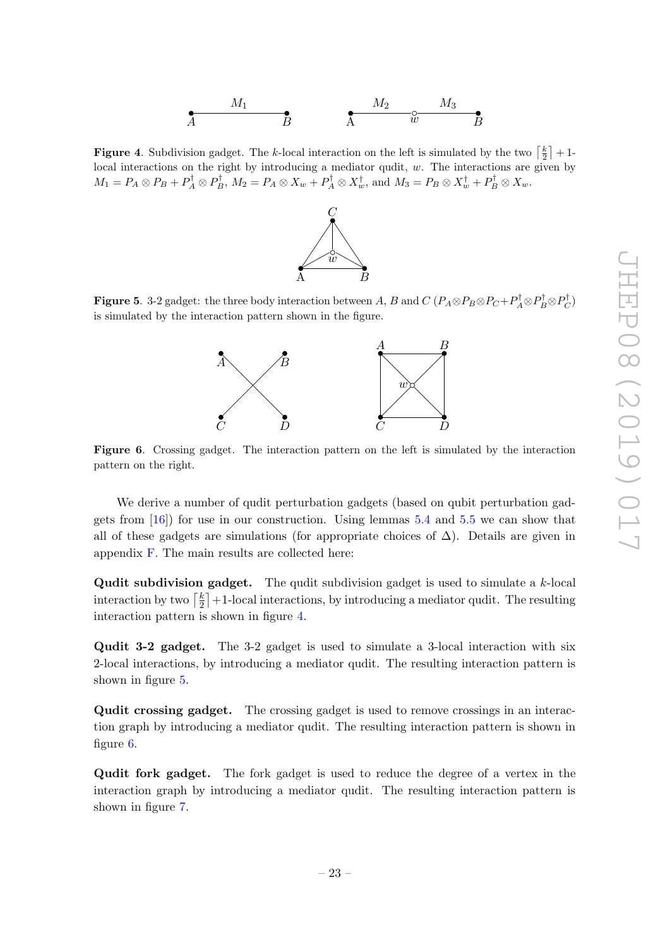<span id="page-24-0"></span>**Figure 4.** Subdivision gadget. The k-local interaction on the left is simulated by the two  $\lceil \frac{k}{2} \rceil + 1$ local interactions on the right by introducing a mediator qudit, w. The interactions are given by  $M_1 = P_A \otimes P_B + P_A^{\dagger} \otimes P_B^{\dagger}$ ,  $M_2 = P_A \otimes X_w + P_A^{\dagger} \otimes X_w^{\dagger}$ , and  $M_3 = P_B \otimes X_w^{\dagger} + P_B^{\dagger} \otimes X_w$ .



<span id="page-24-1"></span>Figure 5. 3-2 gadget: the three body interaction between A, B and  $C$   $(P_A \otimes P_B \otimes P_C + P_A^{\dagger} \otimes P_B^{\dagger} \otimes P_C^{\dagger})$ is simulated by the interaction pattern shown in the figure.



<span id="page-24-2"></span>Figure 6. Crossing gadget. The interaction pattern on the left is simulated by the interaction pattern on the right.

We derive a number of qudit perturbation gadgets (based on qubit perturbation gadgets from  $[16]$  for use in our construction. Using lemmas [5.4](#page-23-1) and [5.5](#page-23-2) we can show that all of these gadgets are simulations (for appropriate choices of  $\Delta$ ). Details are given in appendix [F.](#page-56-0) The main results are collected here:

**Qudit subdivision gadget.** The qudit subdivision gadget is used to simulate a  $k$ -local interaction by two  $\lceil \frac{k}{2} \rceil$  $\frac{k}{2}$  +1-local interactions, by introducing a mediator qudit. The resulting interaction pattern is shown in figure [4.](#page-24-0)

Qudit 3-2 gadget. The 3-2 gadget is used to simulate a 3-local interaction with six 2-local interactions, by introducing a mediator qudit. The resulting interaction pattern is shown in figure [5.](#page-24-1)

Qudit crossing gadget. The crossing gadget is used to remove crossings in an interaction graph by introducing a mediator qudit. The resulting interaction pattern is shown in figure [6.](#page-24-2)

Qudit fork gadget. The fork gadget is used to reduce the degree of a vertex in the interaction graph by introducing a mediator qudit. The resulting interaction pattern is shown in figure [7.](#page-25-3)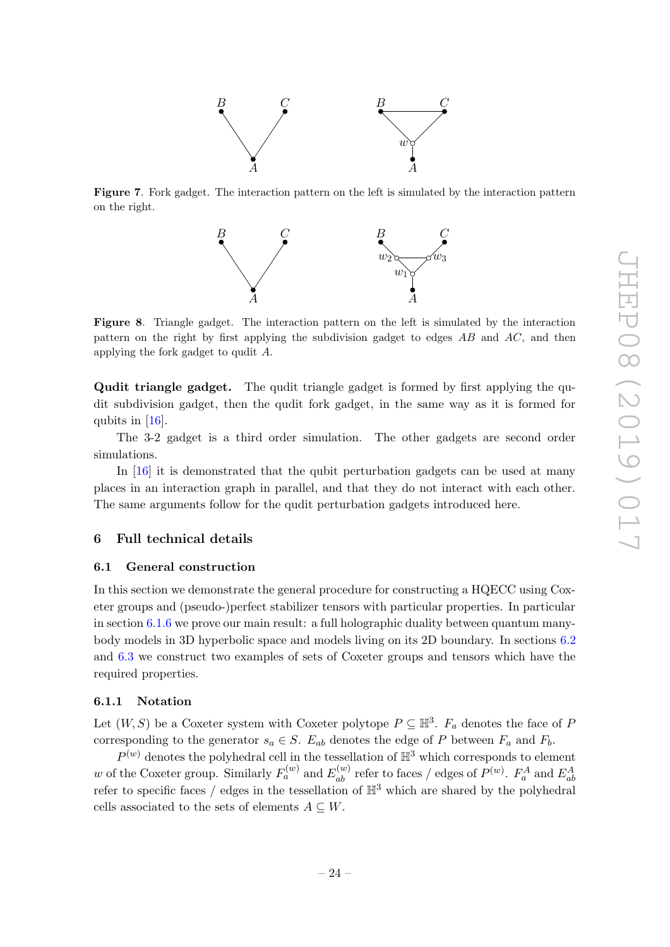

<span id="page-25-3"></span>Figure 7. Fork gadget. The interaction pattern on the left is simulated by the interaction pattern on the right.



Figure 8. Triangle gadget. The interaction pattern on the left is simulated by the interaction pattern on the right by first applying the subdivision gadget to edges  $AB$  and  $AC$ , and then applying the fork gadget to qudit A.

Qudit triangle gadget. The qudit triangle gadget is formed by first applying the qudit subdivision gadget, then the qudit fork gadget, in the same way as it is formed for qubits in [\[16\]](#page-62-4).

The 3-2 gadget is a third order simulation. The other gadgets are second order simulations.

In [\[16\]](#page-62-4) it is demonstrated that the qubit perturbation gadgets can be used at many places in an interaction graph in parallel, and that they do not interact with each other. The same arguments follow for the qudit perturbation gadgets introduced here.

### <span id="page-25-0"></span>6 Full technical details

### <span id="page-25-1"></span>6.1 General construction

In this section we demonstrate the general procedure for constructing a HQECC using Coxeter groups and (pseudo-)perfect stabilizer tensors with particular properties. In particular in section [6.1.6](#page-36-0) we prove our main result: a full holographic duality between quantum manybody models in 3D hyperbolic space and models living on its 2D boundary. In sections [6.2](#page-43-0) and [6.3](#page-45-0) we construct two examples of sets of Coxeter groups and tensors which have the required properties.

# <span id="page-25-2"></span>6.1.1 Notation

Let  $(W, S)$  be a Coxeter system with Coxeter polytope  $P \subseteq \mathbb{H}^3$ .  $F_a$  denotes the face of P corresponding to the generator  $s_a \in S$ .  $E_{ab}$  denotes the edge of P between  $F_a$  and  $F_b$ .

 $P^{(w)}$  denotes the polyhedral cell in the tessellation of  $\mathbb{H}^3$  which corresponds to element w of the Coxeter group. Similarly  $F_a^{(w)}$  and  $E_{ab}^{(w)}$  refer to faces / edges of  $P^{(w)}$ .  $F_a^A$  and  $E_{ab}^A$ refer to specific faces / edges in the tessellation of  $\mathbb{H}^3$  which are shared by the polyhedral cells associated to the sets of elements  $A \subseteq W$ .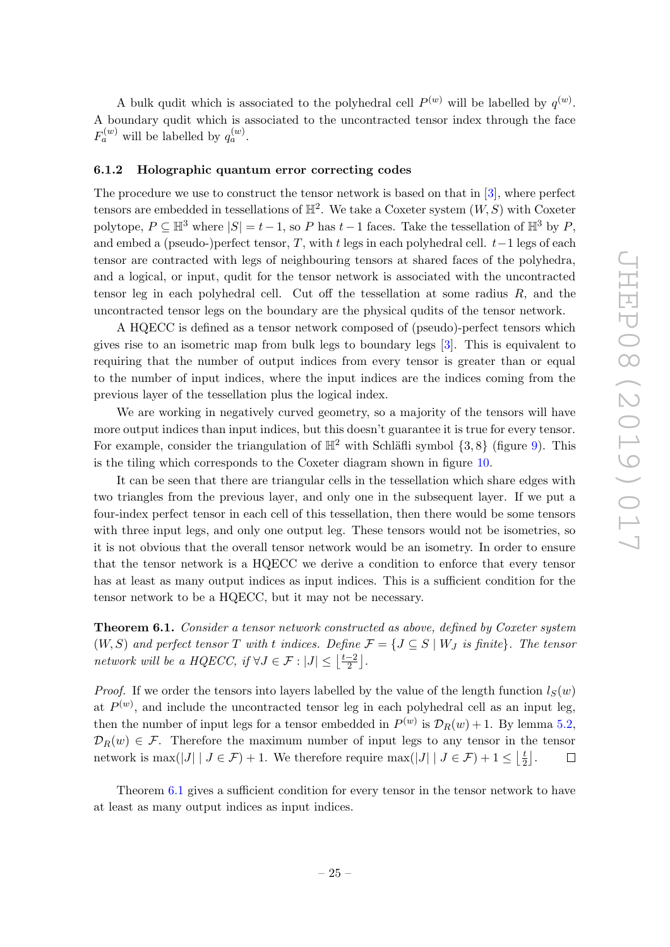A bulk qudit which is associated to the polyhedral cell  $P^{(w)}$  will be labelled by  $q^{(w)}$ . A boundary qudit which is associated to the uncontracted tensor index through the face  $F_a^{(w)}$  will be labelled by  $q_a^{(w)}$ .

#### <span id="page-26-0"></span>6.1.2 Holographic quantum error correcting codes

The procedure we use to construct the tensor network is based on that in [\[3\]](#page-61-2), where perfect tensors are embedded in tessellations of  $\mathbb{H}^2$ . We take a Coxeter system  $(W, S)$  with Coxeter polytope,  $P \subseteq \mathbb{H}^3$  where  $|S| = t-1$ , so P has  $t-1$  faces. Take the tessellation of  $\mathbb{H}^3$  by P, and embed a (pseudo-)perfect tensor, T, with t legs in each polyhedral cell.  $t-1$  legs of each tensor are contracted with legs of neighbouring tensors at shared faces of the polyhedra, and a logical, or input, qudit for the tensor network is associated with the uncontracted tensor leg in each polyhedral cell. Cut off the tessellation at some radius  $R$ , and the uncontracted tensor legs on the boundary are the physical qudits of the tensor network.

A HQECC is defined as a tensor network composed of (pseudo)-perfect tensors which gives rise to an isometric map from bulk legs to boundary legs [\[3\]](#page-61-2). This is equivalent to requiring that the number of output indices from every tensor is greater than or equal to the number of input indices, where the input indices are the indices coming from the previous layer of the tessellation plus the logical index.

We are working in negatively curved geometry, so a majority of the tensors will have more output indices than input indices, but this doesn't guarantee it is true for every tensor. For example, consider the triangulation of  $\mathbb{H}^2$  with Schläfli symbol  $\{3, 8\}$  (figure [9\)](#page-27-1). This is the tiling which corresponds to the Coxeter diagram shown in figure [10.](#page-27-2)

It can be seen that there are triangular cells in the tessellation which share edges with two triangles from the previous layer, and only one in the subsequent layer. If we put a four-index perfect tensor in each cell of this tessellation, then there would be some tensors with three input legs, and only one output leg. These tensors would not be isometries, so it is not obvious that the overall tensor network would be an isometry. In order to ensure that the tensor network is a HQECC we derive a condition to enforce that every tensor has at least as many output indices as input indices. This is a sufficient condition for the tensor network to be a HQECC, but it may not be necessary.

<span id="page-26-1"></span>**Theorem 6.1.** Consider a tensor network constructed as above, defined by Coxeter system  $(W, S)$  and perfect tensor T with t indices. Define  $\mathcal{F} = \{J \subseteq S \mid W_J \text{ is finite}\}\.$  The tensor network will be a HQECC, if  $\forall J \in \mathcal{F} : |J| \leq \left| \frac{t-2}{2} \right|$  $\frac{-2}{2}$ .

*Proof.* If we order the tensors into layers labelled by the value of the length function  $l_S(w)$ at  $P^{(w)}$ , and include the uncontracted tensor leg in each polyhedral cell as an input leg, then the number of input legs for a tensor embedded in  $P^{(w)}$  is  $\mathcal{D}_R(w) + 1$ . By lemma [5.2,](#page-20-3)  $\mathcal{D}_R(w) \in \mathcal{F}$ . Therefore the maximum number of input legs to any tensor in the tensor network is max(|J| |  $J \in \mathcal{F}$ ) + 1. We therefore require max(|J| |  $J \in \mathcal{F}$ ) + 1  $\leq$   $\lfloor \frac{t}{2} \rfloor$  $\frac{t}{2}$ .  $\Box$ 

Theorem [6.1](#page-26-1) gives a sufficient condition for every tensor in the tensor network to have at least as many output indices as input indices.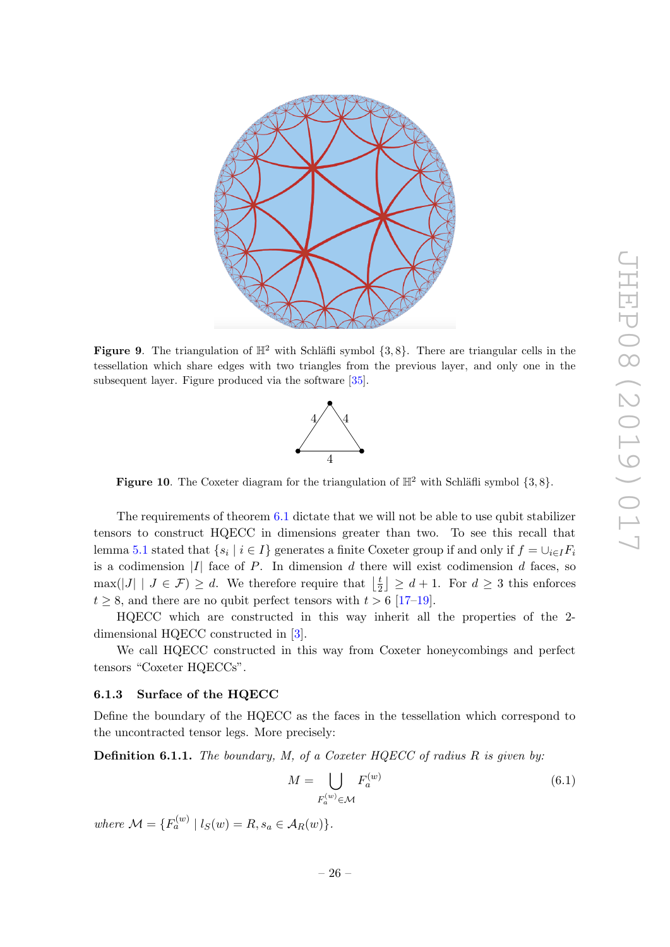

<span id="page-27-1"></span>Figure 9. The triangulation of  $\mathbb{H}^2$  with Schläfli symbol  $\{3, 8\}$ . There are triangular cells in the tessellation which share edges with two triangles from the previous layer, and only one in the subsequent layer. Figure produced via the software [\[35\]](#page-63-3).



<span id="page-27-2"></span>Figure 10. The Coxeter diagram for the triangulation of  $\mathbb{H}^2$  with Schläfli symbol  $\{3, 8\}$ .

The requirements of theorem [6.1](#page-26-1) dictate that we will not be able to use qubit stabilizer tensors to construct HQECC in dimensions greater than two. To see this recall that lemma [5.1](#page-19-2) stated that  $\{s_i \mid i \in I\}$  generates a finite Coxeter group if and only if  $f = \cup_{i \in I} F_i$ is a codimension  $|I|$  face of P. In dimension d there will exist codimension d faces, so  $\max(|J| | J \in \mathcal{F}) \geq d$ . We therefore require that  $\frac{1}{2}$  $\lfloor \frac{t}{2} \rfloor \geq d+1$ . For  $d \geq 3$  this enforces  $t \geq 8$ , and there are no qubit perfect tensors with  $t > 6$  [\[17–](#page-62-7)[19\]](#page-62-8).

HQECC which are constructed in this way inherit all the properties of the 2 dimensional HQECC constructed in [\[3\]](#page-61-2).

We call HQECC constructed in this way from Coxeter honeycombings and perfect tensors "Coxeter HQECCs".

### <span id="page-27-0"></span>6.1.3 Surface of the HQECC

Define the boundary of the HQECC as the faces in the tessellation which correspond to the uncontracted tensor legs. More precisely:

**Definition 6.1.1.** The boundary, M, of a Coxeter  $HQECC$  of radius R is given by:

$$
M = \bigcup_{F_a^{(w)} \in \mathcal{M}} F_a^{(w)} \tag{6.1}
$$

where  $\mathcal{M} = \{ F_a^{(w)} \mid l_S(w) = R, s_a \in \mathcal{A}_R(w) \}.$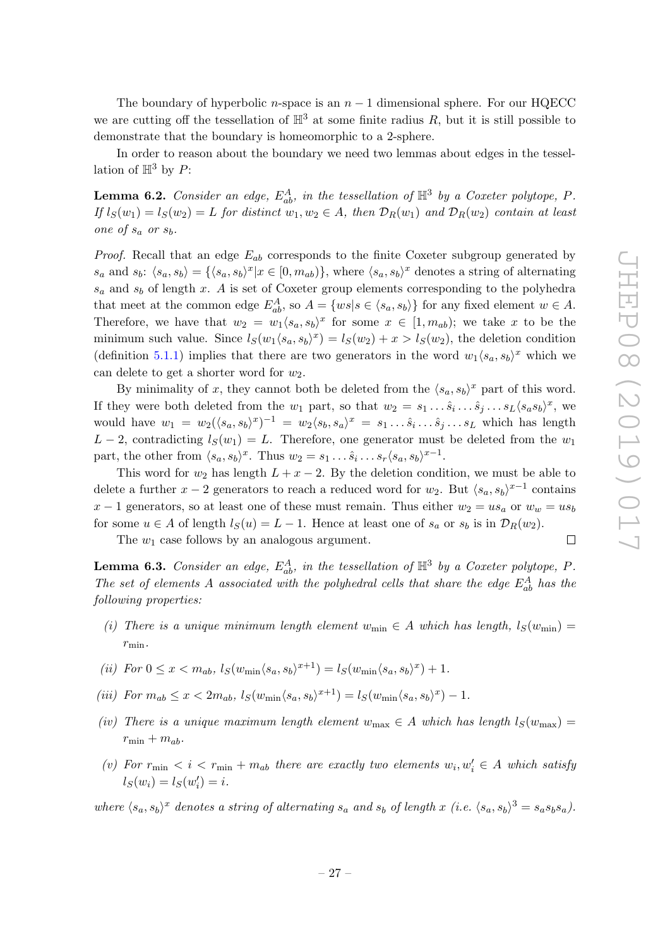$\Box$ 

The boundary of hyperbolic n-space is an  $n-1$  dimensional sphere. For our HQECC we are cutting off the tessellation of  $\mathbb{H}^3$  at some finite radius R, but it is still possible to demonstrate that the boundary is homeomorphic to a 2-sphere.

In order to reason about the boundary we need two lemmas about edges in the tessellation of  $\mathbb{H}^3$  by P:

<span id="page-28-2"></span>**Lemma 6.2.** Consider an edge,  $E_{ab}^A$ , in the tessellation of  $\mathbb{H}^3$  by a Coxeter polytope, P. If  $l_S(w_1) = l_S(w_2) = L$  for distinct  $w_1, w_2 \in A$ , then  $\mathcal{D}_R(w_1)$  and  $\mathcal{D}_R(w_2)$  contain at least one of  $s_a$  or  $s_b$ .

*Proof.* Recall that an edge  $E_{ab}$  corresponds to the finite Coxeter subgroup generated by  $s_a$  and  $s_b$ :  $\langle s_a, s_b \rangle = {\langle s_a, s_b \rangle}^x | x \in [0, m_{ab})\},$  where  $\langle s_a, s_b \rangle^x$  denotes a string of alternating  $s_a$  and  $s_b$  of length x. A is set of Coxeter group elements corresponding to the polyhedra that meet at the common edge  $E_{ab}^A$ , so  $A = \{ws | s \in \langle s_a, s_b \rangle\}$  for any fixed element  $w \in A$ . Therefore, we have that  $w_2 = w_1 \langle s_a, s_b \rangle^x$  for some  $x \in [1, m_{ab})$ ; we take x to be the minimum such value. Since  $l_S(w_1\langle s_a, s_b\rangle^x) = l_S(w_2) + x > l_S(w_2)$ , the deletion condition (definition [5.1.1\)](#page-19-3) implies that there are two generators in the word  $w_1\langle s_a, s_b\rangle^x$  which we can delete to get a shorter word for  $w_2$ .

By minimality of x, they cannot both be deleted from the  $\langle s_a, s_b \rangle^x$  part of this word. If they were both deleted from the  $w_1$  part, so that  $w_2 = s_1 \dots \hat{s}_i \dots \hat{s}_j \dots s_L \langle s_a s_b \rangle^x$ , we would have  $w_1 = w_2(\langle s_a, s_b \rangle^x)^{-1} = w_2\langle s_b, s_a \rangle^x = s_1 \dots \hat{s}_i \dots \hat{s}_j \dots s_L$  which has length  $L-2$ , contradicting  $l_S(w_1)=L$ . Therefore, one generator must be deleted from the  $w_1$ part, the other from  $\langle s_a, s_b \rangle^x$ . Thus  $w_2 = s_1 \dots \hat{s}_i \dots s_r \langle s_a, s_b \rangle^{x-1}$ .

This word for  $w_2$  has length  $L + x - 2$ . By the deletion condition, we must be able to delete a further  $x - 2$  generators to reach a reduced word for  $w_2$ . But  $\langle s_a, s_b \rangle^{x-1}$  contains  $x-1$  generators, so at least one of these must remain. Thus either  $w_2 = u s_a$  or  $w_w = u s_b$ for some  $u \in A$  of length  $l_S(u) = L - 1$ . Hence at least one of  $s_a$  or  $s_b$  is in  $\mathcal{D}_R(w_2)$ .

The  $w_1$  case follows by an analogous argument.

<span id="page-28-0"></span>**Lemma 6.3.** Consider an edge,  $E_{ab}^A$ , in the tessellation of  $\mathbb{H}^3$  by a Coxeter polytope, P. The set of elements A associated with the polyhedral cells that share the edge  $E_{ab}^A$  has the following properties:

- <span id="page-28-1"></span>(i) There is a unique minimum length element  $w_{\text{min}} \in A$  which has length,  $l_S(w_{\text{min}})$  =  $r_{\min}$ .
- <span id="page-28-3"></span>(ii) For  $0 \leq x < m_{ab}, \, l_S(w_{\min} \langle s_a, s_b \rangle^{x+1}) = l_S(w_{\min} \langle s_a, s_b \rangle^x) + 1.$
- <span id="page-28-4"></span>(iii) For  $m_{ab} \leq x < 2m_{ab}$ ,  $l_S(w_{\min} \langle s_a, s_b \rangle^{x+1}) = l_S(w_{\min} \langle s_a, s_b \rangle^x) - 1$ .
- <span id="page-28-5"></span>(iv) There is a unique maximum length element  $w_{\text{max}} \in A$  which has length  $l_S(w_{\text{max}})$  =  $r_{\min} + m_{ab}$ .
- <span id="page-28-6"></span>(v) For  $r_{\min} < i < r_{\min} + m_{ab}$  there are exactly two elements  $w_i, w'_i \in A$  which satisfy  $l_S(w_i) = l_S(w'_i) = i.$

where  $\langle s_a, s_b \rangle^x$  denotes a string of alternating  $s_a$  and  $s_b$  of length x (i.e.  $\langle s_a, s_b \rangle^3 = s_a s_b s_a$ ).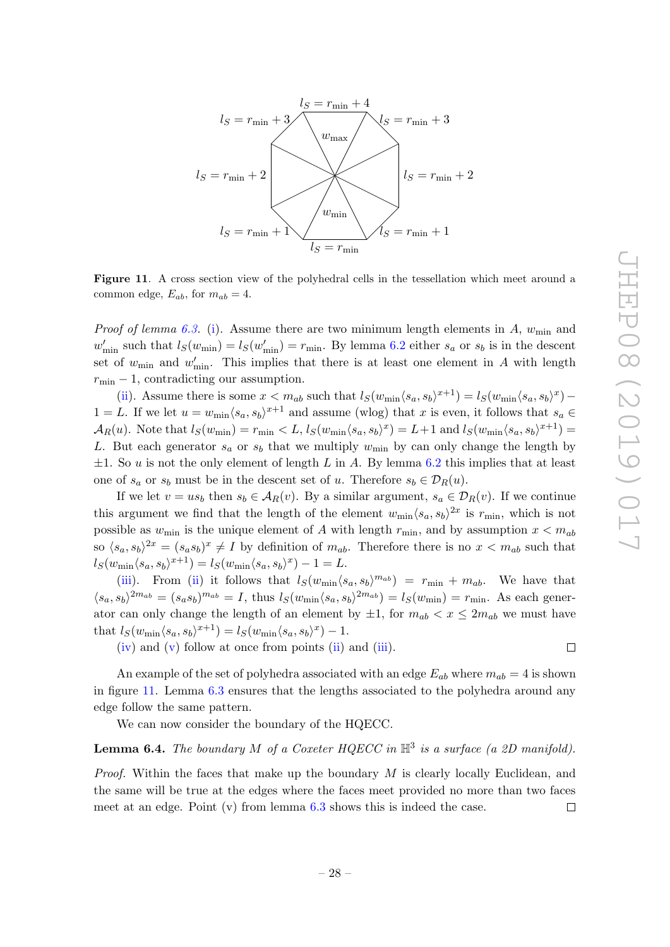

<span id="page-29-0"></span>Figure 11. A cross section view of the polyhedral cells in the tessellation which meet around a common edge,  $E_{ab}$ , for  $m_{ab} = 4$ .

*Proof of lemma [6.3.](#page-28-0)* [\(i\)](#page-28-1). Assume there are two minimum length elements in A,  $w_{\text{min}}$  and  $w'_{\text{min}}$  such that  $l_S(w_{\text{min}}) = l_S(w'_{\text{min}}) = r_{\text{min}}$ . By lemma [6.2](#page-28-2) either  $s_a$  or  $s_b$  is in the descent set of  $w_{\min}$  and  $w'_{\min}$ . This implies that there is at least one element in A with length  $r_{\text{min}} - 1$ , contradicting our assumption.

[\(ii\)](#page-28-3). Assume there is some  $x < m_{ab}$  such that  $l_S(w_{min} \langle s_a, s_b \rangle^{x+1}) = l_S(w_{min} \langle s_a, s_b \rangle^{x})$  $1 = L$ . If we let  $u = w_{\min} \langle s_a, s_b \rangle^{x+1}$  and assume (wlog) that x is even, it follows that  $s_a \in$  $\mathcal{A}_R(u)$ . Note that  $l_S(w_{\min}) = r_{\min} < L$ ,  $l_S(w_{\min} \langle s_a, s_b \rangle^x) = L + 1$  and  $l_S(w_{\min} \langle s_a, s_b \rangle^{x+1}) =$ L. But each generator  $s_a$  or  $s_b$  that we multiply  $w_{\text{min}}$  by can only change the length by  $\pm 1$ . So u is not the only element of length L in A. By lemma [6.2](#page-28-2) this implies that at least one of  $s_a$  or  $s_b$  must be in the descent set of u. Therefore  $s_b \in \mathcal{D}_R(u)$ .

If we let  $v = us_b$  then  $s_b \in A_R(v)$ . By a similar argument,  $s_a \in \mathcal{D}_R(v)$ . If we continue this argument we find that the length of the element  $w_{\text{min}} \langle s_a, s_b \rangle^{2x}$  is  $r_{\text{min}}$ , which is not possible as  $w_{\text{min}}$  is the unique element of A with length  $r_{\text{min}}$ , and by assumption  $x < m_{ab}$ so  $\langle s_a, s_b \rangle^{2x} = (s_a s_b)^x \neq I$  by definition of  $m_{ab}$ . Therefore there is no  $x < m_{ab}$  such that  $l_S(w_{\min} \langle s_a, s_b \rangle^{x+1}) = l_S(w_{\min} \langle s_a, s_b \rangle^{x}) - 1 = L.$ 

[\(iii\)](#page-28-4). From [\(ii\)](#page-28-3) it follows that  $l_S(w_{\min}\langle s_a, s_b\rangle^{m_{ab}}) = r_{\min} + m_{ab}$ . We have that  $\langle s_a, s_b \rangle^{2m_{ab}} = (s_a s_b)^{m_{ab}} = I$ , thus  $l_S(w_{min} \langle s_a, s_b \rangle^{2m_{ab}}) = l_S(w_{min}) = r_{min}$ . As each generator can only change the length of an element by  $\pm 1$ , for  $m_{ab} < x \leq 2m_{ab}$  we must have that  $l_S(w_{\min} \langle s_a, s_b \rangle^{x+1}) = l_S(w_{\min} \langle s_a, s_b \rangle^{x}) - 1.$ 

 $(iv)$  and  $(v)$  follow at once from points  $(ii)$  and  $(iii)$ .

 $\Box$ 

An example of the set of polyhedra associated with an edge  $E_{ab}$  where  $m_{ab} = 4$  is shown in figure [11.](#page-29-0) Lemma [6.3](#page-28-0) ensures that the lengths associated to the polyhedra around any edge follow the same pattern.

We can now consider the boundary of the HQECC.

# <span id="page-29-1"></span>**Lemma 6.4.** The boundary M of a Coxeter HQECC in  $\mathbb{H}^3$  is a surface (a 2D manifold).

<span id="page-29-2"></span>*Proof.* Within the faces that make up the boundary  $M$  is clearly locally Euclidean, and the same will be true at the edges where the faces meet provided no more than two faces meet at an edge. Point  $(v)$  from lemma [6.3](#page-28-0) shows this is indeed the case.  $\Box$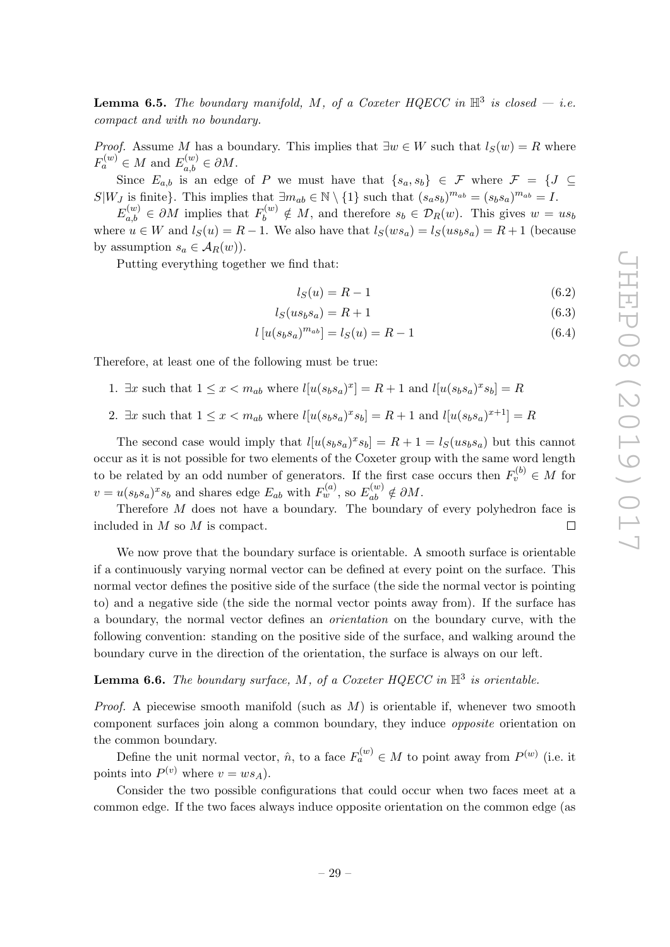**Lemma 6.5.** The boundary manifold, M, of a Coxeter HQECC in  $\mathbb{H}^3$  is closed – i.e. compact and with no boundary.

*Proof.* Assume M has a boundary. This implies that  $\exists w \in W$  such that  $l_S(w) = R$  where  $F_a^{(w)} \in M$  and  $E_{a,b}^{(w)} \in \partial M$ .

Since  $E_{a,b}$  is an edge of P we must have that  $\{s_a, s_b\} \in \mathcal{F}$  where  $\mathcal{F} = \{J \subseteq$  $S|W_J$  is finite}. This implies that  $\exists m_{ab} \in \mathbb{N} \setminus \{1\}$  such that  $(s_a s_b)^{m_{ab}} = (s_b s_a)^{m_{ab}} = I$ .

 $E_{a,b}^{(w)} \in \partial M$  implies that  $F_b^{(w)} \notin M$ , and therefore  $s_b \in \mathcal{D}_R(w)$ . This gives  $w = us_b$ where  $u \in W$  and  $l_S(u) = R - 1$ . We also have that  $l_S(ws_a) = l_S(us_bsa) = R + 1$  (because by assumption  $s_a \in A_R(w)$ .

Putting everything together we find that:

$$
l_S(u) = R - 1\tag{6.2}
$$

$$
l_S(us_b s_a) = R + 1\tag{6.3}
$$

$$
l[u(s_{b}s_{a})^{m_{ab}}] = l_{S}(u) = R - 1
$$
\n(6.4)

Therefore, at least one of the following must be true:

- 1.  $\exists x$  such that  $1 \le x < m_{ab}$  where  $l[u(s_b s_a)^x] = R + 1$  and  $l[u(s_b s_a)^x s_b] = R$
- 2.  $\exists x \text{ such that } 1 \leq x < m_{ab} \text{ where } l[u(s_{b}s_{a})^{x} s_{b}] = R + 1 \text{ and } l[u(s_{b}s_{a})^{x+1}] = R$

The second case would imply that  $l[u(s_b s_a)^x s_b] = R + 1 = l_S(us_b s_a)$  but this cannot occur as it is not possible for two elements of the Coxeter group with the same word length to be related by an odd number of generators. If the first case occurs then  $F_v^{(b)} \in M$  for  $v = u(s_b s_a)^x s_b$  and shares edge  $E_{ab}$  with  $F_w^{(a)}$ , so  $E_{ab}^{(w)} \notin \partial M$ .

Therefore M does not have a boundary. The boundary of every polyhedron face is included in M so M is compact.  $\Box$ 

We now prove that the boundary surface is orientable. A smooth surface is orientable if a continuously varying normal vector can be defined at every point on the surface. This normal vector defines the positive side of the surface (the side the normal vector is pointing to) and a negative side (the side the normal vector points away from). If the surface has a boundary, the normal vector defines an orientation on the boundary curve, with the following convention: standing on the positive side of the surface, and walking around the boundary curve in the direction of the orientation, the surface is always on our left.

# <span id="page-30-0"></span>**Lemma 6.6.** The boundary surface, M, of a Coxeter HQECC in  $\mathbb{H}^3$  is orientable.

*Proof.* A piecewise smooth manifold (such as  $M$ ) is orientable if, whenever two smooth component surfaces join along a common boundary, they induce opposite orientation on the common boundary.

Define the unit normal vector,  $\hat{n}$ , to a face  $F_a^{(w)} \in M$  to point away from  $P^{(w)}$  (i.e. it points into  $P^{(v)}$  where  $v = ws_A$ ).

Consider the two possible configurations that could occur when two faces meet at a common edge. If the two faces always induce opposite orientation on the common edge (as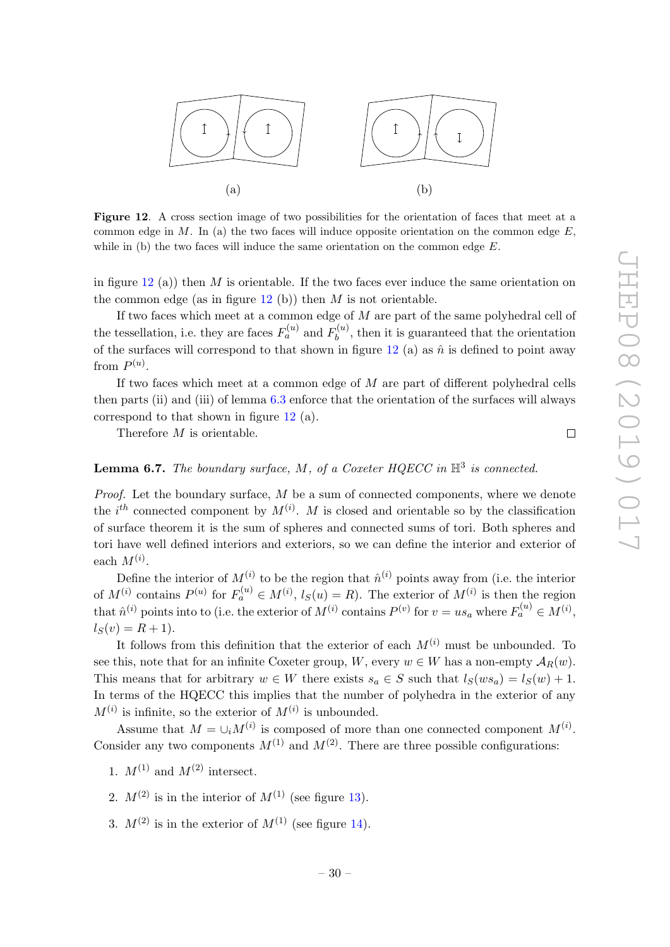

<span id="page-31-0"></span>Figure 12. A cross section image of two possibilities for the orientation of faces that meet at a common edge in  $M$ . In (a) the two faces will induce opposite orientation on the common edge  $E$ , while in (b) the two faces will induce the same orientation on the common edge  $E$ .

in figure [12](#page-31-0) (a)) then M is orientable. If the two faces ever induce the same orientation on the common edge (as in figure  $12$  (b)) then M is not orientable.

If two faces which meet at a common edge of M are part of the same polyhedral cell of the tessellation, i.e. they are faces  $F_a^{(u)}$  and  $F_b^{(u)}$  $b^{(u)}$ , then it is guaranteed that the orientation of the surfaces will correspond to that shown in figure [12](#page-31-0) (a) as  $\hat{n}$  is defined to point away from  $P^{(u)}$ .

If two faces which meet at a common edge of  $M$  are part of different polyhedral cells then parts (ii) and (iii) of lemma  $6.3$  enforce that the orientation of the surfaces will always correspond to that shown in figure [12](#page-31-0) (a).

Therefore M is orientable.

# $\Box$

# **Lemma 6.7.** The boundary surface, M, of a Coxeter HQECC in  $\mathbb{H}^3$  is connected.

*Proof.* Let the boundary surface,  $M$  be a sum of connected components, where we denote the  $i^{th}$  connected component by  $M^{(i)}$ . M is closed and orientable so by the classification of surface theorem it is the sum of spheres and connected sums of tori. Both spheres and tori have well defined interiors and exteriors, so we can define the interior and exterior of each  $M^{(i)}$ .

Define the interior of  $M^{(i)}$  to be the region that  $\hat{n}^{(i)}$  points away from (i.e. the interior of  $M^{(i)}$  contains  $P^{(u)}$  for  $F_a^{(u)} \in M^{(i)}$ ,  $l_S(u) = R$ ). The exterior of  $M^{(i)}$  is then the region that  $\hat{n}^{(i)}$  points into to (i.e. the exterior of  $M^{(i)}$  contains  $P^{(v)}$  for  $v = us_a$  where  $F_a^{(u)} \in M^{(i)}$ ,  $l_S(v) = R + 1$ .

It follows from this definition that the exterior of each  $M^{(i)}$  must be unbounded. To see this, note that for an infinite Coxeter group, W, every  $w \in W$  has a non-empty  $\mathcal{A}_R(w)$ . This means that for arbitrary  $w \in W$  there exists  $s_a \in S$  such that  $l_S(ws_a) = l_S(w) + 1$ . In terms of the HQECC this implies that the number of polyhedra in the exterior of any  $M^{(i)}$  is infinite, so the exterior of  $M^{(i)}$  is unbounded.

Assume that  $M = \bigcup_i M^{(i)}$  is composed of more than one connected component  $M^{(i)}$ . Consider any two components  $M^{(1)}$  and  $M^{(2)}$ . There are three possible configurations:

<span id="page-31-1"></span>1.  $M^{(1)}$  and  $M^{(2)}$  intersect.

<span id="page-31-2"></span>2.  $M^{(2)}$  is in the interior of  $M^{(1)}$  (see figure [13\)](#page-32-0).

<span id="page-31-3"></span>3.  $M^{(2)}$  is in the exterior of  $M^{(1)}$  (see figure [14\)](#page-33-0).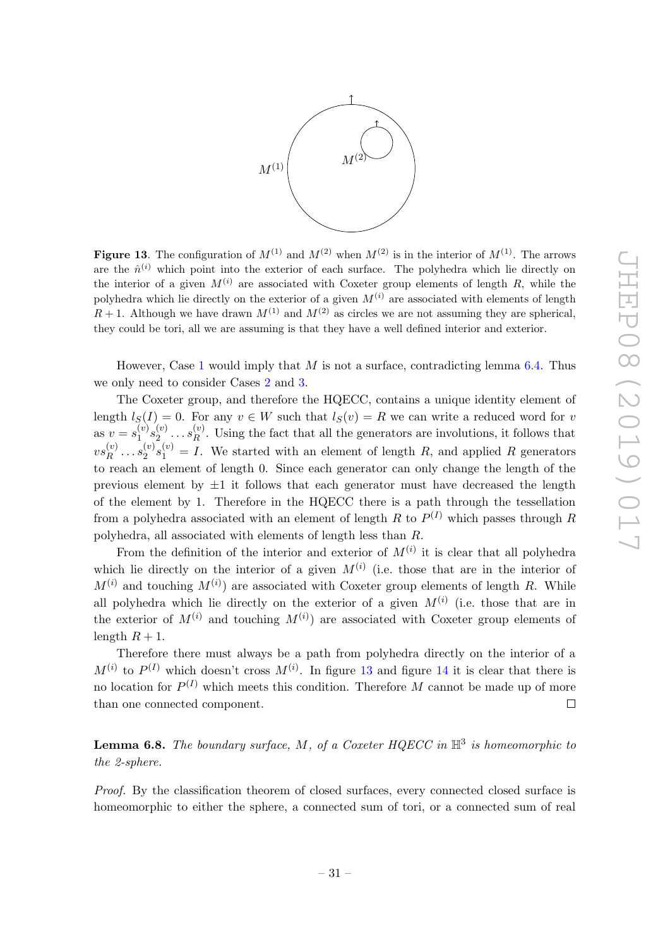

<span id="page-32-0"></span>**Figure 13.** The configuration of  $M^{(1)}$  and  $M^{(2)}$  when  $M^{(2)}$  is in the interior of  $M^{(1)}$ . The arrows are the  $\hat{n}^{(i)}$  which point into the exterior of each surface. The polyhedra which lie directly on the interior of a given  $M^{(i)}$  are associated with Coxeter group elements of length R, while the polyhedra which lie directly on the exterior of a given  $M^{(i)}$  are associated with elements of length  $R+1$ . Although we have drawn  $M^{(1)}$  and  $M^{(2)}$  as circles we are not assuming they are spherical, they could be tori, all we are assuming is that they have a well defined interior and exterior.

However, Case [1](#page-31-1) would imply that  $M$  is not a surface, contradicting lemma [6.4.](#page-29-1) Thus we only need to consider Cases [2](#page-31-2) and [3.](#page-31-3)

The Coxeter group, and therefore the HQECC, contains a unique identity element of length  $l_S(I) = 0$ . For any  $v \in W$  such that  $l_S(v) = R$  we can write a reduced word for v as  $v = s_1^{(v)}$  $\mathbf{y}_{1}^{(v)}s_{2}^{(v)}$  $\stackrel{(v)}{2}\cdots\stackrel{(v)}{R}$  $R<sup>(v)</sup>$ . Using the fact that all the generators are involutions, it follows that  $vs^{(v)}_B$  $s_1^{(v)} \ldots s_2^{(v)}$  $\binom{v}{2}s_1^{(v)}=I$ . We started with an element of length R, and applied R generators to reach an element of length 0. Since each generator can only change the length of the previous element by  $\pm 1$  it follows that each generator must have decreased the length of the element by 1. Therefore in the HQECC there is a path through the tessellation from a polyhedra associated with an element of length R to  $P^{(I)}$  which passes through R polyhedra, all associated with elements of length less than R.

From the definition of the interior and exterior of  $M^{(i)}$  it is clear that all polyhedra which lie directly on the interior of a given  $M^{(i)}$  (i.e. those that are in the interior of  $M^{(i)}$  and touching  $M^{(i)}$  are associated with Coxeter group elements of length R. While all polyhedra which lie directly on the exterior of a given  $M^{(i)}$  (i.e. those that are in the exterior of  $M^{(i)}$  and touching  $M^{(i)}$  are associated with Coxeter group elements of length  $R + 1$ .

Therefore there must always be a path from polyhedra directly on the interior of a  $M^{(i)}$  to  $P^{(I)}$  which doesn't cross  $M^{(i)}$ . In figure [13](#page-32-0) and figure [14](#page-33-0) it is clear that there is no location for  $P^{(I)}$  which meets this condition. Therefore M cannot be made up of more than one connected component.  $\Box$ 

<span id="page-32-1"></span>**Lemma 6.8.** The boundary surface, M, of a Coxeter HQECC in  $\mathbb{H}^3$  is homeomorphic to the 2-sphere.

Proof. By the classification theorem of closed surfaces, every connected closed surface is homeomorphic to either the sphere, a connected sum of tori, or a connected sum of real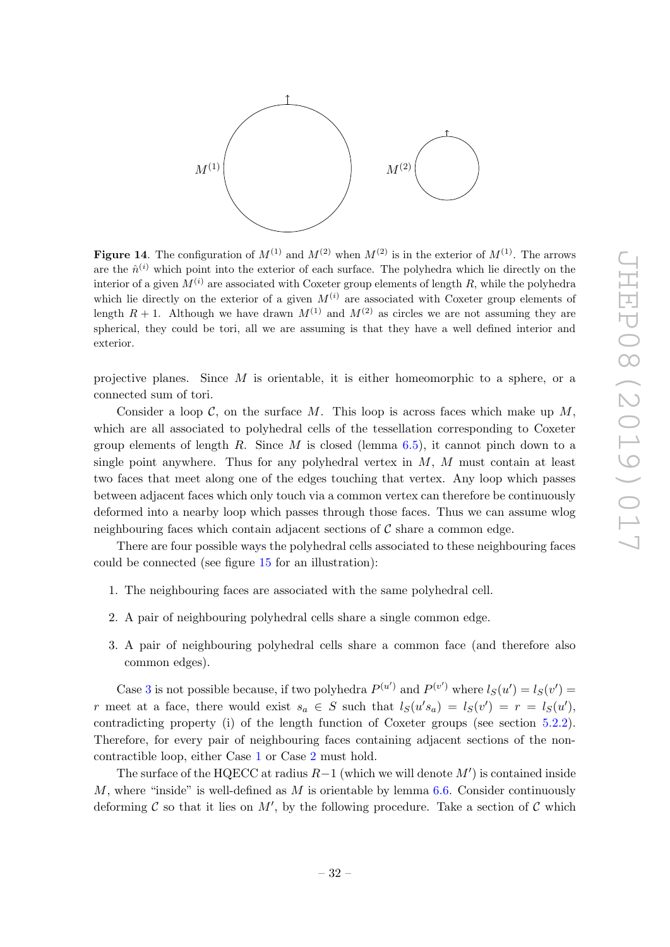

<span id="page-33-0"></span>**Figure 14.** The configuration of  $M^{(1)}$  and  $M^{(2)}$  when  $M^{(2)}$  is in the exterior of  $M^{(1)}$ . The arrows are the  $\hat{n}^{(i)}$  which point into the exterior of each surface. The polyhedra which lie directly on the interior of a given  $M^{(i)}$  are associated with Coxeter group elements of length R, while the polyhedra which lie directly on the exterior of a given  $M^{(i)}$  are associated with Coxeter group elements of length  $R + 1$ . Although we have drawn  $M^{(1)}$  and  $M^{(2)}$  as circles we are not assuming they are spherical, they could be tori, all we are assuming is that they have a well defined interior and exterior.

projective planes. Since  $M$  is orientable, it is either homeomorphic to a sphere, or a connected sum of tori.

Consider a loop  $C$ , on the surface M. This loop is across faces which make up M, which are all associated to polyhedral cells of the tessellation corresponding to Coxeter group elements of length R. Since M is closed (lemma  $6.5$ ), it cannot pinch down to a single point anywhere. Thus for any polyhedral vertex in  $M$ ,  $M$  must contain at least two faces that meet along one of the edges touching that vertex. Any loop which passes between adjacent faces which only touch via a common vertex can therefore be continuously deformed into a nearby loop which passes through those faces. Thus we can assume wlog neighbouring faces which contain adjacent sections of  $\mathcal C$  share a common edge.

There are four possible ways the polyhedral cells associated to these neighbouring faces could be connected (see figure [15](#page-34-2) for an illustration):

- <span id="page-33-2"></span>1. The neighbouring faces are associated with the same polyhedral cell.
- <span id="page-33-3"></span>2. A pair of neighbouring polyhedral cells share a single common edge.
- <span id="page-33-1"></span>3. A pair of neighbouring polyhedral cells share a common face (and therefore also common edges).

Case [3](#page-33-1) is not possible because, if two polyhedra  $P^{(u')}$  and  $P^{(v')}$  where  $l_S(u') = l_S(v')$ r meet at a face, there would exist  $s_a \in S$  such that  $l_S(u's_a) = l_S(v') = r = l_S(u')$ , contradicting property (i) of the length function of Coxeter groups (see section [5.2.2\)](#page-19-0). Therefore, for every pair of neighbouring faces containing adjacent sections of the noncontractible loop, either Case [1](#page-33-2) or Case [2](#page-33-3) must hold.

The surface of the HQECC at radius  $R-1$  (which we will denote  $M'$ ) is contained inside M, where "inside" is well-defined as M is orientable by lemma  $6.6$ . Consider continuously deforming C so that it lies on M', by the following procedure. Take a section of C which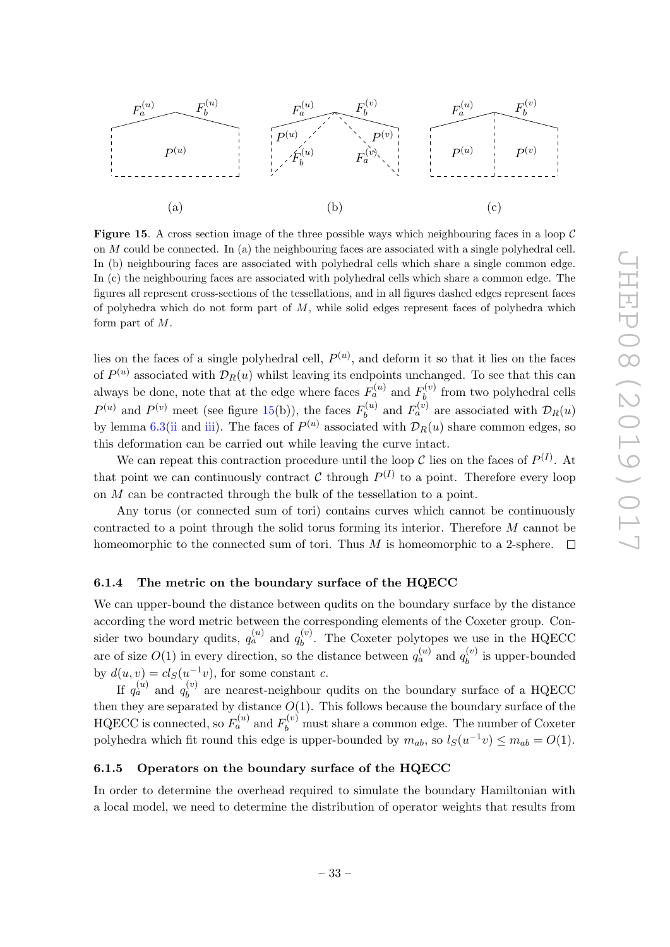

<span id="page-34-2"></span>**Figure 15.** A cross section image of the three possible ways which neighbouring faces in a loop  $\mathcal{C}$ on M could be connected. In (a) the neighbouring faces are associated with a single polyhedral cell. In (b) neighbouring faces are associated with polyhedral cells which share a single common edge. In (c) the neighbouring faces are associated with polyhedral cells which share a common edge. The figures all represent cross-sections of the tessellations, and in all figures dashed edges represent faces of polyhedra which do not form part of  $M$ , while solid edges represent faces of polyhedra which form part of M.

lies on the faces of a single polyhedral cell,  $P^{(u)}$ , and deform it so that it lies on the faces of  $P^{(u)}$  associated with  $\mathcal{D}_R(u)$  whilst leaving its endpoints unchanged. To see that this can always be done, note that at the edge where faces  $F_a^{(u)}$  and  $F_b^{(v)}$  $b<sub>k</sub><sup>(v)</sup>$  from two polyhedral cells  $P^{(u)}$  and  $P^{(v)}$  meet (see figure [15\(](#page-34-2)b)), the faces  $F_h^{(u)}$  $b_b^{(u)}$  and  $F_a^{(v)}$  are associated with  $\mathcal{D}_R(u)$ by lemma [6.3\(](#page-28-0)[ii](#page-28-3) and [iii\)](#page-28-4). The faces of  $P^{(u)}$  associated with  $\mathcal{D}_R(u)$  share common edges, so this deformation can be carried out while leaving the curve intact.

We can repeat this contraction procedure until the loop C lies on the faces of  $P^{(I)}$ . At that point we can continuously contract C through  $P^{(I)}$  to a point. Therefore every loop on M can be contracted through the bulk of the tessellation to a point.

Any torus (or connected sum of tori) contains curves which cannot be continuously contracted to a point through the solid torus forming its interior. Therefore M cannot be homeomorphic to the connected sum of tori. Thus M is homeomorphic to a 2-sphere.  $\Box$ 

### <span id="page-34-0"></span>6.1.4 The metric on the boundary surface of the HQECC

We can upper-bound the distance between qudits on the boundary surface by the distance according the word metric between the corresponding elements of the Coxeter group. Consider two boundary qudits,  $q_a^{(u)}$  and  $q_b^{(v)}$  $b<sup>(v)</sup>$ . The Coxeter polytopes we use in the HQECC are of size  $O(1)$  in every direction, so the distance between  $q_a^{(u)}$  and  $q_b^{(v)}$  $b_i^{(v)}$  is upper-bounded by  $d(u, v) = cl_S(u^{-1}v)$ , for some constant c.

If  $q_a^{(u)}$  and  $q_b^{(v)}$  $b<sub>b</sub><sup>(v)</sup>$  are nearest-neighbour qudits on the boundary surface of a HQECC then they are separated by distance  $O(1)$ . This follows because the boundary surface of the HQECC is connected, so  $F_a^{(u)}$  and  $F_b^{(v)}$  must share a common edge. The number of Coxeter polyhedra which fit round this edge is upper-bounded by  $m_{ab}$ , so  $l_S(u^{-1}v) \leq m_{ab} = O(1)$ .

### <span id="page-34-1"></span>6.1.5 Operators on the boundary surface of the HQECC

In order to determine the overhead required to simulate the boundary Hamiltonian with a local model, we need to determine the distribution of operator weights that results from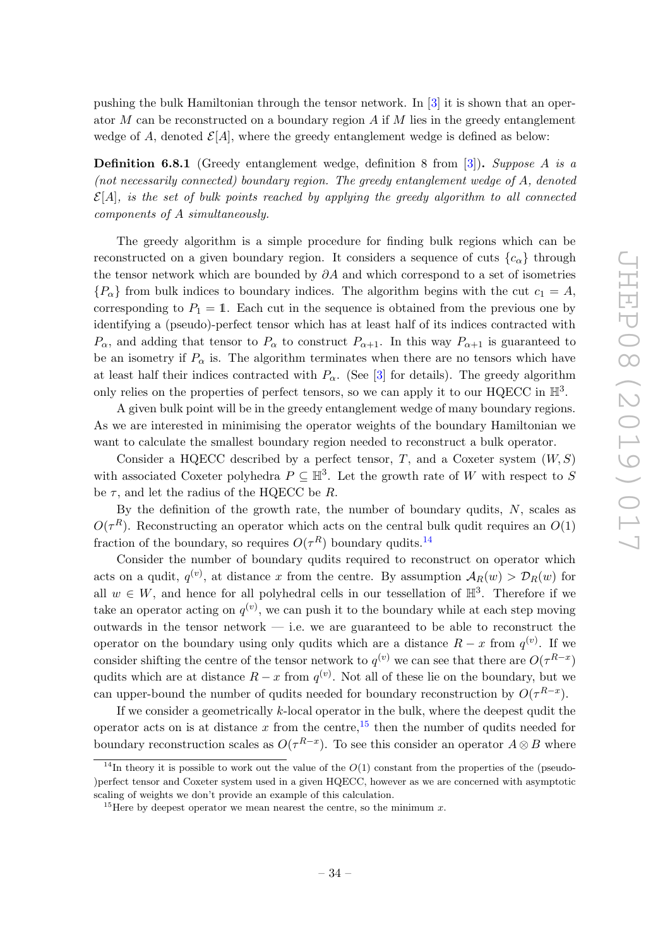pushing the bulk Hamiltonian through the tensor network. In [\[3\]](#page-61-2) it is shown that an operator M can be reconstructed on a boundary region  $A$  if M lies in the greedy entanglement wedge of A, denoted  $\mathcal{E}[A]$ , where the greedy entanglement wedge is defined as below:

**Definition 6.8.1** (Greedy entanglement wedge, definition 8 from [\[3\]](#page-61-2)). Suppose A is a (not necessarily connected) boundary region. The greedy entanglement wedge of A, denoted  $\mathcal{E}[A]$ , is the set of bulk points reached by applying the greedy algorithm to all connected components of A simultaneously.

The greedy algorithm is a simple procedure for finding bulk regions which can be reconstructed on a given boundary region. It considers a sequence of cuts  ${c_{\alpha}}$  through the tensor network which are bounded by  $\partial A$  and which correspond to a set of isometries  ${P_\alpha}$  from bulk indices to boundary indices. The algorithm begins with the cut  $c_1 = A$ , corresponding to  $P_1 = 1$ . Each cut in the sequence is obtained from the previous one by identifying a (pseudo)-perfect tensor which has at least half of its indices contracted with  $P_{\alpha}$ , and adding that tensor to  $P_{\alpha}$  to construct  $P_{\alpha+1}$ . In this way  $P_{\alpha+1}$  is guaranteed to be an isometry if  $P_{\alpha}$  is. The algorithm terminates when there are no tensors which have at least half their indices contracted with  $P_{\alpha}$ . (See [\[3\]](#page-61-2) for details). The greedy algorithm only relies on the properties of perfect tensors, so we can apply it to our HQECC in  $\mathbb{H}^3$ .

A given bulk point will be in the greedy entanglement wedge of many boundary regions. As we are interested in minimising the operator weights of the boundary Hamiltonian we want to calculate the smallest boundary region needed to reconstruct a bulk operator.

Consider a HQECC described by a perfect tensor, T, and a Coxeter system  $(W, S)$ with associated Coxeter polyhedra  $P \subseteq \mathbb{H}^3$ . Let the growth rate of W with respect to S be  $\tau$ , and let the radius of the HQECC be R.

By the definition of the growth rate, the number of boundary qudits,  $N$ , scales as  $O(\tau^R)$ . Reconstructing an operator which acts on the central bulk qudit requires an  $O(1)$ fraction of the boundary, so requires  $O(\tau^R)$  boundary qudits.<sup>[14](#page-35-0)</sup>

Consider the number of boundary qudits required to reconstruct on operator which acts on a qudit,  $q^{(v)}$ , at distance x from the centre. By assumption  $A_R(w) > \mathcal{D}_R(w)$  for all  $w \in W$ , and hence for all polyhedral cells in our tessellation of  $\mathbb{H}^3$ . Therefore if we take an operator acting on  $q^{(v)}$ , we can push it to the boundary while at each step moving outwards in the tensor network  $-$  i.e. we are guaranteed to be able to reconstruct the operator on the boundary using only qudits which are a distance  $R-x$  from  $q^{(v)}$ . If we consider shifting the centre of the tensor network to  $q^{(v)}$  we can see that there are  $O(\tau^{R-x})$ qudits which are at distance  $R - x$  from  $q^{(v)}$ . Not all of these lie on the boundary, but we can upper-bound the number of qudits needed for boundary reconstruction by  $O(\tau^{R-x})$ .

If we consider a geometrically  $k$ -local operator in the bulk, where the deepest qudit the operator acts on is at distance x from the centre,<sup>[15](#page-35-1)</sup> then the number of qudits needed for boundary reconstruction scales as  $O(\tau^{R-x})$ . To see this consider an operator  $A \otimes B$  where

<span id="page-35-0"></span><sup>&</sup>lt;sup>14</sup>In theory it is possible to work out the value of the  $O(1)$  constant from the properties of the (pseudo-)perfect tensor and Coxeter system used in a given HQECC, however as we are concerned with asymptotic scaling of weights we don't provide an example of this calculation.

<span id="page-35-1"></span><sup>&</sup>lt;sup>15</sup>Here by deepest operator we mean nearest the centre, so the minimum x.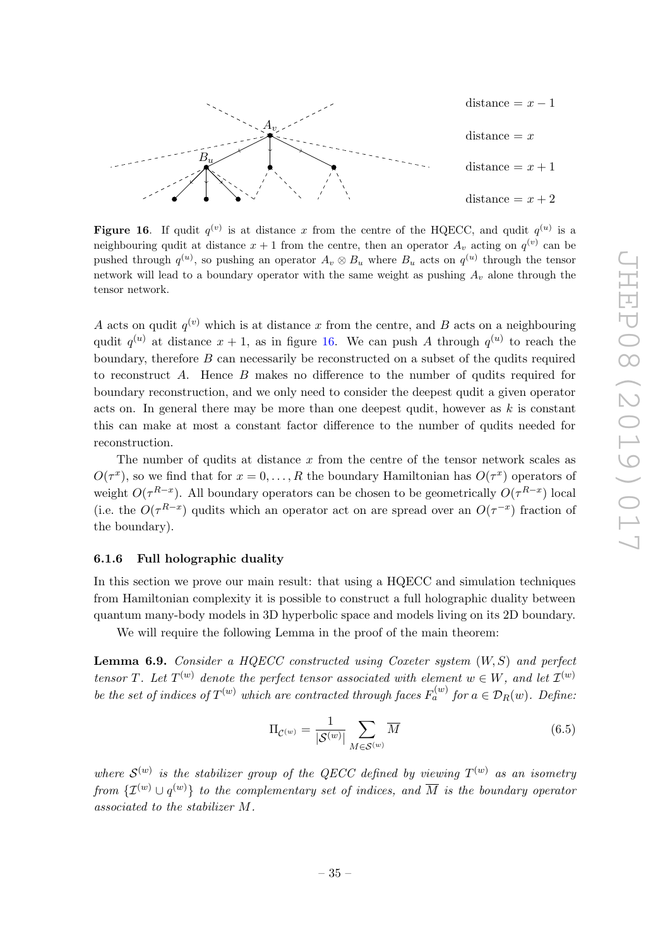

<span id="page-36-2"></span>Figure 16. If qudit  $q^{(v)}$  is at distance x from the centre of the HQECC, and qudit  $q^{(u)}$  is a neighbouring qudit at distance  $x + 1$  from the centre, then an operator  $A_v$  acting on  $q^{(v)}$  can be pushed through  $q^{(u)}$ , so pushing an operator  $A_v \otimes B_u$  where  $B_u$  acts on  $q^{(u)}$  through the tensor network will lead to a boundary operator with the same weight as pushing  $A_v$  alone through the tensor network.

A acts on qudit  $q^{(v)}$  which is at distance x from the centre, and B acts on a neighbouring qudit  $q^{(u)}$  at distance  $x + 1$ , as in figure [16.](#page-36-2) We can push A through  $q^{(u)}$  to reach the boundary, therefore  $B$  can necessarily be reconstructed on a subset of the qudits required to reconstruct A. Hence B makes no difference to the number of qudits required for boundary reconstruction, and we only need to consider the deepest qudit a given operator acts on. In general there may be more than one deepest qudit, however as  $k$  is constant this can make at most a constant factor difference to the number of qudits needed for reconstruction.

The number of qudits at distance  $x$  from the centre of the tensor network scales as  $O(\tau^x)$ , so we find that for  $x = 0, \ldots, R$  the boundary Hamiltonian has  $O(\tau^x)$  operators of weight  $O(\tau^{R-x})$ . All boundary operators can be chosen to be geometrically  $O(\tau^{R-x})$  local (i.e. the  $O(\tau^{R-x})$  qudits which an operator act on are spread over an  $O(\tau^{-x})$  fraction of the boundary).

# <span id="page-36-0"></span>6.1.6 Full holographic duality

In this section we prove our main result: that using a HQECC and simulation techniques from Hamiltonian complexity it is possible to construct a full holographic duality between quantum many-body models in 3D hyperbolic space and models living on its 2D boundary.

We will require the following Lemma in the proof of the main theorem:

<span id="page-36-1"></span>**Lemma 6.9.** Consider a HQECC constructed using Coxeter system  $(W, S)$  and perfect tensor T. Let  $T^{(w)}$  denote the perfect tensor associated with element  $w \in W$ , and let  $\mathcal{I}^{(w)}$ be the set of indices of  $T^{(w)}$  which are contracted through faces  $F_a^{(w)}$  for  $a \in \mathcal{D}_R(w)$ . Define:

$$
\Pi_{\mathcal{C}^{(w)}} = \frac{1}{|\mathcal{S}^{(w)}|} \sum_{M \in \mathcal{S}^{(w)}} \overline{M}
$$
\n(6.5)

where  $\mathcal{S}^{(w)}$  is the stabilizer group of the QECC defined by viewing  $T^{(w)}$  as an isometry from  $\{\mathcal{I}^{(w)} \cup q^{(w)}\}$  to the complementary set of indices, and  $\overline{M}$  is the boundary operator associated to the stabilizer M.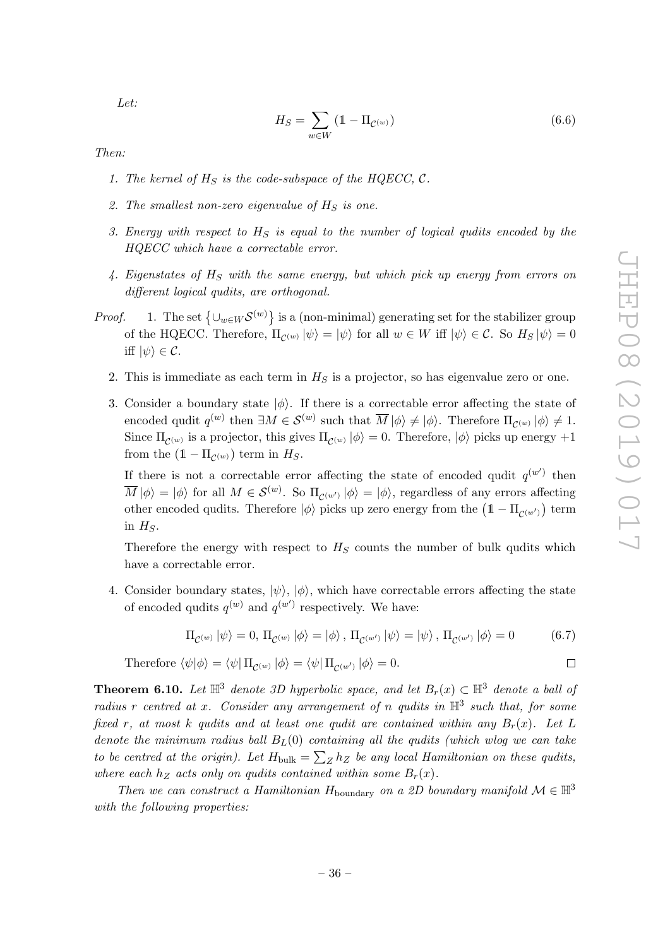$\Box$ 

Let:

$$
H_S = \sum_{w \in W} (1 - \Pi_{\mathcal{C}^{(w)}}) \tag{6.6}
$$

<span id="page-37-1"></span>Then:

- 1. The kernel of  $H<sub>S</sub>$  is the code-subspace of the HQECC, C.
- <span id="page-37-2"></span>2. The smallest non-zero eigenvalue of  $H<sub>S</sub>$  is one.
- 3. Energy with respect to  $H_S$  is equal to the number of logical qudits encoded by the HQECC which have a correctable error.
- 4. Eigenstates of  $H_S$  with the same energy, but which pick up energy from errors on different logical qudits, are orthogonal.
- *Proof.* 1. The set  $\{\cup_{w\in W} S^{(w)}\}$  is a (non-minimal) generating set for the stabilizer group of the HQECC. Therefore,  $\Pi_{\mathcal{C}^{(w)}} |\psi\rangle = |\psi\rangle$  for all  $w \in W$  iff  $|\psi\rangle \in \mathcal{C}$ . So  $H_S |\psi\rangle = 0$ iff  $|\psi\rangle \in \mathcal{C}$ .
	- 2. This is immediate as each term in  $H<sub>S</sub>$  is a projector, so has eigenvalue zero or one.
	- 3. Consider a boundary state  $|\phi\rangle$ . If there is a correctable error affecting the state of encoded qudit  $q^{(w)}$  then  $\exists M \in \mathcal{S}^{(w)}$  such that  $\overline{M}|\phi\rangle \neq |\phi\rangle$ . Therefore  $\Pi_{\mathcal{C}^{(w)}}|\phi\rangle \neq 1$ . Since  $\Pi_{\mathcal{C}^{(w)}}$  is a projector, this gives  $\Pi_{\mathcal{C}^{(w)}} |\phi\rangle = 0$ . Therefore,  $|\phi\rangle$  picks up energy  $+1$ from the  $(1 - \Pi_{\mathcal{C}^{(w)}})$  term in  $H_S$ .

If there is not a correctable error affecting the state of encoded qudit  $q^{(w')}$  then  $\overline{M}|\phi\rangle = |\phi\rangle$  for all  $M \in \mathcal{S}^{(w)}$ . So  $\Pi_{\mathcal{C}^{(w')}} |\phi\rangle = |\phi\rangle$ , regardless of any errors affecting other encoded qudits. Therefore  $|\phi\rangle$  picks up zero energy from the  $\left(1-\Pi_{\mathcal{C}^{(w')}}\right)$  term in  $H<sub>S</sub>$ .

Therefore the energy with respect to  $H<sub>S</sub>$  counts the number of bulk qudits which have a correctable error.

4. Consider boundary states,  $|\psi\rangle$ ,  $|\phi\rangle$ , which have correctable errors affecting the state of encoded qudits  $q^{(w)}$  and  $q^{(w')}$  respectively. We have:

$$
\Pi_{\mathcal{C}^{(w)}} |\psi\rangle = 0, \Pi_{\mathcal{C}^{(w)}} |\phi\rangle = |\phi\rangle, \Pi_{\mathcal{C}^{(w')}} |\psi\rangle = |\psi\rangle, \Pi_{\mathcal{C}^{(w')}} |\phi\rangle = 0 \tag{6.7}
$$

Therefore 
$$
\langle \psi | \phi \rangle = \langle \psi | \Pi_{\mathcal{C}^{(w)}} | \phi \rangle = \langle \psi | \Pi_{\mathcal{C}^{(w')}} | \phi \rangle = 0.
$$

<span id="page-37-0"></span>**Theorem 6.10.** Let  $\mathbb{H}^3$  denote 3D hyperbolic space, and let  $B_r(x) \subset \mathbb{H}^3$  denote a ball of radius r centred at x. Consider any arrangement of n qudits in  $\mathbb{H}^3$  such that, for some fixed r, at most k qudits and at least one qudit are contained within any  $B_r(x)$ . Let L denote the minimum radius ball  $B<sub>L</sub>(0)$  containing all the qudits (which wlog we can take to be centred at the origin). Let  $H_{\text{bulk}} = \sum_{Z} h_Z$  be any local Hamiltonian on these qudits, where each  $h_Z$  acts only on qudits contained within some  $B_r(x)$ .

Then we can construct a Hamiltonian  $H_{\text{boundary}}$  on a 2D boundary manifold  $\mathcal{M} \in \mathbb{H}^3$ with the following properties: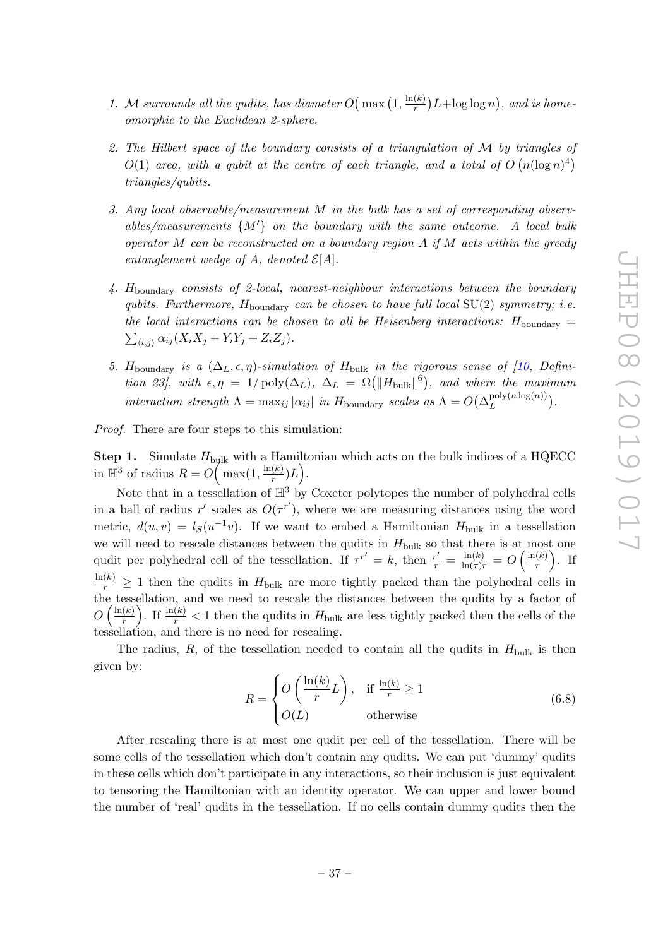- <span id="page-38-1"></span>1. M surrounds all the qudits, has diameter  $O(max) \left(1, \frac{\ln(k)}{r}\right)$  $\frac{\Gamma(k)}{r}$ ) L+log log n), and is homeomorphic to the Euclidean 2-sphere.
- 2. The Hilbert space of the boundary consists of a triangulation of M by triangles of  $O(1)$  area, with a qubit at the centre of each triangle, and a total of  $O(n(\log n)^4)$ triangles/qubits.
- <span id="page-38-0"></span>3. Any local observable/measurement M in the bulk has a set of corresponding observables/measurements  $\{M'\}$  on the boundary with the same outcome. A local bulk operator M can be reconstructed on a boundary region  $A$  if  $M$  acts within the greedy entanglement wedge of A, denoted  $\mathcal{E}[A]$ .
- <span id="page-38-2"></span>4.  $H_{\text{boundary}}$  consists of 2-local, nearest-neighbour interactions between the boundary qubits. Furthermore,  $H_{\text{boundary}}$  can be chosen to have full local SU(2) symmetry; i.e. the local interactions can be chosen to all be Heisenberg interactions:  $H_{\text{boundary}} =$  $\sum_{\langle i,j \rangle} \alpha_{ij} (X_i X_j + Y_i Y_j + Z_i Z_j).$
- <span id="page-38-3"></span>5. H<sub>boundary</sub> is a  $(\Delta_L, \epsilon, \eta)$ -simulation of H<sub>bulk</sub> in the rigorous sense of [\[10,](#page-62-0) Definition 23], with  $\epsilon, \eta = 1/\text{poly}(\Delta_L)$ ,  $\Delta_L = \Omega(||H_{\text{bulk}}||^6)$ , and where the maximum interaction strength  $\Lambda = \max_{ij} |\alpha_{ij}|$  in  $H_{\text{boundary}}$  scales as  $\Lambda = O(\Delta_L^{\text{poly}(n \log(n))})$  $\frac{\text{poly}(n \log(n))}{L}$ .

Proof. There are four steps to this simulation:

**Step 1.** Simulate  $H_{\text{bulk}}$  with a Hamiltonian which acts on the bulk indices of a HQECC in  $\mathbb{H}^3$  of radius  $R = O\left(\max(1, \frac{\ln(k)}{r}\right)$  $\frac{(k)}{r})L$ .

Note that in a tessellation of  $\mathbb{H}^3$  by Coxeter polytopes the number of polyhedral cells in a ball of radius r' scales as  $O(\tau^{r'})$ , where we are measuring distances using the word metric,  $d(u, v) = l_S(u^{-1}v)$ . If we want to embed a Hamiltonian  $H_{\text{bulk}}$  in a tessellation we will need to rescale distances between the qudits in  $H_{\text{bulk}}$  so that there is at most one qudit per polyhedral cell of the tessellation. If  $\tau^{r'} = k$ , then  $\frac{r'}{r} = \frac{\ln(k)}{\ln(\tau)r} = O\left(\frac{\ln(k)}{r}\right)$  $\frac{(k)}{r}$ . If  $\frac{\ln(k)}{r} \geq 1$  then the qudits in  $H_{\text{bulk}}$  are more tightly packed than the polyhedral cells in the tessellation, and we need to rescale the distances between the qudits by a factor of  $O\left(\frac{\ln(k)}{r}\right)$  $\frac{(k)}{r}$ . If  $\frac{\ln(k)}{r}$  < 1 then the qudits in  $H_{\text{bulk}}$  are less tightly packed then the cells of the tessellation, and there is no need for rescaling.

The radius, R, of the tessellation needed to contain all the qudits in  $H_{\text{bulk}}$  is then given by:

$$
R = \begin{cases} O\left(\frac{\ln(k)}{r}L\right), & \text{if } \frac{\ln(k)}{r} \ge 1\\ O(L) & \text{otherwise} \end{cases}
$$
 (6.8)

After rescaling there is at most one qudit per cell of the tessellation. There will be some cells of the tessellation which don't contain any qudits. We can put 'dummy' qudits in these cells which don't participate in any interactions, so their inclusion is just equivalent to tensoring the Hamiltonian with an identity operator. We can upper and lower bound the number of 'real' qudits in the tessellation. If no cells contain dummy qudits then the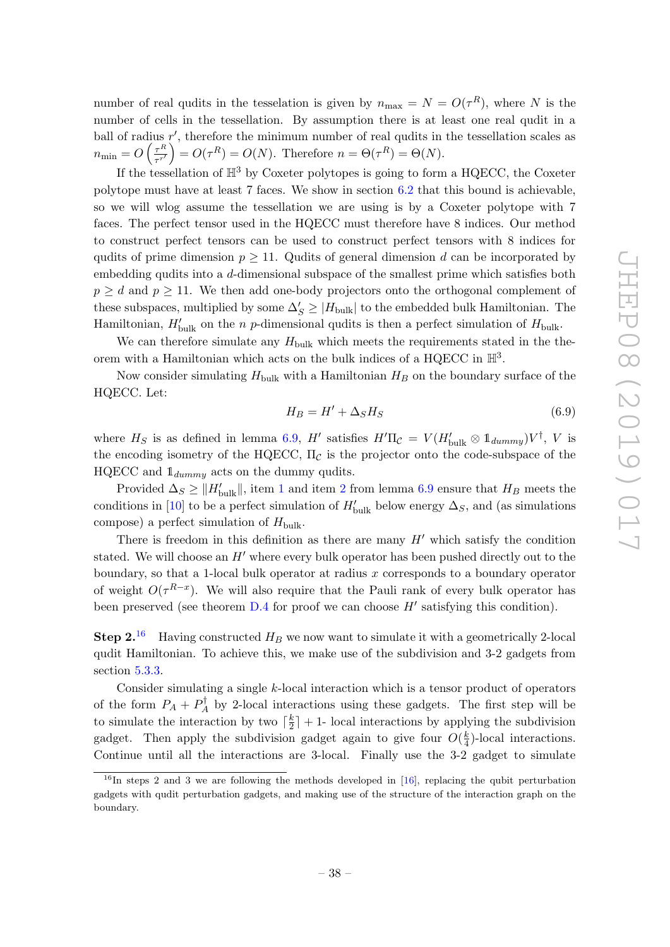number of real qudits in the tesselation is given by  $n_{\text{max}} = N = O(\tau^R)$ , where N is the number of cells in the tessellation. By assumption there is at least one real qudit in a ball of radius  $r'$ , therefore the minimum number of real qudits in the tessellation scales as  $n_{\min} = O\left(\frac{\tau^R}{\tau^r}\right)$  $\left(\frac{\tau^R}{\tau^{r'}}\right) = O(\tau^R) = O(N)$ . Therefore  $n = \Theta(\tau^R) = \Theta(N)$ .

If the tessellation of  $\mathbb{H}^3$  by Coxeter polytopes is going to form a HQECC, the Coxeter polytope must have at least 7 faces. We show in section [6.2](#page-43-0) that this bound is achievable, so we will wlog assume the tessellation we are using is by a Coxeter polytope with 7 faces. The perfect tensor used in the HQECC must therefore have 8 indices. Our method to construct perfect tensors can be used to construct perfect tensors with 8 indices for qudits of prime dimension  $p \geq 11$ . Qudits of general dimension d can be incorporated by embedding qudits into a d-dimensional subspace of the smallest prime which satisfies both  $p > d$  and  $p > 11$ . We then add one-body projectors onto the orthogonal complement of these subspaces, multiplied by some  $\Delta'_S \geq |H_{\text{bulk}}|$  to the embedded bulk Hamiltonian. The Hamiltonian,  $H'_{\text{bulk}}$  on the *n p*-dimensional qudits is then a perfect simulation of  $H_{\text{bulk}}$ .

We can therefore simulate any  $H_{\text{bulk}}$  which meets the requirements stated in the theorem with a Hamiltonian which acts on the bulk indices of a HQECC in  $\mathbb{H}^3$ .

Now consider simulating  $H_{\text{bulk}}$  with a Hamiltonian  $H_B$  on the boundary surface of the HQECC. Let:

$$
H_B = H' + \Delta_S H_S \tag{6.9}
$$

where  $H_S$  is as defined in lemma [6.9,](#page-36-1) H' satisfies  $H' \Pi_C = V (H'_{\text{bulk}} \otimes 1_{dummy}) V^{\dagger}$ , V is the encoding isometry of the HQECC,  $\Pi_c$  is the projector onto the code-subspace of the HQECC and  $\mathbb{1}_{dummu}$  acts on the dummy qudits.

Provided  $\Delta_S \geq ||H_{\text{bulk}}'||$ , item [1](#page-37-1) and item [2](#page-37-2) from lemma [6.9](#page-36-1) ensure that  $H_B$  meets the conditions in [\[10\]](#page-62-0) to be a perfect simulation of  $H'_{\text{bulk}}$  below energy  $\Delta_S$ , and (as simulations compose) a perfect simulation of  $H_{\text{bulk}}$ .

There is freedom in this definition as there are many  $H'$  which satisfy the condition stated. We will choose an  $H'$  where every bulk operator has been pushed directly out to the boundary, so that a 1-local bulk operator at radius  $x$  corresponds to a boundary operator of weight  $O(\tau^{R-x})$ . We will also require that the Pauli rank of every bulk operator has been preserved (see theorem  $D.4$  for proof we can choose  $H'$  satisfying this condition).

**Step 2.**<sup>[16](#page-39-0)</sup> Having constructed  $H_B$  we now want to simulate it with a geometrically 2-local qudit Hamiltonian. To achieve this, we make use of the subdivision and 3-2 gadgets from section [5.3.3.](#page-23-0)

Consider simulating a single k-local interaction which is a tensor product of operators of the form  $P_A + P_A^{\dagger}$  $A_A^{\dagger}$  by 2-local interactions using these gadgets. The first step will be to simulate the interaction by two  $\lceil \frac{k}{2} \rceil$  $\frac{k}{2}$  + 1- local interactions by applying the subdivision gadget. Then apply the subdivision gadget again to give four  $O(\frac{k}{4})$  $\frac{k}{4}$ )-local interactions. Continue until all the interactions are 3-local. Finally use the 3-2 gadget to simulate

<span id="page-39-0"></span> $16$ In steps 2 and 3 we are following the methods developed in [\[16\]](#page-62-4), replacing the qubit perturbation gadgets with qudit perturbation gadgets, and making use of the structure of the interaction graph on the boundary.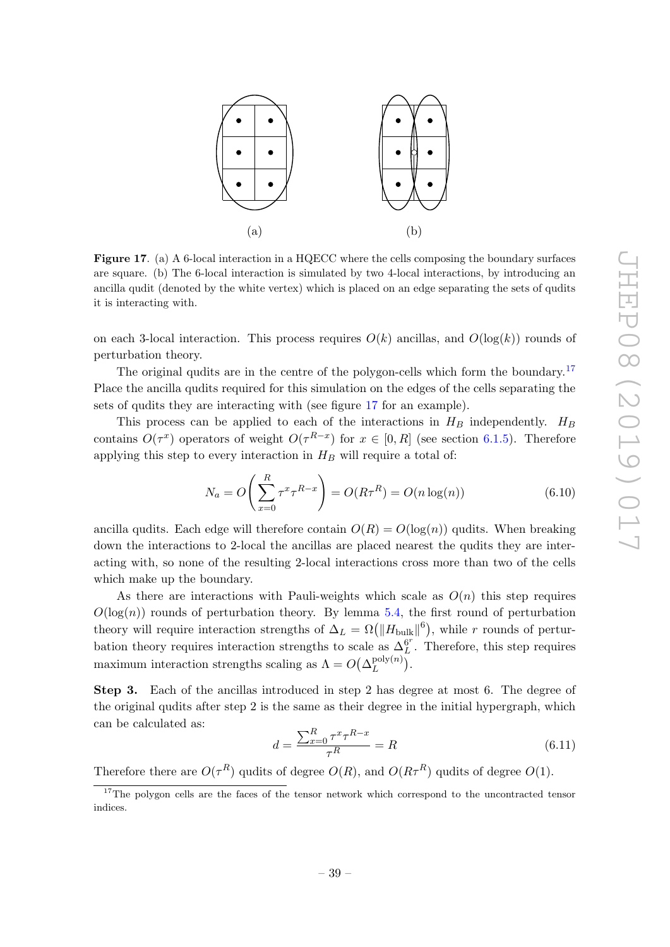

<span id="page-40-1"></span>Figure 17. (a) A 6-local interaction in a HQECC where the cells composing the boundary surfaces are square. (b) The 6-local interaction is simulated by two 4-local interactions, by introducing an ancilla qudit (denoted by the white vertex) which is placed on an edge separating the sets of qudits it is interacting with.

on each 3-local interaction. This process requires  $O(k)$  ancillas, and  $O(\log(k))$  rounds of perturbation theory.

The original qudits are in the centre of the polygon-cells which form the boundary.<sup>[17](#page-40-0)</sup> Place the ancilla qudits required for this simulation on the edges of the cells separating the sets of qudits they are interacting with (see figure [17](#page-40-1) for an example).

This process can be applied to each of the interactions in  $H_B$  independently.  $H_B$ contains  $O(\tau^x)$  operators of weight  $O(\tau^{R-x})$  for  $x \in [0, R]$  (see section [6.1.5\)](#page-34-1). Therefore applying this step to every interaction in  $H_B$  will require a total of:

$$
N_a = O\left(\sum_{x=0}^R \tau^x \tau^{R-x}\right) = O(R\tau^R) = O(n\log(n))\tag{6.10}
$$

ancilla qudits. Each edge will therefore contain  $O(R) = O(\log(n))$  qudits. When breaking down the interactions to 2-local the ancillas are placed nearest the qudits they are interacting with, so none of the resulting 2-local interactions cross more than two of the cells which make up the boundary.

As there are interactions with Pauli-weights which scale as  $O(n)$  this step requires  $O(\log(n))$  rounds of perturbation theory. By lemma [5.4,](#page-23-1) the first round of perturbation theory will require interaction strengths of  $\Delta_L = \Omega(||H_{\text{bulk}}||^6)$ , while r rounds of perturbation theory requires interaction strengths to scale as  $\Delta_L^{67}$  $L^{67}$ . Therefore, this step requires maximum interaction strengths scaling as  $\Lambda = O(\Delta_L^{\text{poly}(n)})$  $L^{\text{poly}(n)}$ ).

Step 3. Each of the ancillas introduced in step 2 has degree at most 6. The degree of the original qudits after step 2 is the same as their degree in the initial hypergraph, which can be calculated as:

$$
d = \frac{\sum_{x=0}^{R} \tau^x \tau^{R-x}}{\tau^R} = R \tag{6.11}
$$

Therefore there are  $O(\tau^R)$  qudits of degree  $O(R)$ , and  $O(R\tau^R)$  qudits of degree  $O(1)$ .

<span id="page-40-0"></span><sup>&</sup>lt;sup>17</sup>The polygon cells are the faces of the tensor network which correspond to the uncontracted tensor indices.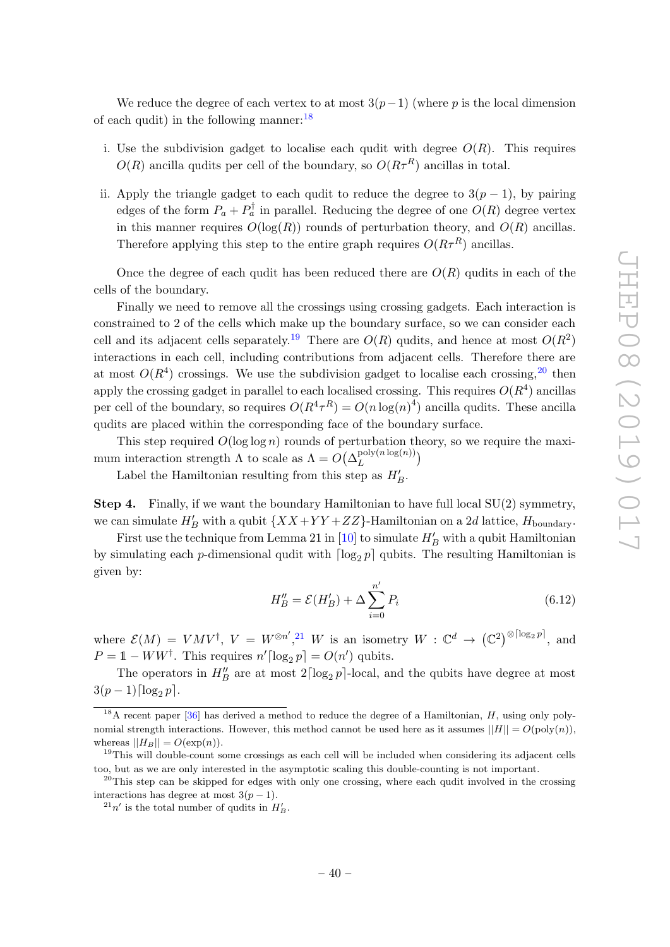We reduce the degree of each vertex to at most  $3(p-1)$  (where p is the local dimension of each qudit) in the following manner:  $^{18}$  $^{18}$  $^{18}$ 

- i. Use the subdivision gadget to localise each qudit with degree  $O(R)$ . This requires  $O(R)$  ancilla qudits per cell of the boundary, so  $O(R\tau^R)$  ancillas in total.
- ii. Apply the triangle gadget to each qudit to reduce the degree to  $3(p-1)$ , by pairing edges of the form  $P_a + P_a^{\dagger}$  in parallel. Reducing the degree of one  $O(R)$  degree vertex in this manner requires  $O(\log(R))$  rounds of perturbation theory, and  $O(R)$  ancillas. Therefore applying this step to the entire graph requires  $O(R\tau^R)$  ancillas.

Once the degree of each qudit has been reduced there are  $O(R)$  qudits in each of the cells of the boundary.

Finally we need to remove all the crossings using crossing gadgets. Each interaction is constrained to 2 of the cells which make up the boundary surface, so we can consider each cell and its adjacent cells separately.<sup>[19](#page-41-1)</sup> There are  $O(R)$  qudits, and hence at most  $O(R^2)$ interactions in each cell, including contributions from adjacent cells. Therefore there are at most  $O(R<sup>4</sup>)$  crossings. We use the subdivision gadget to localise each crossing,  $2<sup>0</sup>$  then apply the crossing gadget in parallel to each localised crossing. This requires  $O(R^4)$  ancillas per cell of the boundary, so requires  $O(R^4 \tau^R) = O(n \log(n)^4)$  ancilla qudits. These ancilla qudits are placed within the corresponding face of the boundary surface.

This step required  $O(\log \log n)$  rounds of perturbation theory, so we require the maximum interaction strength  $\Lambda$  to scale as  $\Lambda = O(\Delta_L^{\text{poly}(n \log(n))})$  $L^{\text{poly}(n \log(n))}$ 

Label the Hamiltonian resulting from this step as  $H'_B$ .

Step 4. Finally, if we want the boundary Hamiltonian to have full local SU(2) symmetry, we can simulate  $H'_B$  with a qubit  $\{XX+YY+ZZ\}$ -Hamiltonian on a 2d lattice,  $H_{\text{boundary}}$ .

First use the technique from Lemma 21 in [\[10\]](#page-62-0) to simulate  $H'_B$  with a qubit Hamiltonian by simulating each p-dimensional qudit with  $\lceil \log_2 p \rceil$  qubits. The resulting Hamiltonian is given by:

$$
H''_B = \mathcal{E}(H'_B) + \Delta \sum_{i=0}^{n'} P_i
$$
 (6.12)

where  $\mathcal{E}(M) = VMV^{\dagger}$ ,  $V = W^{\otimes n'}, ^{21}W$  $V = W^{\otimes n'}, ^{21}W$  $V = W^{\otimes n'}, ^{21}W$  is an isometry  $W : \mathbb{C}^d \to (\mathbb{C}^2)^{\otimes \lceil \log_2 p \rceil}$ , and  $P = 1 - WW^{\dagger}$ . This requires  $n' \lceil \log_2 p \rceil = O(n')$  qubits.

The operators in  $H''_B$  are at most  $2\lceil \log_2 p \rceil$ -local, and the qubits have degree at most  $3(p-1)\lceil \log_2 p \rceil$ .

<span id="page-41-0"></span><sup>&</sup>lt;sup>18</sup>A recent paper [\[36\]](#page-63-4) has derived a method to reduce the degree of a Hamiltonian,  $H$ , using only polynomial strength interactions. However, this method cannot be used here as it assumes  $||H|| = O(\text{poly}(n))$ , whereas  $||H_B|| = O(\exp(n)).$ 

<span id="page-41-1"></span><sup>&</sup>lt;sup>19</sup>This will double-count some crossings as each cell will be included when considering its adjacent cells too, but as we are only interested in the asymptotic scaling this double-counting is not important.

<span id="page-41-2"></span> $^{20}$ This step can be skipped for edges with only one crossing, where each qudit involved in the crossing interactions has degree at most  $3(p-1)$ .

<span id="page-41-3"></span> $^{21}n'$  is the total number of qudits in  $H'_B$ .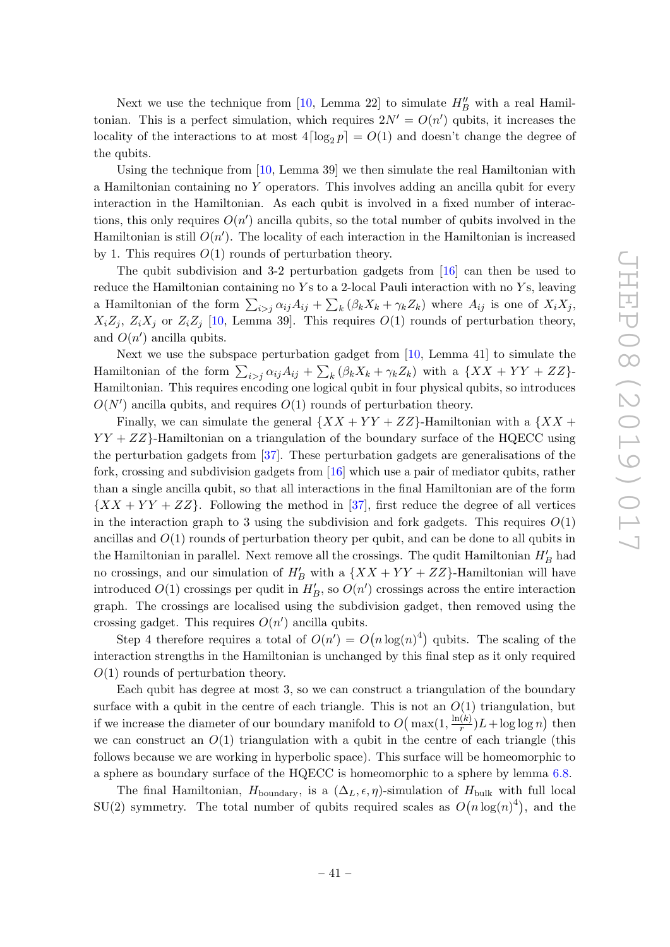Next we use the technique from [\[10,](#page-62-0) Lemma 22] to simulate  $H''_B$  with a real Hamiltonian. This is a perfect simulation, which requires  $2N' = O(n')$  qubits, it increases the locality of the interactions to at most  $4\lceil \log_2 p \rceil = O(1)$  and doesn't change the degree of the qubits.

Using the technique from [\[10,](#page-62-0) Lemma 39] we then simulate the real Hamiltonian with a Hamiltonian containing no Y operators. This involves adding an ancilla qubit for every interaction in the Hamiltonian. As each qubit is involved in a fixed number of interactions, this only requires  $O(n')$  ancilla qubits, so the total number of qubits involved in the Hamiltonian is still  $O(n')$ . The locality of each interaction in the Hamiltonian is increased by 1. This requires  $O(1)$  rounds of perturbation theory.

The qubit subdivision and 3-2 perturbation gadgets from [\[16\]](#page-62-4) can then be used to reduce the Hamiltonian containing no  $Y_s$  to a 2-local Pauli interaction with no  $Y_s$ , leaving a Hamiltonian of the form  $\sum_{i>j} \alpha_{ij} A_{ij} + \sum_{k} (\beta_k X_k + \gamma_k Z_k)$  where  $A_{ij}$  is one of  $X_i X_j$ ,  $X_iZ_j$ ,  $Z_iX_j$  or  $Z_iZ_j$  [\[10,](#page-62-0) Lemma 39]. This requires  $O(1)$  rounds of perturbation theory, and  $O(n')$  ancilla qubits.

Next we use the subspace perturbation gadget from [\[10,](#page-62-0) Lemma 41] to simulate the Hamiltonian of the form  $\sum_{i>j} \alpha_{ij} A_{ij} + \sum_{k} (\beta_k X_k + \gamma_k Z_k)$  with a  $\{XX+YY+ZZ\}$ -Hamiltonian. This requires encoding one logical qubit in four physical qubits, so introduces  $O(N')$  ancilla qubits, and requires  $O(1)$  rounds of perturbation theory.

Finally, we can simulate the general  $\{XX+YY+ZZ\}$ -Hamiltonian with a  $\{XX+YY+ZZ\}$  $YY + ZZ$ . Hamiltonian on a triangulation of the boundary surface of the HQECC using the perturbation gadgets from [\[37\]](#page-63-5). These perturbation gadgets are generalisations of the fork, crossing and subdivision gadgets from [\[16\]](#page-62-4) which use a pair of mediator qubits, rather than a single ancilla qubit, so that all interactions in the final Hamiltonian are of the form  $\{XX+YY+ZZ\}$ . Following the method in [\[37\]](#page-63-5), first reduce the degree of all vertices in the interaction graph to 3 using the subdivision and fork gadgets. This requires  $O(1)$ ancillas and  $O(1)$  rounds of perturbation theory per qubit, and can be done to all qubits in the Hamiltonian in parallel. Next remove all the crossings. The qudit Hamiltonian  $H'_B$  had no crossings, and our simulation of  $H'_B$  with a  $\{XX+YY+ZZ\}$ -Hamiltonian will have introduced  $O(1)$  crossings per qudit in  $H'_B$ , so  $O(n')$  crossings across the entire interaction graph. The crossings are localised using the subdivision gadget, then removed using the crossing gadget. This requires  $O(n')$  ancilla qubits.

Step 4 therefore requires a total of  $O(n') = O(n \log(n)^4)$  qubits. The scaling of the interaction strengths in the Hamiltonian is unchanged by this final step as it only required  $O(1)$  rounds of perturbation theory.

Each qubit has degree at most 3, so we can construct a triangulation of the boundary surface with a qubit in the centre of each triangle. This is not an  $O(1)$  triangulation, but if we increase the diameter of our boundary manifold to  $O(max(1, \frac{ln(k)}{r}))$  $\frac{f(k)}{r}$ ) L + log log n) then we can construct an  $O(1)$  triangulation with a qubit in the centre of each triangle (this follows because we are working in hyperbolic space). This surface will be homeomorphic to a sphere as boundary surface of the HQECC is homeomorphic to a sphere by lemma [6.8.](#page-32-1)

The final Hamiltonian,  $H_{\text{boundary}}$ , is a  $(\Delta_L, \epsilon, \eta)$ -simulation of  $H_{\text{bulk}}$  with full local SU(2) symmetry. The total number of qubits required scales as  $O(n \log(n)^4)$ , and the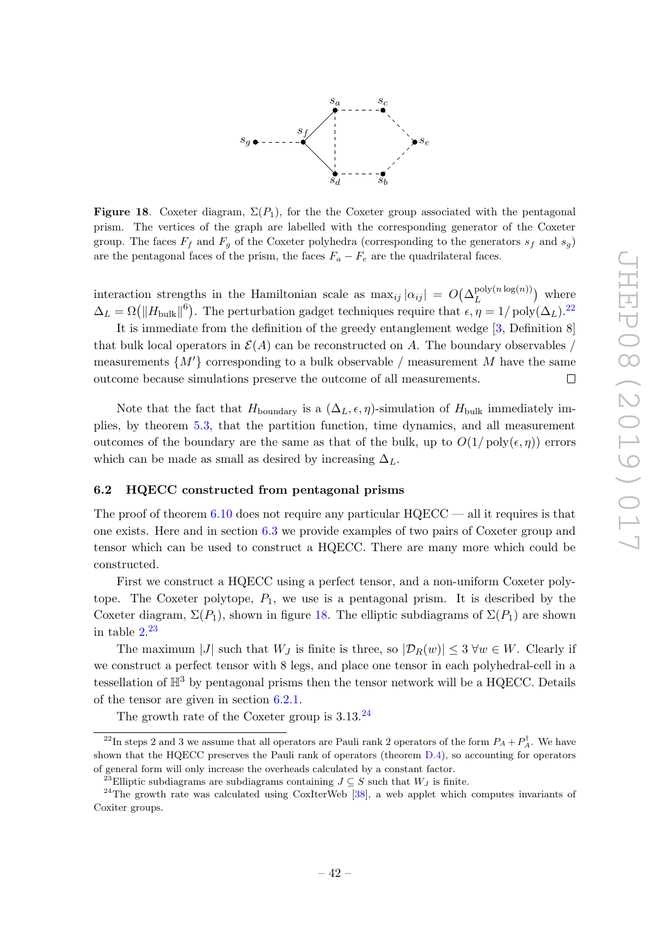

<span id="page-43-2"></span>**Figure 18.** Coxeter diagram,  $\Sigma(P_1)$ , for the the Coxeter group associated with the pentagonal prism. The vertices of the graph are labelled with the corresponding generator of the Coxeter group. The faces  $F_f$  and  $F_g$  of the Coxeter polyhedra (corresponding to the generators  $s_f$  and  $s_g$ ) are the pentagonal faces of the prism, the faces  $F_a - F_e$  are the quadrilateral faces.

interaction strengths in the Hamiltonian scale as  $\max_{ij} |\alpha_{ij}| = O(\Delta_L^{\text{poly}(n \log(n))})$  $L^{\text{poly}(n \log(n))}$  where  $\Delta_L = \Omega(||H_{\text{bulk}}||^6)$ . The perturbation gadget techniques require that  $\epsilon, \eta = 1/\text{poly}(\Delta_L)$ .<sup>[22](#page-43-1)</sup>

It is immediate from the definition of the greedy entanglement wedge [\[3,](#page-61-2) Definition 8] that bulk local operators in  $\mathcal{E}(A)$  can be reconstructed on A. The boundary observables / measurements  $\{M'\}$  corresponding to a bulk observable / measurement M have the same outcome because simulations preserve the outcome of all measurements.  $\Box$ 

Note that the fact that  $H_{\text{boundary}}$  is a  $(\Delta_L, \epsilon, \eta)$ -simulation of  $H_{\text{bulk}}$  immediately implies, by theorem [5.3,](#page-23-3) that the partition function, time dynamics, and all measurement outcomes of the boundary are the same as that of the bulk, up to  $O(1/\text{poly}(\epsilon, \eta))$  errors which can be made as small as desired by increasing  $\Delta_L$ .

## <span id="page-43-0"></span>6.2 HQECC constructed from pentagonal prisms

The proof of theorem [6.10](#page-37-0) does not require any particular  $HOECC$  — all it requires is that one exists. Here and in section [6.3](#page-45-0) we provide examples of two pairs of Coxeter group and tensor which can be used to construct a HQECC. There are many more which could be constructed.

First we construct a HQECC using a perfect tensor, and a non-uniform Coxeter polytope. The Coxeter polytope,  $P_1$ , we use is a pentagonal prism. It is described by the Coxeter diagram,  $\Sigma(P_1)$ , shown in figure [18.](#page-43-2) The elliptic subdiagrams of  $\Sigma(P_1)$  are shown in table  $2^{23}$  $2^{23}$  $2^{23}$ 

The maximum |J| such that  $W_J$  is finite is three, so  $|\mathcal{D}_R(w)| \leq 3 \,\forall w \in W$ . Clearly if we construct a perfect tensor with 8 legs, and place one tensor in each polyhedral-cell in a tessellation of  $\mathbb{H}^3$  by pentagonal prisms then the tensor network will be a HQECC. Details of the tensor are given in section [6.2.1.](#page-44-0)

The growth rate of the Coxeter group is  $3.13^{24}$  $3.13^{24}$  $3.13^{24}$ 

<span id="page-43-1"></span><sup>&</sup>lt;sup>22</sup>In steps 2 and 3 we assume that all operators are Pauli rank 2 operators of the form  $P_A + P_A^{\dagger}$ . We have shown that the HQECC preserves the Pauli rank of operators (theorem [D.4\)](#page-53-0), so accounting for operators of general form will only increase the overheads calculated by a constant factor.

<span id="page-43-4"></span><span id="page-43-3"></span><sup>&</sup>lt;sup>23</sup>Elliptic subdiagrams are subdiagrams containing  $J \subseteq S$  such that  $W_J$  is finite.

<sup>&</sup>lt;sup>24</sup>The growth rate was calculated using CoxIterWeb [\[38\]](#page-63-6), a web applet which computes invariants of Coxiter groups.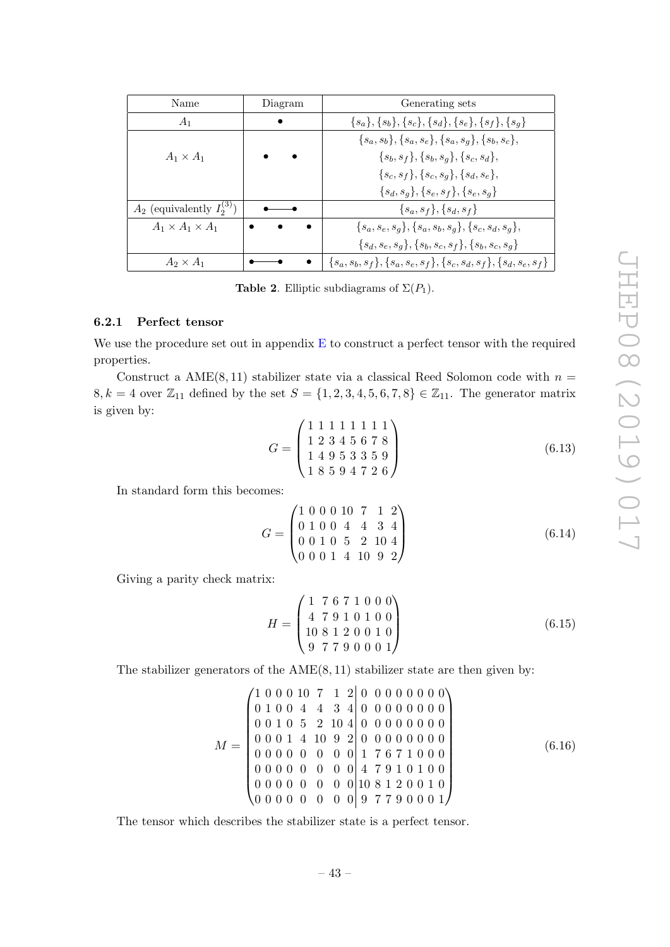| Name                              | Diagram | Generating sets                                                      |
|-----------------------------------|---------|----------------------------------------------------------------------|
| $A_1$                             |         | ${s_a}, {s_b}, {s_c}, {s_d}, {s_e}, {s_f}, {s_g}$                    |
|                                   |         | ${sa, sb}, {sa, se}, {sa, sq}, {sb, sc},$                            |
| $A_1 \times A_1$                  |         | $\{s_b, s_f\}, \{s_b, s_g\}, \{s_c, s_d\},\$                         |
|                                   |         | ${s_c, s_f}, {s_c, s_q}, {s_d, s_e},$                                |
|                                   |         | $\{s_d, s_q\}, \{s_e, s_f\}, \{s_e, s_q\}$                           |
| $A_2$ (equivalently $I_2^{(3)}$ ) |         | $\{s_a, s_f\}, \{s_d, s_f\}$                                         |
| $A_1 \times A_1 \times A_1$       |         | $\{s_a, s_e, s_q\}, \{s_a, s_b, s_q\}, \{s_c, s_d, s_q\},\$          |
|                                   |         | ${s_d, s_e, s_q}, {s_b, s_c, s_f}, {s_b, s_c, s_q}$                  |
| $A_2 \times A_1$                  |         | ${s_a, s_b, s_f}, {s_a, s_e, s_f}, {s_c, s_d, s_f}, {s_d, s_e, s_f}$ |

<span id="page-44-1"></span>**Table 2.** Elliptic subdiagrams of  $\Sigma(P_1)$ .

### <span id="page-44-0"></span>6.2.1 Perfect tensor

We use the procedure set out in appendix [E](#page-54-0) to construct a perfect tensor with the required properties.

Construct a AME $(8, 11)$  stabilizer state via a classical Reed Solomon code with  $n =$ 8, k = 4 over  $\mathbb{Z}_{11}$  defined by the set  $S = \{1, 2, 3, 4, 5, 6, 7, 8\} \in \mathbb{Z}_{11}$ . The generator matrix is given by:

<span id="page-44-2"></span>
$$
G = \begin{pmatrix} 1 & 1 & 1 & 1 & 1 & 1 & 1 \\ 1 & 2 & 3 & 4 & 5 & 6 & 7 & 8 \\ 1 & 4 & 9 & 5 & 3 & 3 & 5 & 9 \\ 1 & 8 & 5 & 9 & 4 & 7 & 2 & 6 \end{pmatrix}
$$
 (6.13)

In standard form this becomes:

$$
G = \begin{pmatrix} 1 & 0 & 0 & 0 & 10 & 7 & 1 & 2 \\ 0 & 1 & 0 & 0 & 4 & 4 & 3 & 4 \\ 0 & 0 & 1 & 0 & 5 & 2 & 10 & 4 \\ 0 & 0 & 0 & 1 & 4 & 10 & 9 & 2 \end{pmatrix}
$$
(6.14)

Giving a parity check matrix:

$$
H = \begin{pmatrix} 1 & 7 & 6 & 7 & 1 & 0 & 0 & 0 \\ 4 & 7 & 9 & 1 & 0 & 1 & 0 & 0 \\ 10 & 8 & 1 & 2 & 0 & 0 & 1 & 0 \\ 9 & 7 & 7 & 9 & 0 & 0 & 0 & 1 \end{pmatrix}
$$
(6.15)

The stabilizer generators of the  $AME(8, 11)$  stabilizer state are then given by:

$$
M = \begin{pmatrix} 1 & 0 & 0 & 0 & 10 & 7 & 1 & 2 & 0 & 0 & 0 & 0 & 0 & 0 & 0 & 0 \\ 0 & 1 & 0 & 0 & 4 & 4 & 3 & 4 & 0 & 0 & 0 & 0 & 0 & 0 & 0 \\ 0 & 0 & 1 & 0 & 5 & 2 & 10 & 4 & 0 & 0 & 0 & 0 & 0 & 0 & 0 \\ 0 & 0 & 0 & 1 & 4 & 10 & 9 & 2 & 0 & 0 & 0 & 0 & 0 & 0 & 0 \\ 0 & 0 & 0 & 0 & 0 & 0 & 0 & 1 & 7 & 6 & 7 & 1 & 0 & 0 & 0 \\ 0 & 0 & 0 & 0 & 0 & 0 & 0 & 0 & 4 & 7 & 9 & 1 & 0 & 1 & 0 \\ 0 & 0 & 0 & 0 & 0 & 0 & 0 & 0 & 10 & 8 & 1 & 2 & 0 & 0 & 1 \\ 0 & 0 & 0 & 0 & 0 & 0 & 0 & 0 & 9 & 7 & 7 & 9 & 0 & 0 & 0 & 1 \end{pmatrix}
$$
(6.16)

The tensor which describes the stabilizer state is a perfect tensor.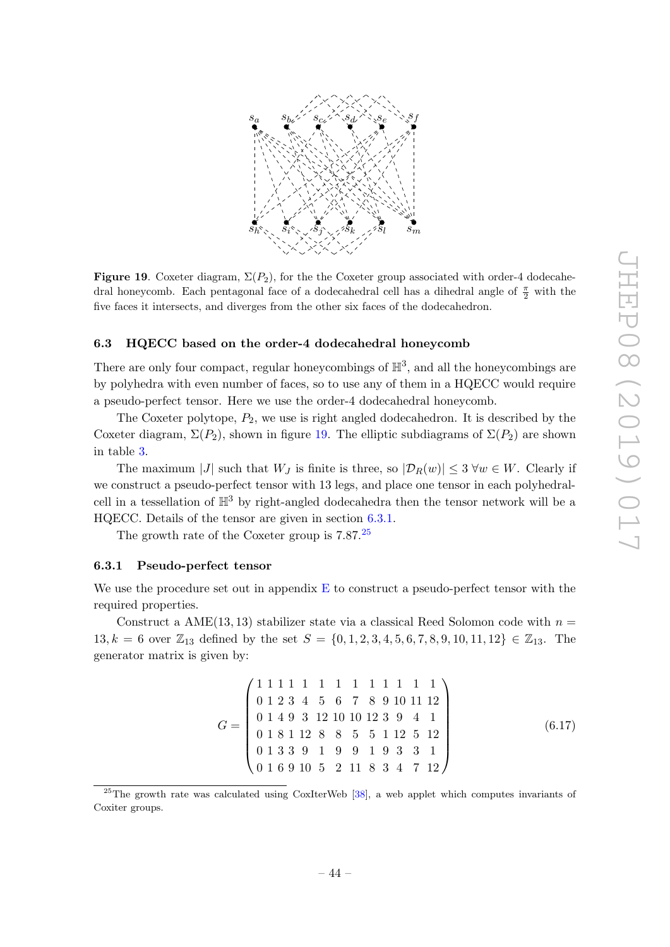

<span id="page-45-2"></span>Figure 19. Coxeter diagram,  $\Sigma(P_2)$ , for the the Coxeter group associated with order-4 dodecahedral honeycomb. Each pentagonal face of a dodecahedral cell has a dihedral angle of  $\frac{\pi}{2}$  with the five faces it intersects, and diverges from the other six faces of the dodecahedron.

### <span id="page-45-0"></span>6.3 HQECC based on the order-4 dodecahedral honeycomb

There are only four compact, regular honeycombings of  $\mathbb{H}^3$ , and all the honeycombings are by polyhedra with even number of faces, so to use any of them in a HQECC would require a pseudo-perfect tensor. Here we use the order-4 dodecahedral honeycomb.

The Coxeter polytope,  $P_2$ , we use is right angled dodecahedron. It is described by the Coxeter diagram,  $\Sigma(P_2)$ , shown in figure [19.](#page-45-2) The elliptic subdiagrams of  $\Sigma(P_2)$  are shown in table [3.](#page-46-0)

The maximum |J| such that  $W_J$  is finite is three, so  $|\mathcal{D}_R(w)| \leq 3 \,\forall w \in W$ . Clearly if we construct a pseudo-perfect tensor with 13 legs, and place one tensor in each polyhedralcell in a tessellation of  $H^3$  by right-angled dodecahedra then the tensor network will be a HQECC. Details of the tensor are given in section [6.3.1.](#page-45-1)

The growth rate of the Coxeter group is  $7.87<sup>25</sup>$  $7.87<sup>25</sup>$  $7.87<sup>25</sup>$ 

### <span id="page-45-1"></span>6.3.1 Pseudo-perfect tensor

We use the procedure set out in appendix  $E$  to construct a pseudo-perfect tensor with the required properties.

Construct a AME $(13, 13)$  stabilizer state via a classical Reed Solomon code with  $n =$ 13, k = 6 over  $\mathbb{Z}_{13}$  defined by the set  $S = \{0, 1, 2, 3, 4, 5, 6, 7, 8, 9, 10, 11, 12\} \in \mathbb{Z}_{13}$ . The generator matrix is given by:

$$
G = \begin{pmatrix} 1 & 1 & 1 & 1 & 1 & 1 & 1 & 1 & 1 & 1 & 1 \\ 0 & 1 & 2 & 3 & 4 & 5 & 6 & 7 & 8 & 9 & 10 & 11 & 12 \\ 0 & 1 & 4 & 9 & 3 & 12 & 10 & 10 & 12 & 3 & 9 & 4 & 1 \\ 0 & 1 & 8 & 1 & 12 & 8 & 8 & 5 & 5 & 1 & 12 & 5 & 12 \\ 0 & 1 & 3 & 3 & 9 & 1 & 9 & 9 & 1 & 9 & 3 & 3 & 1 \\ 0 & 1 & 6 & 9 & 10 & 5 & 2 & 11 & 8 & 3 & 4 & 7 & 12 \end{pmatrix}
$$
(6.17)

<span id="page-45-3"></span> $^{25}$ The growth rate was calculated using CoxIterWeb [\[38\]](#page-63-6), a web applet which computes invariants of Coxiter groups.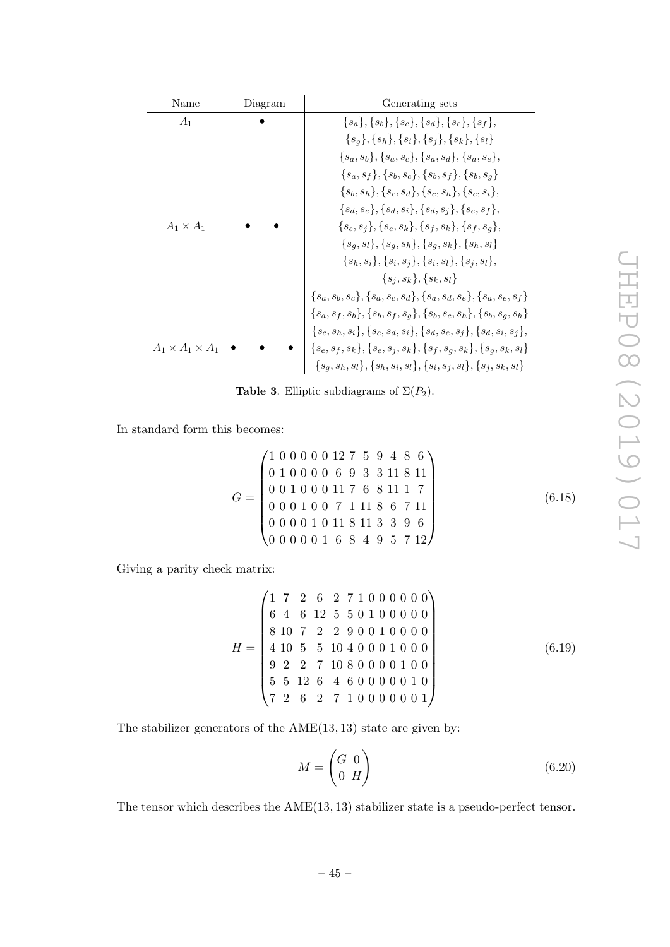| Name                        | Diagram | Generating sets                                                                |
|-----------------------------|---------|--------------------------------------------------------------------------------|
| $A_1$                       |         | ${s_a}, {s_b}, {s_c}, {s_d}, {s_e}, {s_f},$                                    |
|                             |         | ${sg}, {sh}, {si}, {sj}, {sk}, {sl}$                                           |
|                             |         | $\{s_a, s_b\}, \{s_a, s_c\}, \{s_a, s_d\}, \{s_a, s_e\},\$                     |
|                             |         | ${sa, sf}, {sb, sc}, {sb, sf}, {sb, sa}$                                       |
|                             |         | $\{s_b, s_h\}, \{s_c, s_d\}, \{s_c, s_h\}, \{s_c, s_i\},$                      |
|                             |         | $\{s_d, s_e\}, \{s_d, s_i\}, \{s_d, s_i\}, \{s_e, s_f\},\$                     |
| $A_1 \times A_1$            |         | ${s_e, s_j}, {s_e, s_k}, {s_f, s_k}, {s_f, s_g},$                              |
|                             |         | ${sa, sl}, {sa, sh}, {sa, sk}, {sh, sl}$                                       |
|                             |         | $\{s_h, s_i\}, \{s_i, s_j\}, \{s_i, s_l\}, \{s_j, s_l\},$                      |
|                             |         | ${si, sk}, {sk, sl}$                                                           |
|                             |         | ${s_a, s_b, s_c}, {s_a, s_c, s_d}, {s_a, s_d, s_e}, {s_a, s_e, s_f}$           |
|                             |         | ${s_a, s_f, s_b}, {s_b, s_f, s_a}, {s_b, s_c, s_h}, {s_b, s_a, s_h}$           |
|                             |         | $\{s_c, s_h, s_i\}, \{s_c, s_d, s_i\}, \{s_d, s_e, s_j\}, \{s_d, s_i, s_j\},\$ |
| $A_1 \times A_1 \times A_1$ |         | ${s_e,s_f,s_k}, {s_e,s_i,s_k}, {s_f,s_g,s_k}, {s_g,s_k,s_l}$                   |
|                             |         | $\{s_q, s_h, s_l\}, \{s_h, s_i, s_l\}, \{s_i, s_j, s_l\}, \{s_j, s_k, s_l\}$   |

<span id="page-46-0"></span>**Table 3.** Elliptic subdiagrams of  $\Sigma(P_2)$ .

In standard form this becomes:

$$
G = \begin{pmatrix} 1 & 0 & 0 & 0 & 0 & 0 & 12 & 7 & 5 & 9 & 4 & 8 & 6 \\ 0 & 1 & 0 & 0 & 0 & 0 & 6 & 9 & 3 & 3 & 11 & 8 & 11 \\ 0 & 0 & 1 & 0 & 0 & 0 & 11 & 7 & 6 & 8 & 11 & 1 & 7 \\ 0 & 0 & 0 & 1 & 0 & 0 & 7 & 1 & 11 & 8 & 6 & 7 & 11 \\ 0 & 0 & 0 & 0 & 1 & 0 & 11 & 8 & 11 & 3 & 3 & 9 & 6 \\ 0 & 0 & 0 & 0 & 0 & 1 & 6 & 8 & 4 & 9 & 5 & 7 & 12 \end{pmatrix}
$$
(6.18)

Giving a parity check matrix:

$$
H = \begin{pmatrix} 1 & 7 & 2 & 6 & 2 & 7 & 1 & 0 & 0 & 0 & 0 & 0 & 0 \\ 6 & 4 & 6 & 12 & 5 & 5 & 0 & 1 & 0 & 0 & 0 & 0 \\ 8 & 10 & 7 & 2 & 2 & 9 & 0 & 0 & 1 & 0 & 0 & 0 \\ 4 & 10 & 5 & 5 & 10 & 4 & 0 & 0 & 0 & 1 & 0 & 0 \\ 9 & 2 & 2 & 7 & 10 & 8 & 0 & 0 & 0 & 1 & 0 & 0 \\ 5 & 5 & 12 & 6 & 4 & 6 & 0 & 0 & 0 & 0 & 1 & 0 \\ 7 & 2 & 6 & 2 & 7 & 1 & 0 & 0 & 0 & 0 & 0 & 1 \end{pmatrix}
$$
(6.19)

The stabilizer generators of the AME(13, 13) state are given by:

<span id="page-46-1"></span>
$$
M = \begin{pmatrix} G \mid 0 \\ 0 \mid H \end{pmatrix} \tag{6.20}
$$

The tensor which describes the AME(13, 13) stabilizer state is a pseudo-perfect tensor.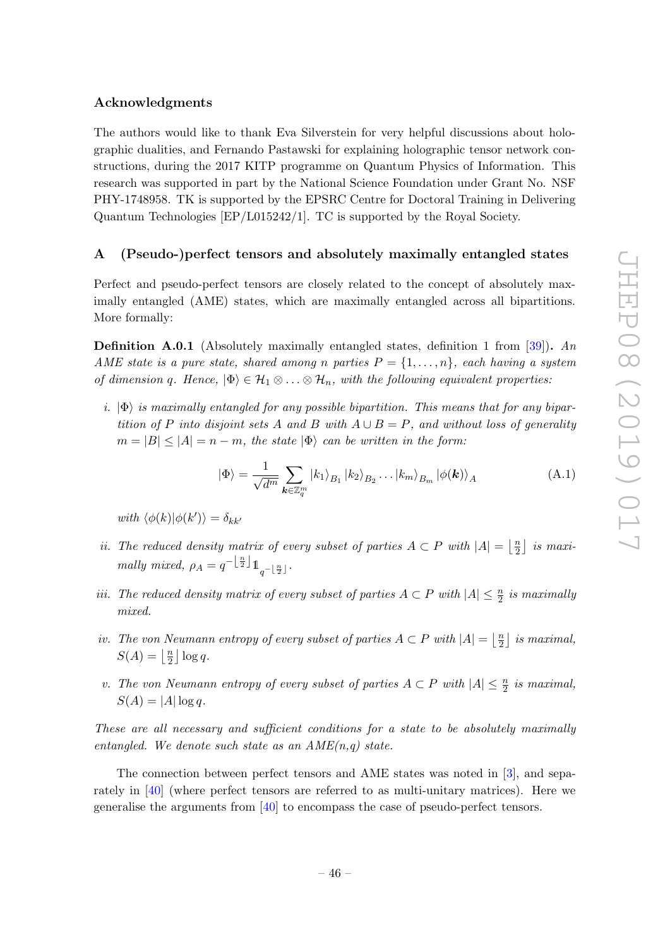# Acknowledgments

The authors would like to thank Eva Silverstein for very helpful discussions about holographic dualities, and Fernando Pastawski for explaining holographic tensor network constructions, during the 2017 KITP programme on Quantum Physics of Information. This research was supported in part by the National Science Foundation under Grant No. NSF PHY-1748958. TK is supported by the EPSRC Centre for Doctoral Training in Delivering Quantum Technologies [EP/L015242/1]. TC is supported by the Royal Society.

# <span id="page-47-0"></span>A (Pseudo-)perfect tensors and absolutely maximally entangled states

Perfect and pseudo-perfect tensors are closely related to the concept of absolutely maximally entangled (AME) states, which are maximally entangled across all bipartitions. More formally:

**Definition A.0.1** (Absolutely maximally entangled states, definition 1 from [\[39\]](#page-63-7)). An AME state is a pure state, shared among n parties  $P = \{1, \ldots, n\}$ , each having a system of dimension q. Hence,  $|\Phi\rangle \in \mathcal{H}_1 \otimes \ldots \otimes \mathcal{H}_n$ , with the following equivalent properties:

i.  $|\Phi\rangle$  is maximally entangled for any possible bipartition. This means that for any bipartition of P into disjoint sets A and B with  $A \cup B = P$ , and without loss of generality  $m = |B| \leq |A| = n - m$ , the state  $|\Phi\rangle$  can be written in the form:

$$
|\Phi\rangle = \frac{1}{\sqrt{d^m}} \sum_{\mathbf{k} \in \mathbb{Z}_q^m} |k_1\rangle_{B_1} |k_2\rangle_{B_2} \dots |k_m\rangle_{B_m} |\phi(\mathbf{k})\rangle_A
$$
 (A.1)

with  $\langle \phi(k) | \phi(k') \rangle = \delta_{kk'}$ 

- ii. The reduced density matrix of every subset of parties  $A \subset P$  with  $|A| = \frac{n}{2}$  $\frac{n}{2}$  is maximally mixed,  $\rho_A = q^{-\left\lfloor \frac{n}{2} \right\rfloor} \mathbb{1}_{q^{-\left\lfloor \frac{n}{2} \right\rfloor}}$ .
- iii. The reduced density matrix of every subset of parties  $A \subset P$  with  $|A| \leq \frac{n}{2}$  is maximally mixed.
- iv. The von Neumann entropy of every subset of parties  $A \subset P$  with  $|A| = \frac{n}{2}$  $\frac{n}{2}$  is maximal,  $S(A) = \left\lfloor \frac{n}{2} \right\rfloor$  $\frac{n}{2}$   $\log q$ .
- v. The von Neumann entropy of every subset of parties  $A \subset P$  with  $|A| \leq \frac{n}{2}$  is maximal,  $S(A) = |A| \log q.$

These are all necessary and sufficient conditions for a state to be absolutely maximally entangled. We denote such state as an  $AME(n,q)$  state.

The connection between perfect tensors and AME states was noted in [\[3\]](#page-61-2), and separately in [\[40\]](#page-63-8) (where perfect tensors are referred to as multi-unitary matrices). Here we generalise the arguments from [\[40\]](#page-63-8) to encompass the case of pseudo-perfect tensors.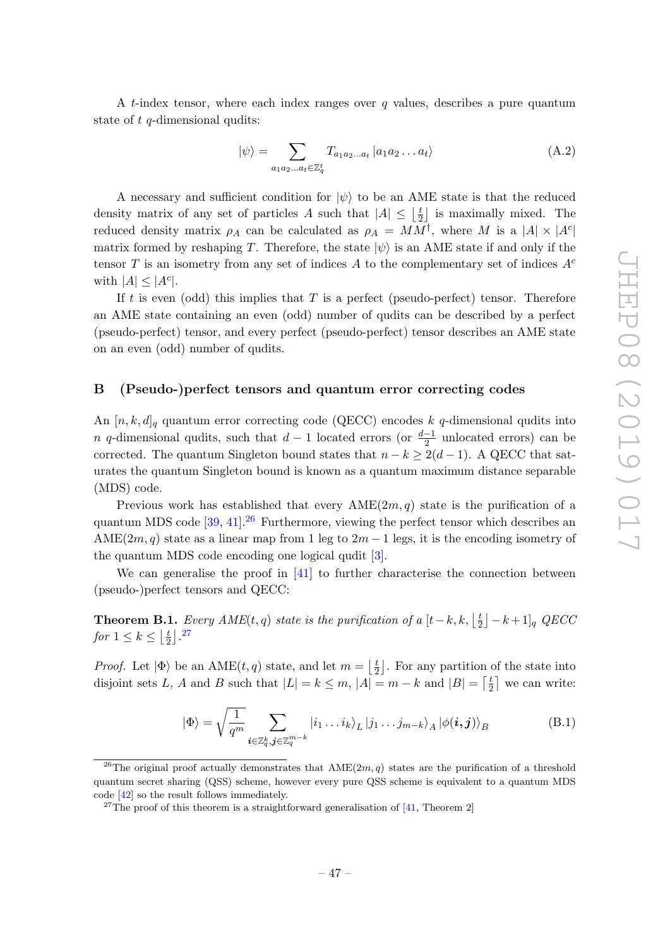A t-index tensor, where each index ranges over  $q$  values, describes a pure quantum state of t q-dimensional qudits:

$$
|\psi\rangle = \sum_{a_1 a_2 \dots a_t \in \mathbb{Z}_q^t} T_{a_1 a_2 \dots a_t} |a_1 a_2 \dots a_t\rangle
$$
 (A.2)

A necessary and sufficient condition for  $|\psi\rangle$  to be an AME state is that the reduced density matrix of any set of particles A such that  $|A| \leq \frac{1}{2}$  $\frac{t}{2}$  is maximally mixed. The reduced density matrix  $\rho_A$  can be calculated as  $\rho_A = MM^{\dagger}$ , where M is a  $|A| \times |A^c|$ matrix formed by reshaping T. Therefore, the state  $|\psi\rangle$  is an AME state if and only if the tensor T is an isometry from any set of indices A to the complementary set of indices  $A<sup>c</sup>$ with  $|A| \leq |A^c|$ .

If t is even (odd) this implies that T is a perfect (pseudo-perfect) tensor. Therefore an AME state containing an even (odd) number of qudits can be described by a perfect (pseudo-perfect) tensor, and every perfect (pseudo-perfect) tensor describes an AME state on an even (odd) number of qudits.

# <span id="page-48-0"></span>B (Pseudo-)perfect tensors and quantum error correcting codes

An  $[n, k, d]_q$  quantum error correcting code (QECC) encodes k q-dimensional qudits into n q-dimensional qudits, such that  $d-1$  located errors (or  $\frac{d-1}{2}$  unlocated errors) can be corrected. The quantum Singleton bound states that  $n - k \geq 2(d - 1)$ . A QECC that saturates the quantum Singleton bound is known as a quantum maximum distance separable (MDS) code.

Previous work has established that every  $\text{AME}(2m, q)$  state is the purification of a quantum MDS code  $[39, 41]$  $[39, 41]$  $[39, 41]$ <sup>[26](#page-48-1)</sup> Furthermore, viewing the perfect tensor which describes an AME $(2m, q)$  state as a linear map from 1 leg to  $2m - 1$  legs, it is the encoding isometry of the quantum MDS code encoding one logical qudit [\[3\]](#page-61-2).

We can generalise the proof in [\[41\]](#page-63-9) to further characterise the connection between (pseudo-)perfect tensors and QECC:

**Theorem B.1.** Every  $AME(t, q)$  state is the purification of a  $[t-k, k, \frac{1}{2}]$  $\left[\frac{t}{2}\right] - k + 1\right]_q$  QECC for  $1 \leq k \leq \lfloor \frac{t}{2} \rfloor$  $\frac{t}{2}$   $\left.\right]$  . [27](#page-48-2)

*Proof.* Let  $|\Phi\rangle$  be an AME $(t, q)$  state, and let  $m = \frac{1}{2}$  $\frac{t}{2}$ . For any partition of the state into disjoint sets L, A and B such that  $|L| = k \leq m$ ,  $|A| = m - k$  and  $|B| = \lceil \frac{t}{2} \rceil$  $\frac{t}{2}$  we can write:

<span id="page-48-3"></span>
$$
|\Phi\rangle = \sqrt{\frac{1}{q^m}} \sum_{\boldsymbol{i} \in \mathbb{Z}_q^k, \boldsymbol{j} \in \mathbb{Z}_q^{m-k}} |i_1 \dots i_k\rangle_L |j_1 \dots j_{m-k}\rangle_A |\phi(\boldsymbol{i}, \boldsymbol{j})\rangle_B
$$
(B.1)

<span id="page-48-1"></span><sup>&</sup>lt;sup>26</sup>The original proof actually demonstrates that  $AME(2m, q)$  states are the purification of a threshold quantum secret sharing (QSS) scheme, however every pure QSS scheme is equivalent to a quantum MDS code [\[42\]](#page-63-10) so the result follows immediately.

<span id="page-48-2"></span><sup>&</sup>lt;sup>27</sup>The proof of this theorem is a straightforward generalisation of [\[41,](#page-63-9) Theorem 2]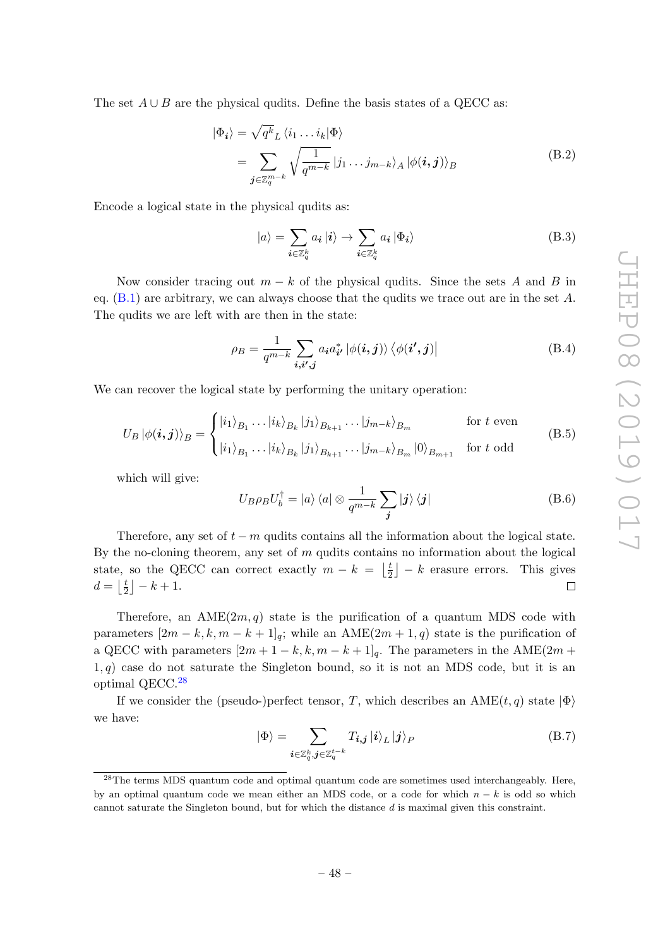The set  $A \cup B$  are the physical qudits. Define the basis states of a QECC as:

$$
|\Phi_{i}\rangle = \sqrt{q^{k}}_{L} \langle i_{1} \dots i_{k} | \Phi \rangle
$$
  
= 
$$
\sum_{\mathbf{j} \in \mathbb{Z}_{q}^{m-k}} \sqrt{\frac{1}{q^{m-k}}} |j_{1} \dots j_{m-k} \rangle_{A} |\phi(\mathbf{i}, \mathbf{j})\rangle_{B}
$$
 (B.2)

Encode a logical state in the physical qudits as:

$$
|a\rangle = \sum_{\mathbf{i}\in\mathbb{Z}_q^k} a_{\mathbf{i}} \, |\mathbf{i}\rangle \to \sum_{\mathbf{i}\in\mathbb{Z}_q^k} a_{\mathbf{i}} \, |\Phi_{\mathbf{i}}\rangle \tag{B.3}
$$

Now consider tracing out  $m - k$  of the physical qudits. Since the sets A and B in eq.  $(B.1)$  are arbitrary, we can always choose that the qudits we trace out are in the set A. The qudits we are left with are then in the state:

$$
\rho_B = \frac{1}{q^{m-k}} \sum_{\boldsymbol{i}, \boldsymbol{i',j}} a_{\boldsymbol{i}} a_{\boldsymbol{i'}}^* \left| \phi(\boldsymbol{i}, \boldsymbol{j}) \right\rangle \left\langle \phi(\boldsymbol{i'}, \boldsymbol{j}) \right| \tag{B.4}
$$

We can recover the logical state by performing the unitary operation:

$$
U_B |\phi(\boldsymbol{i}, \boldsymbol{j})\rangle_B = \begin{cases} |i_1\rangle_{B_1} \dots |i_k\rangle_{B_k} |j_1\rangle_{B_{k+1}} \dots |j_{m-k}\rangle_{B_m} & \text{for } t \text{ even} \\ |i_1\rangle_{B_1} \dots |i_k\rangle_{B_k} |j_1\rangle_{B_{k+1}} \dots |j_{m-k}\rangle_{B_m} |0\rangle_{B_{m+1}} & \text{for } t \text{ odd} \end{cases}
$$
(B.5)

which will give:

$$
U_B \rho_B U_b^{\dagger} = |a\rangle \langle a| \otimes \frac{1}{q^{m-k}} \sum_{\boldsymbol{j}} |j\rangle \langle \boldsymbol{j}| \tag{B.6}
$$

Therefore, any set of  $t - m$  qudits contains all the information about the logical state. By the no-cloning theorem, any set of  $m$  qudits contains no information about the logical state, so the QECC can correct exactly  $m - k = \frac{1}{2}$  $\left(\frac{t}{2}\right] - k$  erasure errors. This gives  $d=\left\lfloor\frac{t}{2}\right\rfloor$  $\frac{t}{2}$ ] – k + 1.  $\Box$ 

Therefore, an  $\text{AME}(2m, q)$  state is the purification of a quantum MDS code with parameters  $[2m - k, k, m - k + 1]_q$ ; while an AME $(2m + 1, q)$  state is the purification of a QECC with parameters  $[2m + 1 - k, k, m - k + 1]_q$ . The parameters in the AME $(2m +$  $1, q$ ) case do not saturate the Singleton bound, so it is not an MDS code, but it is an optimal QECC.[28](#page-49-0)

If we consider the (pseudo-)perfect tensor, T, which describes an  $\text{AME}(t, q)$  state  $|\Phi\rangle$ we have:

$$
|\Phi\rangle = \sum_{\boldsymbol{i}\in\mathbb{Z}_q^k, \boldsymbol{j}\in\mathbb{Z}_q^{t-k}} T_{\boldsymbol{i},\boldsymbol{j}} | \boldsymbol{i}\rangle_L | \boldsymbol{j}\rangle_P
$$
(B.7)

<span id="page-49-0"></span><sup>&</sup>lt;sup>28</sup>The terms MDS quantum code and optimal quantum code are sometimes used interchangeably. Here, by an optimal quantum code we mean either an MDS code, or a code for which  $n - k$  is odd so which cannot saturate the Singleton bound, but for which the distance d is maximal given this constraint.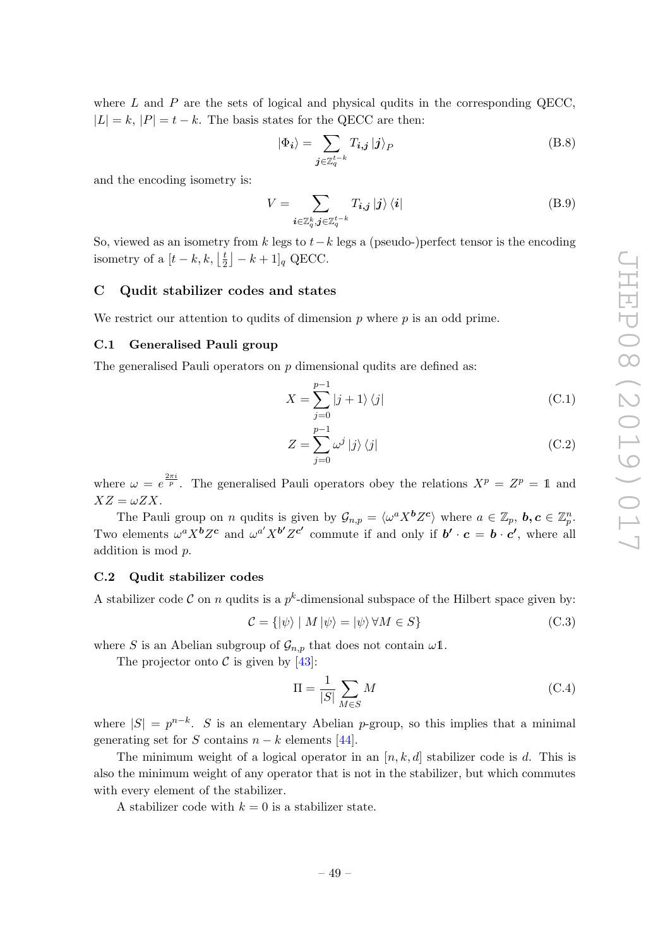where  $L$  and  $P$  are the sets of logical and physical qudits in the corresponding QECC,  $|L| = k$ ,  $|P| = t - k$ . The basis states for the QECC are then:

$$
|\Phi_{i}\rangle = \sum_{\boldsymbol{j}\in\mathbb{Z}_{q}^{t-k}} T_{i,\boldsymbol{j}} | \boldsymbol{j} \rangle_{P}
$$
 (B.8)

and the encoding isometry is:

$$
V = \sum_{\boldsymbol{i} \in \mathbb{Z}_q^k, \boldsymbol{j} \in \mathbb{Z}_q^{t-k}} T_{\boldsymbol{i}, \boldsymbol{j}} \, |\boldsymbol{j}\rangle \, \langle \boldsymbol{i}| \tag{B.9}
$$

So, viewed as an isometry from k legs to  $t-k$  legs a (pseudo-)perfect tensor is the encoding isometry of a  $[t-k, k, \frac{t}{2}]$  $\left[\frac{t}{2}\right] - k + 1$ <sub>q</sub> QECC.

# <span id="page-50-0"></span>C Qudit stabilizer codes and states

We restrict our attention to qudits of dimension  $p$  where  $p$  is an odd prime.

### <span id="page-50-1"></span>C.1 Generalised Pauli group

The generalised Pauli operators on  $p$  dimensional qudits are defined as:

$$
X = \sum_{j=0}^{p-1} |j+1\rangle\langle j|
$$
 (C.1)

$$
Z = \sum_{j=0}^{p-1} \omega^j \left| j \right\rangle \left\langle j \right| \tag{C.2}
$$

where  $\omega = e^{\frac{2\pi i}{p}}$ . The generalised Pauli operators obey the relations  $X^p = Z^p = 1$  and  $XZ = \omega ZX$ .

The Pauli group on *n* qudits is given by  $\mathcal{G}_{n,p} = \langle \omega^a X^b Z^c \rangle$  where  $a \in \mathbb{Z}_p$ ,  $b, c \in \mathbb{Z}_p^n$ . Two elements  $\omega^a X^b Z^c$  and  $\omega^{a'} X^{b'} Z^{c'}$  commute if and only if  $b' \cdot c = b \cdot c'$ , where all addition is mod p.

### <span id="page-50-2"></span>C.2 Qudit stabilizer codes

A stabilizer code C on n qudits is a  $p^k$ -dimensional subspace of the Hilbert space given by:

$$
\mathcal{C} = \{ |\psi \rangle \mid M | \psi \rangle = | \psi \rangle \, \forall M \in S \}
$$
\n(C.3)

where S is an Abelian subgroup of  $\mathcal{G}_{n,p}$  that does not contain  $\omega$ 1.

The projector onto  $\mathcal C$  is given by [\[43\]](#page-63-11):

$$
\Pi = \frac{1}{|S|} \sum_{M \in S} M \tag{C.4}
$$

where  $|S| = p^{n-k}$ . S is an elementary Abelian p-group, so this implies that a minimal generating set for S contains  $n - k$  elements [\[44\]](#page-63-12).

The minimum weight of a logical operator in an  $[n, k, d]$  stabilizer code is d. This is also the minimum weight of any operator that is not in the stabilizer, but which commutes with every element of the stabilizer.

A stabilizer code with  $k = 0$  is a stabilizer state.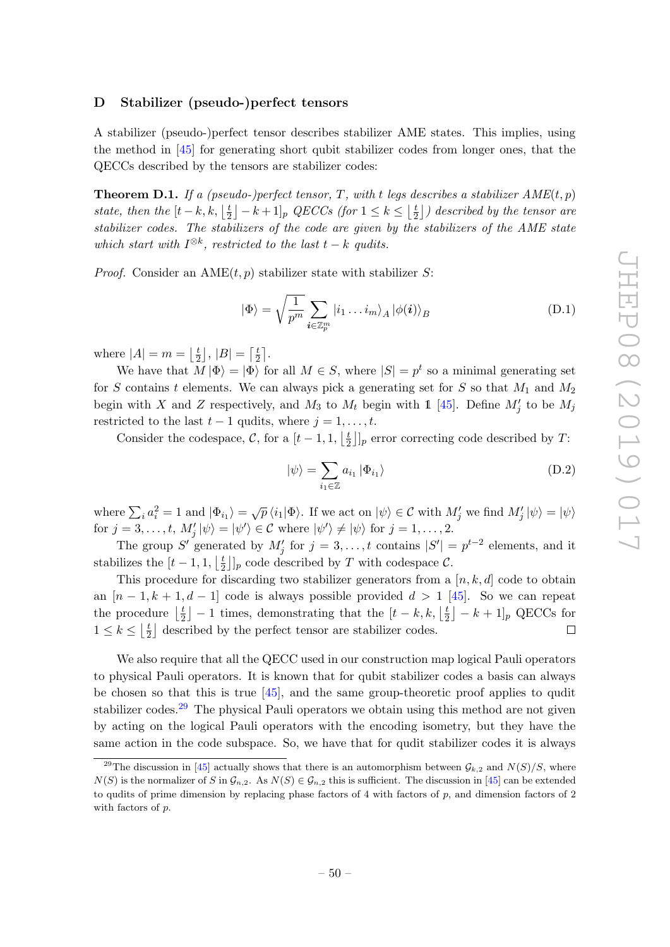### <span id="page-51-0"></span>D Stabilizer (pseudo-)perfect tensors

A stabilizer (pseudo-)perfect tensor describes stabilizer AME states. This implies, using the method in [\[45\]](#page-63-13) for generating short qubit stabilizer codes from longer ones, that the QECCs described by the tensors are stabilizer codes:

<span id="page-51-2"></span>**Theorem D.1.** If a (pseudo-)perfect tensor, T, with t legs describes a stabilizer  $AME(t, p)$ state, then the  $[t-k, k, \frac{\pi}{2}]$  $\lfloor \frac{t}{2} \rfloor - k + 1 \rfloor_p$  QECCs (for  $1 \leq k \leq \lfloor \frac{t}{2} \rfloor$  $\lfloor \frac{t}{2} \rfloor$ ) described by the tensor are stabilizer codes. The stabilizers of the code are given by the stabilizers of the AME state which start with  $I^{\otimes k}$ , restricted to the last  $t - k$  qudits.

*Proof.* Consider an  $\text{AME}(t, p)$  stabilizer state with stabilizer S:

$$
|\Phi\rangle = \sqrt{\frac{1}{p^m}} \sum_{\boldsymbol{i} \in \mathbb{Z}_p^m} |i_1 \dots i_m\rangle_A |\phi(\boldsymbol{i})\rangle_B
$$
 (D.1)

where  $|A|=m=\left\lfloor\frac{t}{2}\right\rfloor$  $\left\lfloor \frac{t}{2} \right\rfloor$ ,  $|B| = \left\lceil \frac{t}{2} \right\rceil$  $\frac{t}{2}$ .

We have that  $M |\Phi\rangle = |\Phi\rangle$  for all  $M \in S$ , where  $|S| = p^t$  so a minimal generating set for S contains t elements. We can always pick a generating set for S so that  $M_1$  and  $M_2$ begin with X and Z respectively, and  $M_3$  to  $M_t$  begin with 1 [\[45\]](#page-63-13). Define  $M'_j$  to be  $M_j$ restricted to the last  $t - 1$  qudits, where  $j = 1, \ldots, t$ .

Consider the codespace, C, for a  $[t-1,1, \frac{t}{2}]$  $\frac{t}{2}$ ]<sub>*p*</sub> error correcting code described by T:

$$
|\psi\rangle = \sum_{i_1 \in \mathbb{Z}} a_{i_1} |\Phi_{i_1}\rangle
$$
 (D.2)

where  $\sum_i a_i^2 = 1$  and  $|\Phi_{i_1}\rangle = \sqrt{p} \langle i_1 | \Phi \rangle$ . If we act on  $|\psi\rangle \in \mathcal{C}$  with  $M'_j$  we find  $M'_j |\psi\rangle = |\psi\rangle$ for  $j = 3, \ldots, t$ ,  $M'_j |\psi\rangle = |\psi'\rangle \in \mathcal{C}$  where  $|\psi'\rangle \neq |\psi\rangle$  for  $j = 1, \ldots, 2$ .

The group S' generated by  $M'_j$  for  $j = 3, ..., t$  contains  $|S'| = p^{t-2}$  elements, and it stabilizes the  $[t-1,1, \frac{t}{2}]$  $\frac{t}{2}$ ]<sub>p</sub> code described by T with codespace C.

This procedure for discarding two stabilizer generators from a  $[n, k, d]$  code to obtain an  $[n-1, k+1, d-1]$  code is always possible provided  $d > 1$  [\[45\]](#page-63-13). So we can repeat the procedure  $\frac{t}{2}$  $\lfloor \frac{t}{2} \rfloor - 1$  times, demonstrating that the  $\lfloor t - k, k, \lfloor \frac{t}{2} \rfloor \rfloor$  $\left[\frac{t}{2}\right] - k + 1$ <sub>p</sub> QECCs for  $1 \leq k \leq \left\lfloor \frac{t}{2} \right\rfloor$  $\frac{t}{2}$  described by the perfect tensor are stabilizer codes.  $\Box$ 

We also require that all the QECC used in our construction map logical Pauli operators to physical Pauli operators. It is known that for qubit stabilizer codes a basis can always be chosen so that this is true [\[45\]](#page-63-13), and the same group-theoretic proof applies to qudit stabilizer codes.<sup>[29](#page-51-1)</sup> The physical Pauli operators we obtain using this method are not given by acting on the logical Pauli operators with the encoding isometry, but they have the same action in the code subspace. So, we have that for qudit stabilizer codes it is always

<span id="page-51-1"></span><sup>&</sup>lt;sup>29</sup>The discussion in [\[45\]](#page-63-13) actually shows that there is an automorphism between  $\mathcal{G}_{k,2}$  and  $N(S)/S$ , where  $N(S)$  is the normalizer of S in  $\mathcal{G}_{n,2}$ . As  $N(S) \in \mathcal{G}_{n,2}$  this is sufficient. The discussion in [\[45\]](#page-63-13) can be extended to qudits of prime dimension by replacing phase factors of  $4$  with factors of  $p$ , and dimension factors of  $2$ with factors of  $p$ .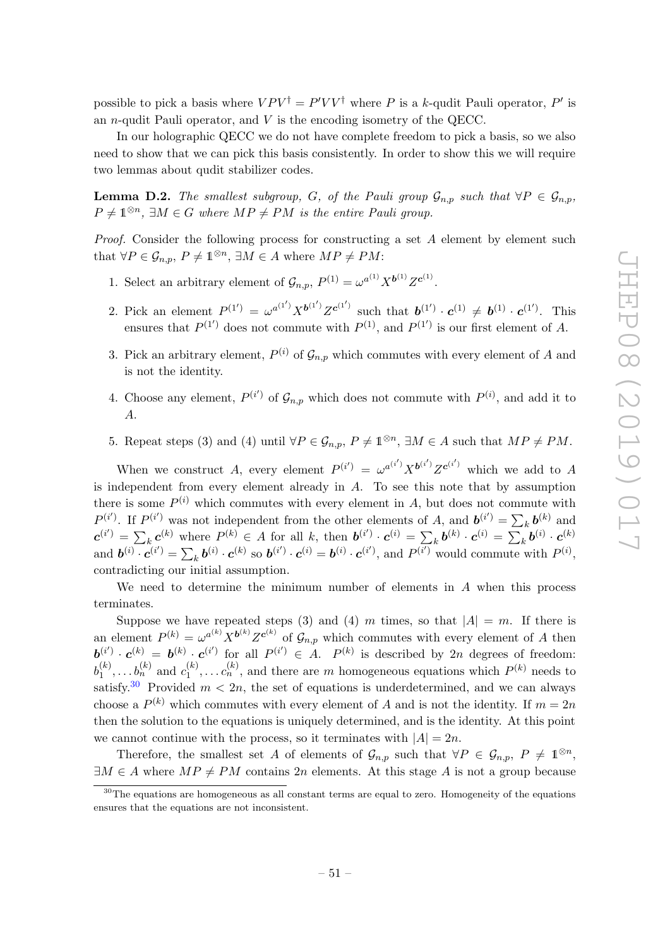possible to pick a basis where  $VPV^{\dagger} = P'VV^{\dagger}$  where P is a k-qudit Pauli operator, P' is an *n*-qudit Pauli operator, and  $V$  is the encoding isometry of the QECC.

In our holographic QECC we do not have complete freedom to pick a basis, so we also need to show that we can pick this basis consistently. In order to show this we will require two lemmas about qudit stabilizer codes.

<span id="page-52-1"></span>**Lemma D.2.** The smallest subgroup, G, of the Pauli group  $\mathcal{G}_{n,p}$  such that  $\forall P \in \mathcal{G}_{n,p}$ ,  $P \neq \mathbb{1}^{\otimes n}$ ,  $\exists M \in G$  where  $MP \neq PM$  is the entire Pauli group.

Proof. Consider the following process for constructing a set A element by element such that  $\forall P \in \mathcal{G}_{n,p}, P \neq \mathbb{1}^{\otimes n}, \exists M \in A$  where  $MP \neq PM$ :

- 1. Select an arbitrary element of  $\mathcal{G}_{n,p}$ ,  $P^{(1)} = \omega^{a^{(1)}} X^{b^{(1)}} Z^{c^{(1)}}$ .
- 2. Pick an element  $P^{(1')} = \omega^{a^{(1')}} X^{b^{(1')}} Z^{c^{(1')}}$  such that  $b^{(1')} \cdot c^{(1)} \neq b^{(1)} \cdot c^{(1')}$ . This ensures that  $P^{(1)}$  does not commute with  $P^{(1)}$ , and  $P^{(1')}$  is our first element of A.
- 3. Pick an arbitrary element,  $P^{(i)}$  of  $\mathcal{G}_{n,p}$  which commutes with every element of A and is not the identity.
- 4. Choose any element,  $P^{(i')}$  of  $\mathcal{G}_{n,p}$  which does not commute with  $P^{(i)}$ , and add it to A.
- 5. Repeat steps (3) and (4) until  $\forall P \in \mathcal{G}_{n,p}, P \neq \mathbb{1}^{\otimes n}, \exists M \in A$  such that  $MP \neq PM$ .

When we construct A, every element  $P^{(i')} = \omega^{a^{(i')}} X^{b^{(i')}} Z^{c^{(i')}}$  which we add to A is independent from every element already in  $A$ . To see this note that by assumption there is some  $P^{(i)}$  which commutes with every element in A, but does not commute with  $P^{(i')}$ . If  $P^{(i')}$  was not independent from the other elements of A, and  $\mathbf{b}^{(i')} = \sum_{k} \mathbf{b}^{(k)}$  and  $\boldsymbol{c}^{(i')} = \sum_{k} \boldsymbol{c}^{(k)}$  where  $P^{(k)} \in A$  for all k, then  $\boldsymbol{b}^{(i')} \cdot \boldsymbol{c}^{(i)} = \sum_{k} \boldsymbol{b}^{(k)} \cdot \boldsymbol{c}^{(i)} = \sum_{k} \boldsymbol{b}^{(i)} \cdot \boldsymbol{c}^{(k)}$ and  $\mathbf{b}^{(i)} \cdot \mathbf{c}^{(i')} = \sum_k \mathbf{b}^{(i)} \cdot \mathbf{c}^{(k)}$  so  $\mathbf{b}^{(i')} \cdot \mathbf{c}^{(i)} = \mathbf{b}^{(i)} \cdot \mathbf{c}^{(i')}$ , and  $P^{(i')}$  would commute with  $P^{(i)}$ , contradicting our initial assumption.

We need to determine the minimum number of elements in  $A$  when this process terminates.

Suppose we have repeated steps (3) and (4) m times, so that  $|A| = m$ . If there is an element  $P^{(k)} = \omega^{a^{(k)}} X^{b^{(k)}} Z^{c^{(k)}}$  of  $\mathcal{G}_{n,p}$  which commutes with every element of A then  $\mathbf{b}^{(i')} \cdot \mathbf{c}^{(k)} = \mathbf{b}^{(k)} \cdot \mathbf{c}^{(i')}$  for all  $P^{(i')} \in A$ .  $P^{(k)}$  is described by 2n degrees of freedom:  $b_1^{(k)}$  $b_1^{(k)}, \ldots b_n^{(k)}$  and  $c_1^{(k)}$  $n_1^{(k)}, \ldots n_n^{(k)}$ , and there are m homogeneous equations which  $P^{(k)}$  needs to satisfy.<sup>[30](#page-52-0)</sup> Provided  $m < 2n$ , the set of equations is underdetermined, and we can always choose a  $P^{(k)}$  which commutes with every element of A and is not the identity. If  $m = 2n$ then the solution to the equations is uniquely determined, and is the identity. At this point we cannot continue with the process, so it terminates with  $|A| = 2n$ .

Therefore, the smallest set A of elements of  $\mathcal{G}_{n,p}$  such that  $\forall P \in \mathcal{G}_{n,p}, P \neq \mathbb{1}^{\otimes n}$ ,  $\exists M \in A$  where  $MP \neq PM$  contains 2n elements. At this stage A is not a group because

<span id="page-52-0"></span> $30$ The equations are homogeneous as all constant terms are equal to zero. Homogeneity of the equations ensures that the equations are not inconsistent.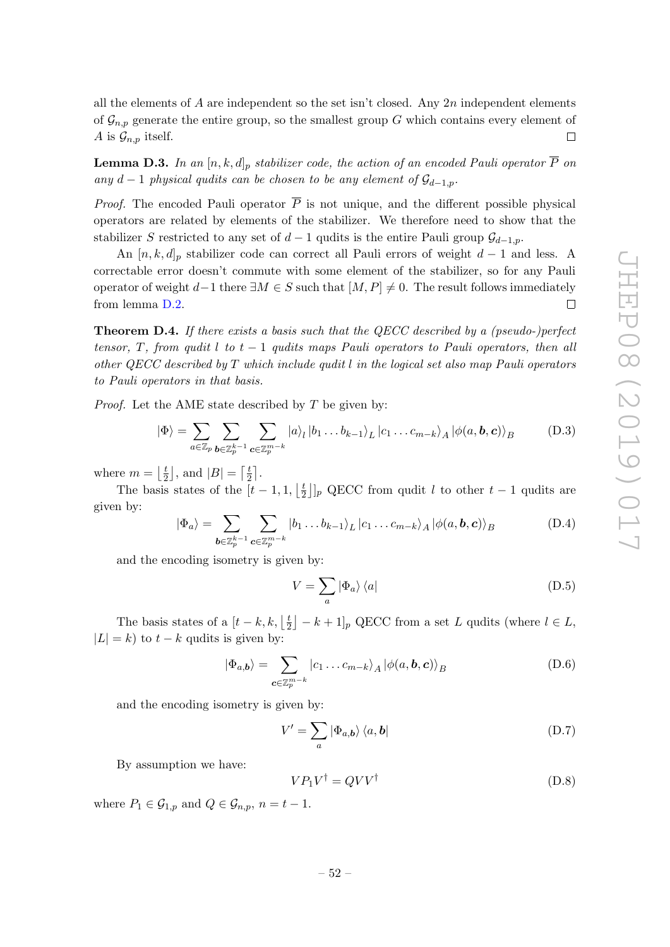all the elements of A are independent so the set isn't closed. Any  $2n$  independent elements of  $\mathcal{G}_{n,p}$  generate the entire group, so the smallest group G which contains every element of A is  $\mathcal{G}_{n,p}$  itself.  $\Box$ 

<span id="page-53-1"></span>**Lemma D.3.** In an  $[n, k, d]_p$  stabilizer code, the action of an encoded Pauli operator  $\overline{P}$  on any d − 1 physical qudits can be chosen to be any element of  $\mathcal{G}_{d-1,p}$ .

*Proof.* The encoded Pauli operator  $\overline{P}$  is not unique, and the different possible physical operators are related by elements of the stabilizer. We therefore need to show that the stabilizer S restricted to any set of  $d-1$  qudits is the entire Pauli group  $\mathcal{G}_{d-1,p}$ .

An  $[n, k, d]_p$  stabilizer code can correct all Pauli errors of weight  $d-1$  and less. A correctable error doesn't commute with some element of the stabilizer, so for any Pauli operator of weight  $d-1$  there  $\exists M \in S$  such that  $[M, P] \neq 0$ . The result follows immediately  $\Box$ from lemma [D.2.](#page-52-1)

<span id="page-53-0"></span>**Theorem D.4.** If there exists a basis such that the QECC described by a (pseudo-)perfect tensor, T, from qudit l to  $t-1$  qudits maps Pauli operators to Pauli operators, then all other QECC described by T which include qudit l in the logical set also map Pauli operators to Pauli operators in that basis.

*Proof.* Let the AME state described by  $T$  be given by:

$$
|\Phi\rangle = \sum_{a \in \mathbb{Z}_p} \sum_{\mathbf{b} \in \mathbb{Z}_p^{k-1}} \sum_{\mathbf{c} \in \mathbb{Z}_p^{m-k}} |a\rangle_l |b_1 \dots b_{k-1}\rangle_L |c_1 \dots c_{m-k}\rangle_A |\phi(a, \mathbf{b}, \mathbf{c})\rangle_B
$$
 (D.3)

where  $m = \frac{t}{2}$  $\left\lfloor \frac{t}{2} \right\rfloor$ , and  $|B| = \left\lceil \frac{t}{2} \right\rceil$  $\frac{t}{2}$ .

The basis states of the  $[t-1,1, \frac{t}{2}]$  $\frac{t}{2}$ ]<sub>*p*</sub> QECC from qudit *l* to other  $t-1$  qudits are given by:

$$
|\Phi_a\rangle = \sum_{\boldsymbol{b}\in\mathbb{Z}_p^{k-1}} \sum_{\boldsymbol{c}\in\mathbb{Z}_p^{m-k}} |b_1 \dots b_{k-1}\rangle_L |c_1 \dots c_{m-k}\rangle_A |\phi(a, \boldsymbol{b}, \boldsymbol{c})\rangle_B
$$
(D.4)

and the encoding isometry is given by:

$$
V = \sum_{a} |\Phi_{a}\rangle \langle a| \tag{D.5}
$$

The basis states of a  $[t-k, k, \frac{t}{2}]$  $\lfloor \frac{t}{2} \rfloor - k + 1 \rfloor_p$  QECC from a set L qudits (where  $l \in L$ ,  $|L| = k$ ) to  $t - k$  qudits is given by:

$$
|\Phi_{a,b}\rangle = \sum_{\mathbf{c}\in\mathbb{Z}_p^{m-k}} |c_1\ldots c_{m-k}\rangle_A |\phi(a,\mathbf{b},\mathbf{c})\rangle_B
$$
 (D.6)

and the encoding isometry is given by:

$$
V' = \sum_{a} |\Phi_{a,b}\rangle \langle a, b|
$$
 (D.7)

By assumption we have:

$$
VP_1V^{\dagger} = QVV^{\dagger} \tag{D.8}
$$

where  $P_1 \in \mathcal{G}_{1,p}$  and  $Q \in \mathcal{G}_{n,p}$ ,  $n = t - 1$ .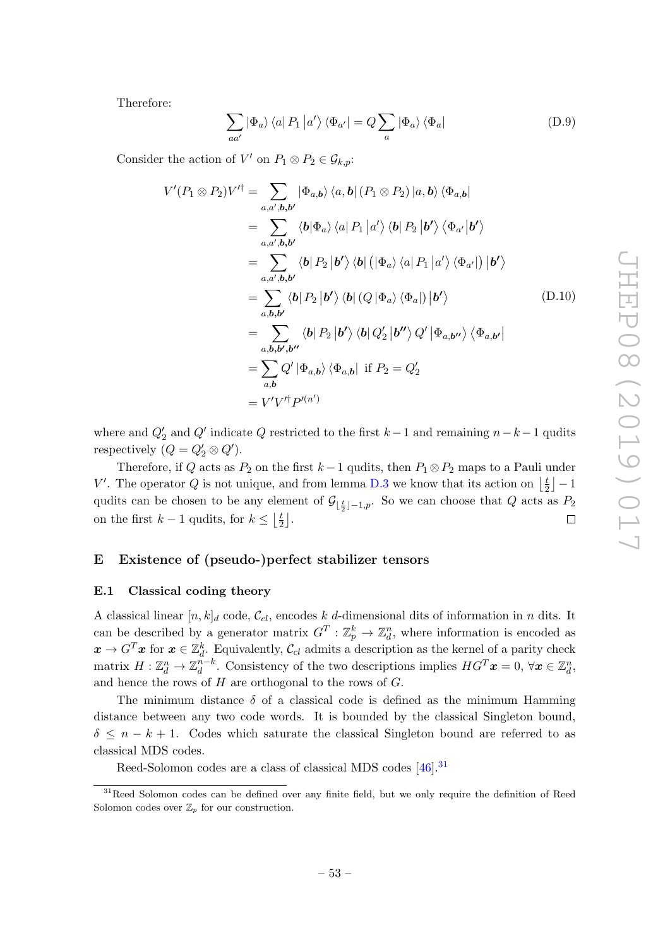Therefore:

$$
\sum_{aa'} |\Phi_a\rangle \langle a| P_1 |a'\rangle \langle \Phi_{a'}| = Q \sum_a |\Phi_a\rangle \langle \Phi_a|
$$
 (D.9)

Consider the action of  $V'$  on  $P_1 \otimes P_2 \in \mathcal{G}_{k,p}$ :

$$
V'(P_1 \otimes P_2)V'^{\dagger} = \sum_{a,a',b,b'} |\Phi_{a,b}\rangle \langle a,b| (P_1 \otimes P_2) |a,b\rangle \langle \Phi_{a,b}|
$$
  
\n
$$
= \sum_{a,a',b,b'} \langle b|\Phi_a\rangle \langle a| P_1 |a'\rangle \langle b| P_2 |b'\rangle \langle \Phi_{a'} |b'\rangle
$$
  
\n
$$
= \sum_{a,a',b,b'} \langle b| P_2 |b'\rangle \langle b| (|\Phi_a\rangle \langle a| P_1 |a'\rangle \langle \Phi_{a'}|) |b'\rangle
$$
  
\n
$$
= \sum_{a,b,b'} \langle b| P_2 |b'\rangle \langle b| (Q |\Phi_a\rangle \langle \Phi_a|) |b'\rangle
$$
  
\n
$$
= \sum_{a,b,b',b''} \langle b| P_2 |b'\rangle \langle b| Q_2' |b''\rangle Q' | \Phi_{a,b''}\rangle \langle \Phi_{a,b'}|
$$
  
\n
$$
= \sum_{a,b} Q' | \Phi_{a,b}\rangle \langle \Phi_{a,b} | \text{ if } P_2 = Q_2'
$$
  
\n
$$
= V'V'^{\dagger}P'^{(n')}
$$

where and  $Q'_{2}$  and  $Q'$  indicate  $Q$  restricted to the first  $k-1$  and remaining  $n-k-1$  qudits respectively  $(Q = Q'_2 \otimes Q')$ .

Therefore, if Q acts as  $P_2$  on the first  $k-1$  qudits, then  $P_1 \otimes P_2$  maps to a Pauli under V'. The operator Q is not unique, and from lemma [D.3](#page-53-1) we know that its action on  $\frac{1}{5}$  $\frac{t}{2}$  |  $-1$ qudits can be chosen to be any element of  $\mathcal{G}_{\lfloor \frac{t}{2} \rfloor - 1,p}$ . So we can choose that Q acts as  $P_2$ on the first  $k-1$  qudits, for  $k \leq \left\lfloor \frac{t}{2} \right\rfloor$  $\frac{t}{2}$ .  $\Box$ 

# <span id="page-54-0"></span>E Existence of (pseudo-)perfect stabilizer tensors

### <span id="page-54-1"></span>E.1 Classical coding theory

A classical linear  $[n, k]_d$  code,  $\mathcal{C}_{cl}$ , encodes k d-dimensional dits of information in n dits. It can be described by a generator matrix  $G^T: \mathbb{Z}_p^k \to \mathbb{Z}_d^n$ , where information is encoded as  $x \to G^T x$  for  $x \in \mathbb{Z}_d^k$ . Equivalently,  $\mathcal{C}_{cl}$  admits a description as the kernel of a parity check matrix  $H: \mathbb{Z}_d^n \to \mathbb{Z}_d^{n-k}$  $d^{n-k}$ . Consistency of the two descriptions implies  $HG^T \mathbf{x} = 0, \forall \mathbf{x} \in \mathbb{Z}_d^n$ , and hence the rows of  $H$  are orthogonal to the rows of  $G$ .

The minimum distance  $\delta$  of a classical code is defined as the minimum Hamming distance between any two code words. It is bounded by the classical Singleton bound,  $\delta \leq n - k + 1$ . Codes which saturate the classical Singleton bound are referred to as classical MDS codes.

Reed-Solomon codes are a class of classical MDS codes [\[46\]](#page-63-14).[31](#page-54-2)

<span id="page-54-2"></span><sup>&</sup>lt;sup>31</sup>Reed Solomon codes can be defined over any finite field, but we only require the definition of Reed Solomon codes over  $\mathbb{Z}_p$  for our construction.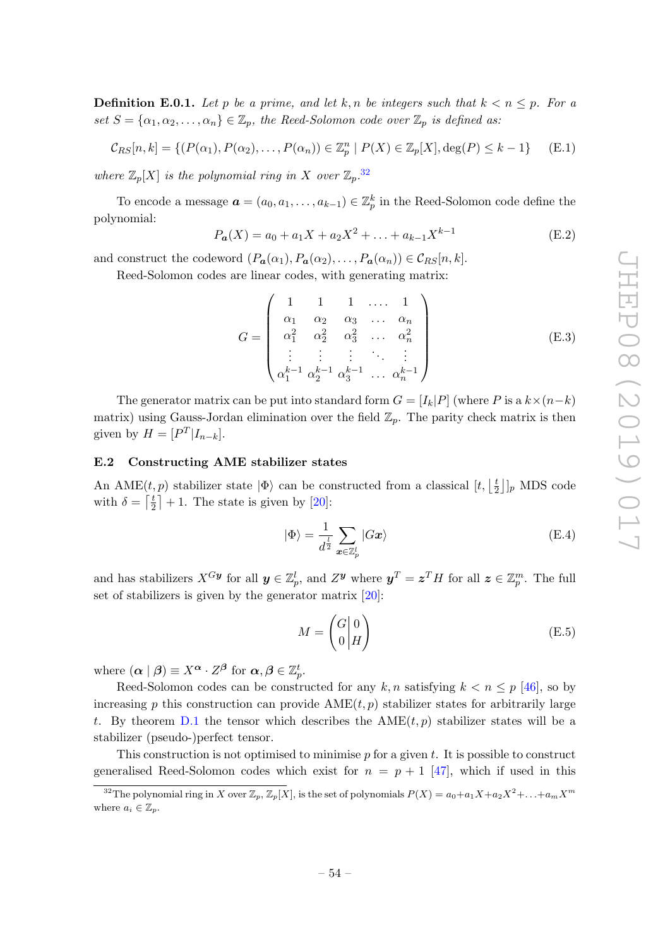**Definition E.0.1.** Let p be a prime, and let k, n be integers such that  $k < n \leq p$ . For a set  $S = {\alpha_1, \alpha_2, ..., \alpha_n} \in \mathbb{Z}_p$ , the Reed-Solomon code over  $\mathbb{Z}_p$  is defined as:

$$
\mathcal{C}_{RS}[n,k] = \{ (P(\alpha_1), P(\alpha_2), \dots, P(\alpha_n)) \in \mathbb{Z}_p^n \mid P(X) \in \mathbb{Z}_p[X], \deg(P) \le k - 1 \} \tag{E.1}
$$

where  $\mathbb{Z}_p[X]$  is the polynomial ring in X over  $\mathbb{Z}_p$ .<sup>[32](#page-55-1)</sup>

To encode a message  $\boldsymbol{a} = (a_0, a_1, \dots, a_{k-1}) \in \mathbb{Z}_p^k$  in the Reed-Solomon code define the polynomial:

$$
P_{a}(X) = a_0 + a_1 X + a_2 X^2 + \dots + a_{k-1} X^{k-1}
$$
 (E.2)

and construct the codeword  $(P_{a}(\alpha_1), P_{a}(\alpha_2), \ldots, P_{a}(\alpha_n)) \in \mathcal{C}_{RS}[n, k].$ 

Reed-Solomon codes are linear codes, with generating matrix:

$$
G = \begin{pmatrix} 1 & 1 & 1 & \dots & 1 \\ \alpha_1 & \alpha_2 & \alpha_3 & \dots & \alpha_n \\ \alpha_1^2 & \alpha_2^2 & \alpha_3^2 & \dots & \alpha_n^2 \\ \vdots & \vdots & \vdots & \ddots & \vdots \\ \alpha_1^{k-1} & \alpha_2^{k-1} & \alpha_3^{k-1} & \dots & \alpha_n^{k-1} \end{pmatrix}
$$
(E.3)

The generator matrix can be put into standard form  $G = [I_k|P]$  (where P is a  $k \times (n-k)$ ) matrix) using Gauss-Jordan elimination over the field  $\mathbb{Z}_p$ . The parity check matrix is then given by  $H = [P^T | I_{n-k}].$ 

### <span id="page-55-0"></span>E.2 Constructing AME stabilizer states

An AME $(t, p)$  stabilizer state  $|\Phi\rangle$  can be constructed from a classical  $[t, \frac{1}{2}]$  $\frac{t}{2}$ ]<sub>*p*</sub> MDS code with  $\delta = \lceil \frac{t}{2} \rceil$  $\frac{t}{2}$  | + 1. The state is given by [\[20\]](#page-62-9):

$$
|\Phi\rangle = \frac{1}{d^{\frac{1}{2}}} \sum_{\boldsymbol{x} \in \mathbb{Z}_p^l} |G\boldsymbol{x}\rangle
$$
 (E.4)

and has stabilizers  $X^{Gy}$  for all  $y \in \mathbb{Z}_p^l$ , and  $Z^y$  where  $y^T = z^T H$  for all  $z \in \mathbb{Z}_p^m$ . The full set of stabilizers is given by the generator matrix [\[20\]](#page-62-9):

$$
M = \begin{pmatrix} G \mid 0 \\ 0 \mid H \end{pmatrix} \tag{E.5}
$$

where  $(\boldsymbol{\alpha} \mid \boldsymbol{\beta}) \equiv X^{\boldsymbol{\alpha}} \cdot Z^{\boldsymbol{\beta}}$  for  $\boldsymbol{\alpha}, \boldsymbol{\beta} \in \mathbb{Z}_{p}^{t}$ .

Reed-Solomon codes can be constructed for any k, n satisfying  $k < n \leq p$  [\[46\]](#page-63-14), so by increasing p this construction can provide  $\text{AME}(t, p)$  stabilizer states for arbitrarily large t. By theorem [D.1](#page-51-2) the tensor which describes the  $\text{AME}(t, p)$  stabilizer states will be a stabilizer (pseudo-)perfect tensor.

This construction is not optimised to minimise  $p$  for a given  $t$ . It is possible to construct generalised Reed-Solomon codes which exist for  $n = p + 1$  [\[47\]](#page-63-15), which if used in this

<span id="page-55-1"></span><sup>&</sup>lt;sup>32</sup>The polynomial ring in X over  $\mathbb{Z}_p$ ,  $\mathbb{Z}_p[X]$ , is the set of polynomials  $P(X) = a_0 + a_1X + a_2X^2 + \ldots + a_mX^m$ where  $a_i \in \mathbb{Z}_n$ .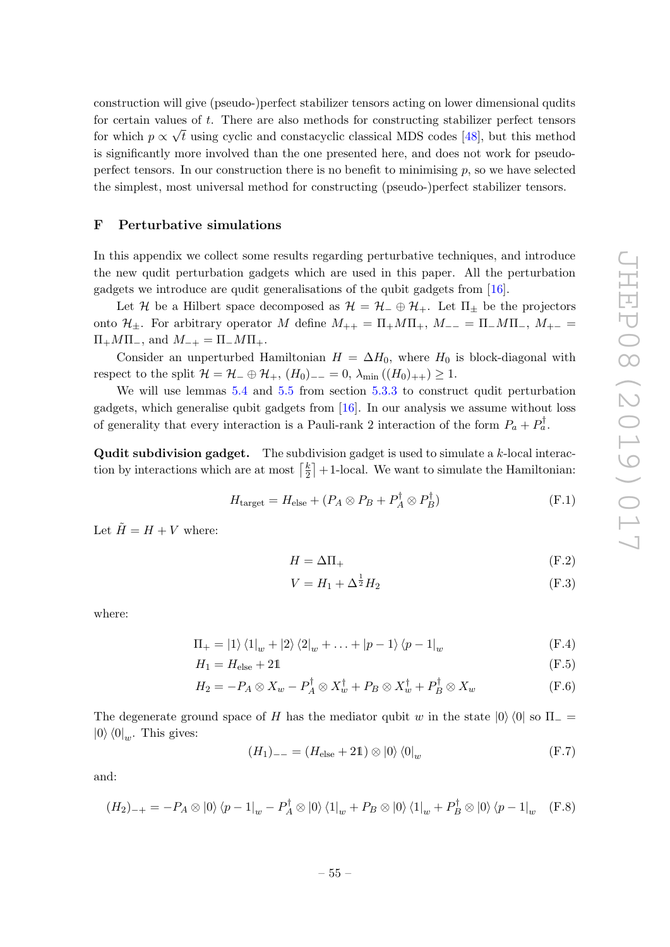construction will give (pseudo-)perfect stabilizer tensors acting on lower dimensional qudits for certain values of t. There are also methods for constructing stabilizer perfect tensors for which  $p \propto \sqrt{t}$  using cyclic and constacyclic classical MDS codes [\[48\]](#page-63-16), but this method is significantly more involved than the one presented here, and does not work for pseudoperfect tensors. In our construction there is no benefit to minimising  $p$ , so we have selected the simplest, most universal method for constructing (pseudo-)perfect stabilizer tensors.

### <span id="page-56-0"></span>F Perturbative simulations

In this appendix we collect some results regarding perturbative techniques, and introduce the new qudit perturbation gadgets which are used in this paper. All the perturbation gadgets we introduce are qudit generalisations of the qubit gadgets from [\[16\]](#page-62-4).

Let H be a Hilbert space decomposed as  $\mathcal{H} = \mathcal{H}_{-} \oplus \mathcal{H}_{+}$ . Let  $\Pi_{+}$  be the projectors onto  $\mathcal{H}_{\pm}$ . For arbitrary operator M define  $M_{++} = \Pi_+ M \Pi_+$ ,  $M_{--} = \Pi_- M \Pi_-$ ,  $M_{+-} =$  $\Pi_+M\Pi_-,$  and  $M_{-+} = \Pi_-M\Pi_+.$ 

Consider an unperturbed Hamiltonian  $H = \Delta H_0$ , where  $H_0$  is block-diagonal with respect to the split  $\mathcal{H} = \mathcal{H}_- \oplus \mathcal{H}_+$ ,  $(H_0)_{--} = 0$ ,  $\lambda_{\min} ((H_0)_{++}) \geq 1$ .

We will use lemmas [5.4](#page-23-1) and [5.5](#page-23-2) from section [5.3.3](#page-23-0) to construct qudit perturbation gadgets, which generalise qubit gadgets from [\[16\]](#page-62-4). In our analysis we assume without loss of generality that every interaction is a Pauli-rank 2 interaction of the form  $P_a + P_a^{\dagger}$ .

**Qudit subdivision gadget.** The subdivision gadget is used to simulate a  $k$ -local interaction by interactions which are at most  $\lceil \frac{k}{2} \rceil$  $\frac{k}{2}$  + 1-local. We want to simulate the Hamiltonian:

$$
H_{\text{target}} = H_{\text{else}} + (P_A \otimes P_B + P_A^{\dagger} \otimes P_B^{\dagger})
$$
(F.1)

Let  $\tilde{H} = H + V$  where:

$$
H = \Delta \Pi_+ \tag{F.2}
$$

$$
V = H_1 + \Delta^{\frac{1}{2}} H_2 \tag{F.3}
$$

where:

$$
\Pi_{+} = |1\rangle \langle 1|_{w} + |2\rangle \langle 2|_{w} + \ldots + |p-1\rangle \langle p-1|_{w}
$$
\n(F.4)

$$
H_1 = H_{\text{else}} + 21 \tag{F.5}
$$

$$
H_2 = -P_A \otimes X_w - P_A^{\dagger} \otimes X_w^{\dagger} + P_B \otimes X_w^{\dagger} + P_B^{\dagger} \otimes X_w \tag{F.6}
$$

The degenerate ground space of H has the mediator qubit w in the state  $|0\rangle\langle 0|$  so  $\Pi$  =  $|0\rangle\langle 0|_w$ . This gives:

$$
(H_1)_{--} = (H_{\text{else}} + 2\mathbb{1}) \otimes |0\rangle\langle 0|_w
$$
 (F.7)

and:

$$
(H_2)_{-+} = -P_A \otimes |0\rangle \langle p - 1|_w - P_A^{\dagger} \otimes |0\rangle \langle 1|_w + P_B \otimes |0\rangle \langle 1|_w + P_B^{\dagger} \otimes |0\rangle \langle p - 1|_w \quad (F.8)
$$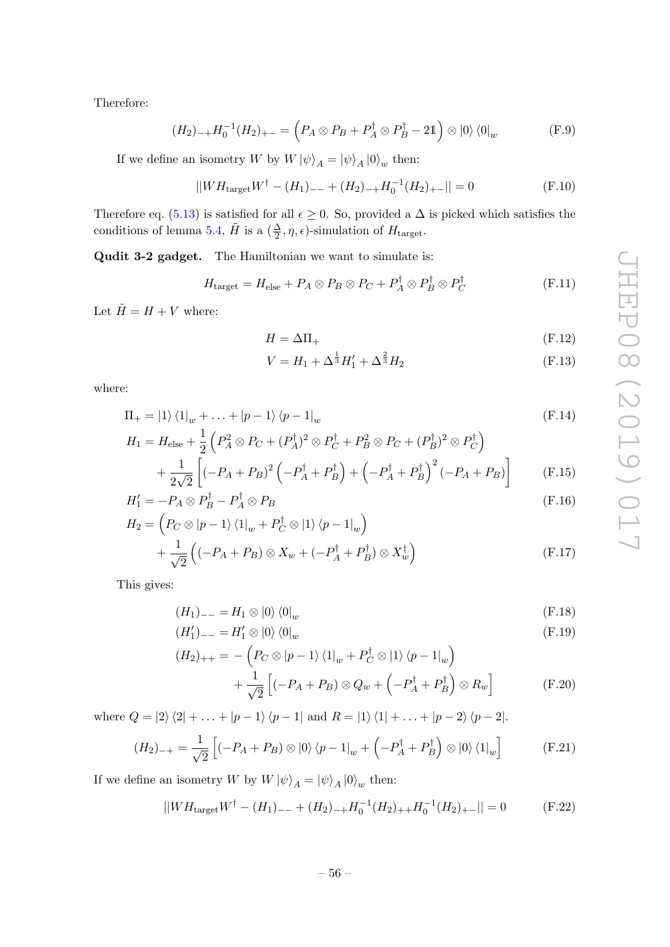Therefore:

$$
(H_2)_{-+}H_0^{-1}(H_2)_{+-} = \left(P_A \otimes P_B + P_A^{\dagger} \otimes P_B^{\dagger} - 2\mathbb{1}\right) \otimes |0\rangle \langle 0|_w \tag{F.9}
$$

If we define an isometry W by  $W |\psi\rangle_A = |\psi\rangle_A |0\rangle_w$  then:

$$
||WH_{\text{target}}W^{\dagger} - (H_1)_{--} + (H_2)_{-+}H_0^{-1}(H_2)_{+-}|| = 0
$$
 (F.10)

Therefore eq. [\(5.13\)](#page-23-4) is satisfied for all  $\epsilon \geq 0$ . So, provided a  $\Delta$  is picked which satisfies the conditions of lemma [5.4,](#page-23-1)  $\tilde{H}$  is a  $(\frac{\Delta}{2}, \eta, \epsilon)$ -simulation of  $H_{\text{target}}$ .

Qudit 3-2 gadget. The Hamiltonian we want to simulate is:

$$
H_{\text{target}} = H_{\text{else}} + P_A \otimes P_B \otimes P_C + P_A^{\dagger} \otimes P_B^{\dagger} \otimes P_C^{\dagger}
$$
 (F.11)

Let  $\tilde{H}=H+V$  where:

$$
H = \Delta \Pi_+ \tag{F.12}
$$

$$
V = H_1 + \Delta^{\frac{1}{3}} H_1' + \Delta^{\frac{2}{3}} H_2 \tag{F.13}
$$

where:

$$
\Pi_{+} = |1\rangle \langle 1|_{w} + \ldots + |p-1\rangle \langle p-1|_{w}
$$
\n
$$
H_{1} = H_{\text{else}} + \frac{1}{2} \left( P_{A}^{2} \otimes P_{C} + (P_{A}^{\dagger})^{2} \otimes P_{C}^{\dagger} + P_{B}^{2} \otimes P_{C} + (P_{B}^{\dagger})^{2} \otimes P_{C}^{\dagger} \right)
$$
\n
$$
+ \frac{1}{2\sqrt{2}} \left[ (-P_{A} + P_{B})^{2} \left( -P_{A}^{\dagger} + P_{B}^{\dagger} \right) + \left( -P_{A}^{\dagger} + P_{B}^{\dagger} \right)^{2} \left( -P_{A} + P_{B} \right) \right]
$$
\n(F.15)

$$
H_1' = -P_A \otimes P_B^{\dagger} - P_A^{\dagger} \otimes P_B \tag{F.16}
$$

$$
H_2 = \left(P_C \otimes |p-1\rangle\langle 1|_w + P_C^{\dagger} \otimes |1\rangle\langle p-1|_w\right) + \frac{1}{\sqrt{2}}\left((-P_A + P_B) \otimes X_w + (-P_A^{\dagger} + P_B^{\dagger}) \otimes X_w^{\dagger}\right)
$$
(F.17)

This gives:

$$
(H_1)_{--} = H_1 \otimes |0\rangle \langle 0|_w \tag{F.18}
$$

$$
(H_1')_{--} = H_1' \otimes |0\rangle\langle 0|_w \tag{F.19}
$$

$$
(H_2)_{++} = -\left(P_C \otimes |p-1\rangle \langle 1|_w + P_C^{\dagger} \otimes |1\rangle \langle p-1|_w\right) +\frac{1}{\sqrt{2}}\left[(-P_A + P_B) \otimes Q_w + \left(-P_A^{\dagger} + P_B^{\dagger}\right) \otimes R_w\right]
$$
(F.20)

where  $Q = |2\rangle\langle 2| + \ldots + |p-1\rangle\langle p-1|$  and  $R = |1\rangle\langle 1| + \ldots + |p-2\rangle\langle p-2|$ .

$$
(H_2)_{-+} = \frac{1}{\sqrt{2}} \left[ (-P_A + P_B) \otimes |0\rangle \langle p - 1|_w + \left( -P_A^{\dagger} + P_B^{\dagger} \right) \otimes |0\rangle \langle 1|_w \right] \tag{F.21}
$$

If we define an isometry W by  $W |\psi\rangle_A = |\psi\rangle_A |0\rangle_w$  then:

$$
||WH_{\text{target}}W^{\dagger} - (H_1)_{--} + (H_2)_{-+}H_0^{-1}(H_2)_{++}H_0^{-1}(H_2)_{+-}|| = 0
$$
 (F.22)

$$
-56-
$$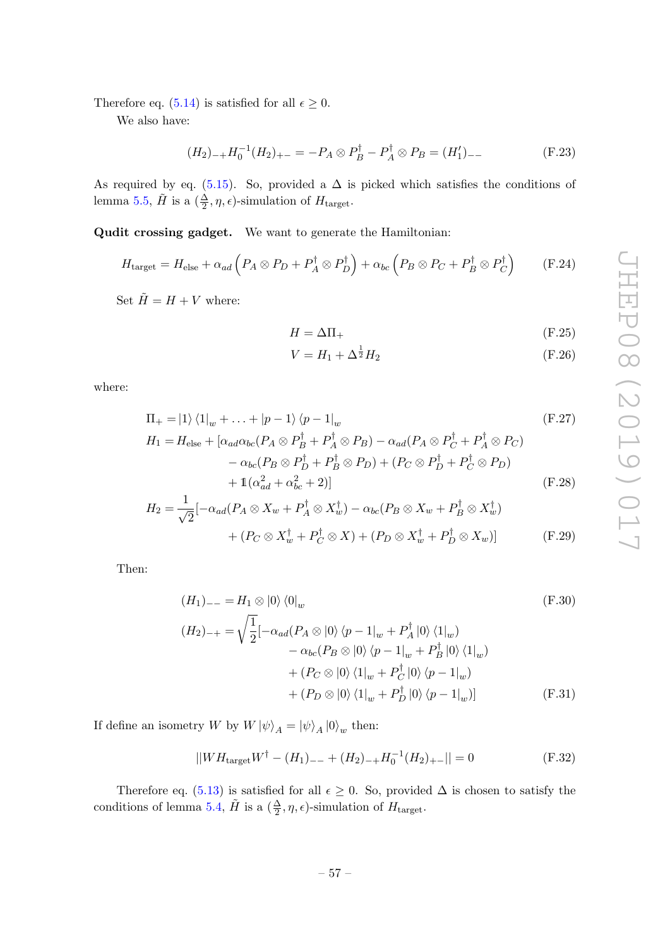Therefore eq. [\(5.14\)](#page-23-5) is satisfied for all  $\epsilon \geq 0$ .

We also have:

$$
(H_2)_{-+}H_0^{-1}(H_2)_{+-} = -P_A \otimes P_B^{\dagger} - P_A^{\dagger} \otimes P_B = (H_1')_{--}
$$
 (F.23)

As required by eq. [\(5.15\)](#page-23-6). So, provided a  $\Delta$  is picked which satisfies the conditions of lemma [5.5,](#page-23-2)  $\tilde{H}$  is a  $(\frac{\Delta}{2}, \eta, \epsilon)$ -simulation of  $H_{\text{target}}$ .

Qudit crossing gadget. We want to generate the Hamiltonian:

$$
H_{\text{target}} = H_{\text{else}} + \alpha_{ad} \left( P_A \otimes P_D + P_A^{\dagger} \otimes P_D^{\dagger} \right) + \alpha_{bc} \left( P_B \otimes P_C + P_B^{\dagger} \otimes P_C^{\dagger} \right) \tag{F.24}
$$

Set  $\tilde{H} = H + V$  where:

$$
H = \Delta \Pi_+ \tag{F.25}
$$

$$
V = H_1 + \Delta^{\frac{1}{2}} H_2 \tag{F.26}
$$

where:

$$
\Pi_{+} = |1\rangle \langle 1|_{w} + \ldots + |p-1\rangle \langle p-1|_{w} \qquad (F.27)
$$
\n
$$
H_{1} = H_{\text{else}} + [\alpha_{ad}\alpha_{bc}(P_{A} \otimes P_{B}^{\dagger} + P_{A}^{\dagger} \otimes P_{B}) - \alpha_{ad}(P_{A} \otimes P_{C}^{\dagger} + P_{A}^{\dagger} \otimes P_{C})
$$
\n
$$
- \alpha_{bc}(P_{B} \otimes P_{D}^{\dagger} + P_{B}^{\dagger} \otimes P_{D}) + (P_{C} \otimes P_{D}^{\dagger} + P_{C}^{\dagger} \otimes P_{D})
$$
\n
$$
+ 1(\alpha_{ad}^{2} + \alpha_{bc}^{2} + 2)] \qquad (F.28)
$$

$$
H_2 = \frac{1}{\sqrt{2}} \left[ -\alpha_{ad} (P_A \otimes X_w + P_A^{\dagger} \otimes X_w^{\dagger}) - \alpha_{bc} (P_B \otimes X_w + P_B^{\dagger} \otimes X_w^{\dagger}) \right]
$$
  
+ 
$$
(P_C \otimes X_w^{\dagger} + P_C^{\dagger} \otimes X) + (P_D \otimes X_w^{\dagger} + P_D^{\dagger} \otimes X_w) \right]
$$
(F.29)

Then:

$$
(H_1)_{--} = H_1 \otimes |0\rangle\langle 0|_w
$$
\n
$$
(H_2)_{-+} = \sqrt{\frac{1}{2}} [-\alpha_{ad}(P_A \otimes |0\rangle\langle p - 1|_w + P_A^{\dagger} |0\rangle\langle 1|_w)
$$
\n
$$
-\alpha_{bc}(P_B \otimes |0\rangle\langle p - 1|_w + P_B^{\dagger} |0\rangle\langle 1|_w)
$$
\n
$$
+ (P_C \otimes |0\rangle\langle 1|_w + P_C^{\dagger} |0\rangle\langle p - 1|_w)
$$
\n
$$
+ (P_D \otimes |0\rangle\langle 1|_w + P_D^{\dagger} |0\rangle\langle p - 1|_w)]
$$
\n(F.31)

If define an isometry W by  $W |\psi\rangle_A = |\psi\rangle_A |0\rangle_w$  then:

$$
||WH_{\text{target}}W^{\dagger} - (H_1)_{--} + (H_2)_{-+}H_0^{-1}(H_2)_{+-}|| = 0
$$
 (F.32)

Therefore eq. [\(5.13\)](#page-23-4) is satisfied for all  $\epsilon \geq 0$ . So, provided  $\Delta$  is chosen to satisfy the conditions of lemma [5.4,](#page-23-1)  $\tilde{H}$  is a  $(\frac{\Delta}{2}, \eta, \epsilon)$ -simulation of  $H_{\text{target}}$ .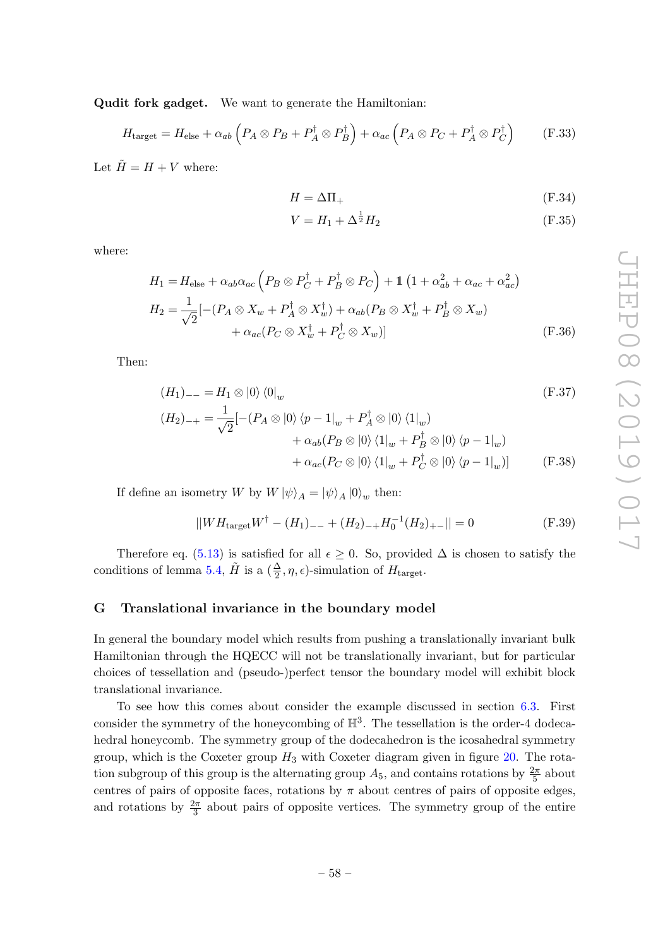Qudit fork gadget. We want to generate the Hamiltonian:

$$
H_{\text{target}} = H_{\text{else}} + \alpha_{ab} \left( P_A \otimes P_B + P_A^{\dagger} \otimes P_B^{\dagger} \right) + \alpha_{ac} \left( P_A \otimes P_C + P_A^{\dagger} \otimes P_C^{\dagger} \right) \tag{F.33}
$$

Let  $\tilde{H} = H + V$  where:

$$
H = \Delta \Pi_+ \tag{F.34}
$$

$$
V = H_1 + \Delta^{\frac{1}{2}} H_2 \tag{F.35}
$$

where:

$$
H_1 = H_{\text{else}} + \alpha_{ab}\alpha_{ac} \left( P_B \otimes P_C^{\dagger} + P_B^{\dagger} \otimes P_C \right) + \mathbb{1} \left( 1 + \alpha_{ab}^2 + \alpha_{ac} + \alpha_{ac}^2 \right)
$$
  
\n
$$
H_2 = \frac{1}{\sqrt{2}} [-(P_A \otimes X_w + P_A^{\dagger} \otimes X_w^{\dagger}) + \alpha_{ab} (P_B \otimes X_w^{\dagger} + P_B^{\dagger} \otimes X_w)
$$
  
\n
$$
+ \alpha_{ac} (P_C \otimes X_w^{\dagger} + P_C^{\dagger} \otimes X_w)]
$$
 (F.36)

Then:

$$
(H_1)_{--} = H_1 \otimes |0\rangle\langle 0|_w
$$
  
\n
$$
(H_2)_{-+} = \frac{1}{\sqrt{2}}[-(P_A \otimes |0\rangle\langle p-1|_w + P_A^{\dagger} \otimes |0\rangle\langle 1|_w)
$$
  
\n
$$
+ \alpha_{ab}(P_B \otimes |0\rangle\langle 1|_w + P_B^{\dagger} \otimes |0\rangle\langle p-1|_w)
$$
  
\n
$$
+ \alpha_{ac}(P_C \otimes |0\rangle\langle 1|_w + P_C^{\dagger} \otimes |0\rangle\langle p-1|_w)]
$$
 (F.38)

If define an isometry W by  $W |\psi\rangle_A = |\psi\rangle_A |0\rangle_w$  then:

$$
||WH_{\text{target}}W^{\dagger} - (H_1)_{--} + (H_2)_{-+}H_0^{-1}(H_2)_{+-}|| = 0
$$
 (F.39)

Therefore eq. [\(5.13\)](#page-23-4) is satisfied for all  $\epsilon \geq 0$ . So, provided  $\Delta$  is chosen to satisfy the conditions of lemma [5.4,](#page-23-1)  $\tilde{H}$  is a  $(\frac{\Delta}{2}, \eta, \epsilon)$ -simulation of  $H_{\text{target}}$ .

### <span id="page-59-0"></span>G Translational invariance in the boundary model

In general the boundary model which results from pushing a translationally invariant bulk Hamiltonian through the HQECC will not be translationally invariant, but for particular choices of tessellation and (pseudo-)perfect tensor the boundary model will exhibit block translational invariance.

To see how this comes about consider the example discussed in section [6.3.](#page-45-0) First consider the symmetry of the honeycombing of  $\mathbb{H}^3$ . The tessellation is the order-4 dodecahedral honeycomb. The symmetry group of the dodecahedron is the icosahedral symmetry group, which is the Coxeter group  $H_3$  with Coxeter diagram given in figure [20.](#page-60-0) The rotation subgroup of this group is the alternating group  $A_5$ , and contains rotations by  $\frac{2\pi}{5}$  about centres of pairs of opposite faces, rotations by  $\pi$  about centres of pairs of opposite edges, and rotations by  $\frac{2\pi}{3}$  about pairs of opposite vertices. The symmetry group of the entire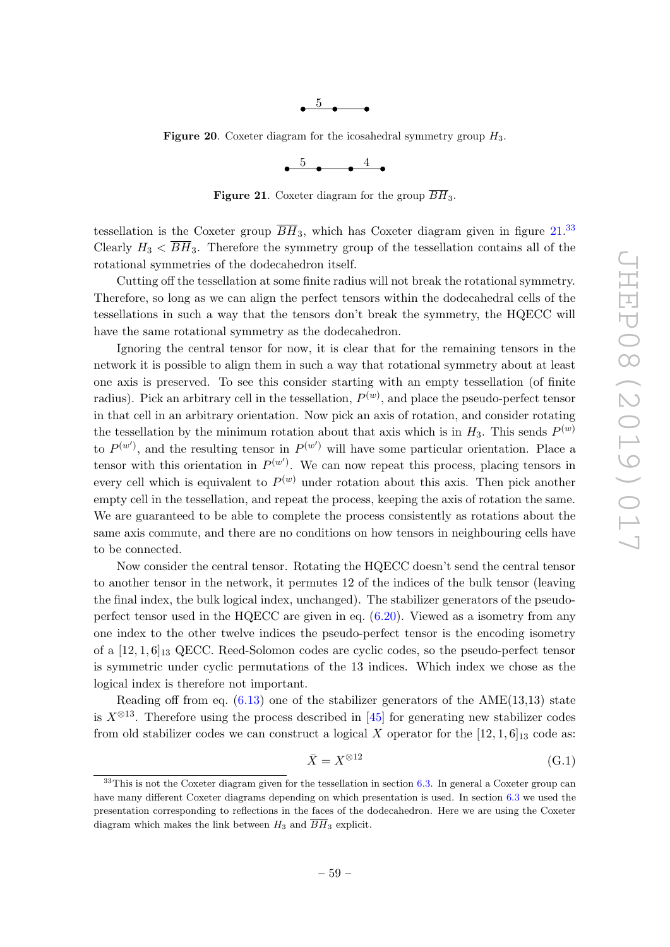

**Figure 20.** Coxeter diagram for the icosahedral symmetry group  $H_3$ .

<span id="page-60-1"></span><span id="page-60-0"></span>

**Figure 21.** Coxeter diagram for the group  $\overline{BH}_3$ .

tessellation is the Coxeter group  $\overline{BH}_3$ , which has Coxeter diagram given in figure  $21^{33}$  $21^{33}$  $21^{33}$ Clearly  $H_3 < \overline{BH}_3$ . Therefore the symmetry group of the tessellation contains all of the rotational symmetries of the dodecahedron itself.

Cutting off the tessellation at some finite radius will not break the rotational symmetry. Therefore, so long as we can align the perfect tensors within the dodecahedral cells of the tessellations in such a way that the tensors don't break the symmetry, the HQECC will have the same rotational symmetry as the dodecahedron.

Ignoring the central tensor for now, it is clear that for the remaining tensors in the network it is possible to align them in such a way that rotational symmetry about at least one axis is preserved. To see this consider starting with an empty tessellation (of finite radius). Pick an arbitrary cell in the tessellation,  $P^{(w)}$ , and place the pseudo-perfect tensor in that cell in an arbitrary orientation. Now pick an axis of rotation, and consider rotating the tessellation by the minimum rotation about that axis which is in  $H_3$ . This sends  $P^{(w)}$ to  $P^{(w')}$ , and the resulting tensor in  $P^{(w')}$  will have some particular orientation. Place a tensor with this orientation in  $P^{(w')}$ . We can now repeat this process, placing tensors in every cell which is equivalent to  $P^{(w)}$  under rotation about this axis. Then pick another empty cell in the tessellation, and repeat the process, keeping the axis of rotation the same. We are guaranteed to be able to complete the process consistently as rotations about the same axis commute, and there are no conditions on how tensors in neighbouring cells have to be connected.

Now consider the central tensor. Rotating the HQECC doesn't send the central tensor to another tensor in the network, it permutes 12 of the indices of the bulk tensor (leaving the final index, the bulk logical index, unchanged). The stabilizer generators of the pseudoperfect tensor used in the HQECC are given in eq. [\(6.20\)](#page-46-1). Viewed as a isometry from any one index to the other twelve indices the pseudo-perfect tensor is the encoding isometry of a  $[12, 1, 6]_{13}$  QECC. Reed-Solomon codes are cyclic codes, so the pseudo-perfect tensor is symmetric under cyclic permutations of the 13 indices. Which index we chose as the logical index is therefore not important.

Reading off from eq.  $(6.13)$  one of the stabilizer generators of the AME $(13.13)$  state is  $X^{\otimes 13}$ . Therefore using the process described in [\[45\]](#page-63-13) for generating new stabilizer codes from old stabilizer codes we can construct a logical X operator for the  $[12, 1, 6]_{13}$  code as:

$$
\bar{X} = X^{\otimes 12} \tag{G.1}
$$

<span id="page-60-2"></span> $33$ This is not the Coxeter diagram given for the tessellation in section [6.3.](#page-45-0) In general a Coxeter group can have many different Coxeter diagrams depending on which presentation is used. In section [6.3](#page-45-0) we used the presentation corresponding to reflections in the faces of the dodecahedron. Here we are using the Coxeter diagram which makes the link between  $H_3$  and  $\overline{BH}_3$  explicit.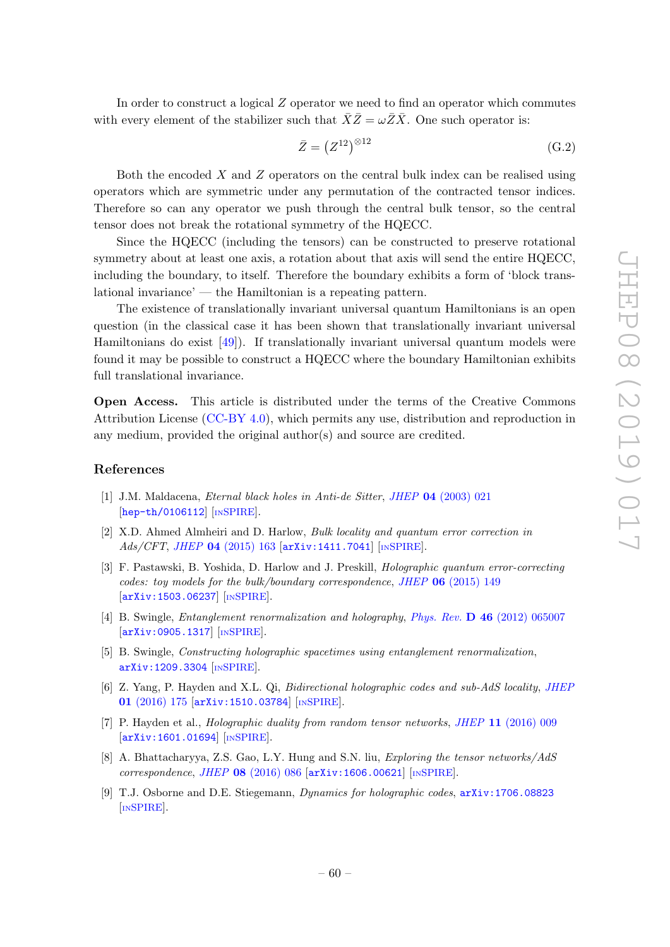In order to construct a logical Z operator we need to find an operator which commutes with every element of the stabilizer such that  $\bar{X}\bar{Z} = \omega \bar{Z}\bar{X}$ . One such operator is:

$$
\bar{Z} = \left(Z^{12}\right)^{\otimes 12} \tag{G.2}
$$

Both the encoded  $X$  and  $Z$  operators on the central bulk index can be realised using operators which are symmetric under any permutation of the contracted tensor indices. Therefore so can any operator we push through the central bulk tensor, so the central tensor does not break the rotational symmetry of the HQECC.

Since the HQECC (including the tensors) can be constructed to preserve rotational symmetry about at least one axis, a rotation about that axis will send the entire HQECC, including the boundary, to itself. Therefore the boundary exhibits a form of 'block translational invariance' — the Hamiltonian is a repeating pattern.

The existence of translationally invariant universal quantum Hamiltonians is an open question (in the classical case it has been shown that translationally invariant universal Hamiltonians do exist [\[49\]](#page-63-17)). If translationally invariant universal quantum models were found it may be possible to construct a HQECC where the boundary Hamiltonian exhibits full translational invariance.

Open Access. This article is distributed under the terms of the Creative Commons Attribution License [\(CC-BY 4.0\)](https://creativecommons.org/licenses/by/4.0/), which permits any use, distribution and reproduction in any medium, provided the original author(s) and source are credited.

### References

- <span id="page-61-0"></span>[1] J.M. Maldacena, Eternal black holes in Anti-de Sitter, JHEP 04 [\(2003\) 021](https://doi.org/10.1088/1126-6708/2003/04/021) [[hep-th/0106112](https://arxiv.org/abs/hep-th/0106112)] [IN[SPIRE](https://inspirehep.net/search?p=find+EPRINT+hep-th/0106112)].
- <span id="page-61-1"></span>[2] X.D. Ahmed Almheiri and D. Harlow, Bulk locality and quantum error correction in Ads/CFT, JHEP 04 [\(2015\) 163](https://doi.org/10.1007/JHEP04(2015)163) [[arXiv:1411.7041](https://arxiv.org/abs/1411.7041)] [IN[SPIRE](https://inspirehep.net/search?p=find+EPRINT+arXiv:1411.7041)].
- <span id="page-61-2"></span>[3] F. Pastawski, B. Yoshida, D. Harlow and J. Preskill, Holographic quantum error-correcting codes: toy models for the bulk/boundary correspondence, JHEP 06 [\(2015\) 149](https://doi.org/10.1007/JHEP06(2015)149) [[arXiv:1503.06237](https://arxiv.org/abs/1503.06237)] [IN[SPIRE](https://inspirehep.net/search?p=find+EPRINT+arXiv:1503.06237)].
- [4] B. Swingle, Entanglement renormalization and holography, Phys. Rev. D 46 [\(2012\) 065007](https://doi.org/10.1103/PhysRevD.86.065007) [[arXiv:0905.1317](https://arxiv.org/abs/0905.1317)] [IN[SPIRE](https://inspirehep.net/search?p=find+EPRINT+arXiv:0905.1317)].
- [5] B. Swingle, Constructing holographic spacetimes using entanglement renormalization, [arXiv:1209.3304](https://arxiv.org/abs/1209.3304) [IN[SPIRE](https://inspirehep.net/search?p=find+EPRINT+arXiv:1209.3304)].
- <span id="page-61-4"></span>[6] Z. Yang, P. Hayden and X.L. Qi, Bidirectional holographic codes and sub-AdS locality, [JHEP](https://doi.org/10.1007/JHEP01(2016)175) 01 [\(2016\) 175](https://doi.org/10.1007/JHEP01(2016)175) [[arXiv:1510.03784](https://arxiv.org/abs/1510.03784)] [IN[SPIRE](https://inspirehep.net/search?p=find+EPRINT+arXiv:1510.03784)].
- <span id="page-61-6"></span>[7] P. Hayden et al., Holographic duality from random tensor networks, JHEP 11 [\(2016\) 009](https://doi.org/10.1007/JHEP11(2016)009) [[arXiv:1601.01694](https://arxiv.org/abs/1601.01694)] [IN[SPIRE](https://inspirehep.net/search?p=find+EPRINT+arXiv:1601.01694)].
- <span id="page-61-5"></span>[8] A. Bhattacharyya, Z.S. Gao, L.Y. Hung and S.N. liu, Exploring the tensor networks/AdS correspondence, JHEP 08 [\(2016\) 086](https://doi.org/10.1007/JHEP08(2016)086) [[arXiv:1606.00621](https://arxiv.org/abs/1606.00621)] [IN[SPIRE](https://inspirehep.net/search?p=find+EPRINT+arXiv:1606.00621)].
- <span id="page-61-3"></span>[9] T.J. Osborne and D.E. Stiegemann, *Dynamics for holographic codes*,  $arXiv:1706.08823$ [IN[SPIRE](https://inspirehep.net/search?p=find+EPRINT+arXiv:1706.08823)].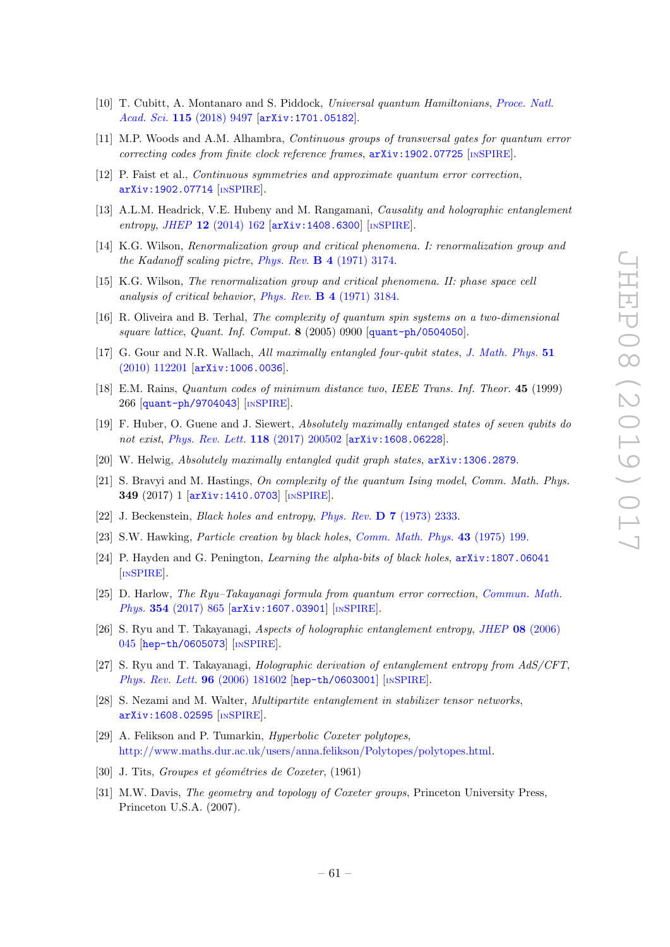- <span id="page-62-0"></span>[10] T. Cubitt, A. Montanaro and S. Piddock, Universal quantum Hamiltonians, [Proce. Natl.](https://doi.org/10.1073/pnas.1804949115) Acad. Sci. 115 [\(2018\) 9497](https://doi.org/10.1073/pnas.1804949115) [[arXiv:1701.05182](https://arxiv.org/abs/1701.05182)].
- <span id="page-62-1"></span>[11] M.P. Woods and A.M. Alhambra, Continuous groups of transversal gates for quantum error correcting codes from finite clock reference frames,  $arXiv:1902.07725$  [IN[SPIRE](https://inspirehep.net/search?p=find+EPRINT+arXiv:1902.07725)].
- <span id="page-62-2"></span>[12] P. Faist et al., Continuous symmetries and approximate quantum error correction, [arXiv:1902.07714](https://arxiv.org/abs/1902.07714) [IN[SPIRE](https://inspirehep.net/search?p=find+EPRINT+arXiv:1902.07714)].
- <span id="page-62-3"></span>[13] A.L.M. Headrick, V.E. Hubeny and M. Rangamani, Causality and holographic entanglement entropy, JHEP 12 [\(2014\) 162](https://doi.org/10.1007/JHEP12(2014)162) [[arXiv:1408.6300](https://arxiv.org/abs/1408.6300)] [IN[SPIRE](https://inspirehep.net/search?p=find+EPRINT+arXiv:1408.6300)].
- <span id="page-62-5"></span>[14] K.G. Wilson, Renormalization group and critical phenomena. I: renormalization group and the Kadanoff scaling pictre, Phys. Rev. B 4 [\(1971\) 3174.](https://doi.org/10.1103/PhysRevB.4.3174)
- <span id="page-62-6"></span>[15] K.G. Wilson, The renormalization group and critical phenomena. II: phase space cell analysis of critical behavior, Phys. Rev. B 4 [\(1971\) 3184.](https://doi.org/10.1103/PhysRevB.4.3184)
- <span id="page-62-4"></span>[16] R. Oliveira and B. Terhal, The complexity of quantum spin systems on a two-dimensional square lattice, Quant. Inf. Comput. 8 (2005) 0900 [[quant-ph/0504050](https://arxiv.org/abs/quant-ph/0504050)].
- <span id="page-62-7"></span>[17] G. Gour and N.R. Wallach, All maximally entangled four-qubit states, [J. Math. Phys.](https://doi.org/10.1063/1.3511477) 51 [\(2010\) 112201](https://doi.org/10.1063/1.3511477) [[arXiv:1006.0036](https://arxiv.org/abs/1006.0036)].
- [18] E.M. Rains, Quantum codes of minimum distance two, IEEE Trans. Inf. Theor. 45 (1999) 266 [[quant-ph/9704043](https://arxiv.org/abs/quant-ph/9704043)] [IN[SPIRE](https://inspirehep.net/search?p=find+EPRINT+quant-ph/9704043)].
- <span id="page-62-8"></span>[19] F. Huber, O. Guene and J. Siewert, Absolutely maximally entanged states of seven qubits do not exist, [Phys. Rev. Lett.](https://doi.org/10.1103/PhysRevLett.118.200502) 118 (2017) 200502 [[arXiv:1608.06228](https://arxiv.org/abs/1608.06228)].
- <span id="page-62-9"></span>[20] W. Helwig, Absolutely maximally entangled qudit graph states, [arXiv:1306.2879](https://arxiv.org/abs/1306.2879).
- <span id="page-62-10"></span>[21] S. Bravyi and M. Hastings, On complexity of the quantum Ising model, Comm. Math. Phys. 349 (2017) 1 [[arXiv:1410.0703](https://arxiv.org/abs/1410.0703)] [IN[SPIRE](https://inspirehep.net/search?p=find+EPRINT+arXiv:1410.0703)].
- <span id="page-62-11"></span>[22] J. Beckenstein, Black holes and entropy, Phys. Rev. D 7 [\(1973\) 2333.](https://doi.org/10.1103/PhysRevD.7.2333)
- <span id="page-62-12"></span>[23] S.W. Hawking, Particle creation by black holes, [Comm. Math. Phys.](https://doi.org/10.1007/BF02345020) 43 (1975) 199.
- <span id="page-62-13"></span>[24] P. Hayden and G. Penington, Learning the alpha-bits of black holes,  $arXiv:1807.06041$ [IN[SPIRE](https://inspirehep.net/search?p=find+EPRINT+arXiv:1807.06041)].
- <span id="page-62-14"></span>[25] D. Harlow, The Ryu–Takayanagi formula from quantum error correction, [Commun. Math.](https://doi.org/10.1007/s00220-017-2904-z) Phys. 354 [\(2017\) 865](https://doi.org/10.1007/s00220-017-2904-z) [[arXiv:1607.03901](https://arxiv.org/abs/1607.03901)] [IN[SPIRE](https://inspirehep.net/search?p=find+EPRINT+arXiv:1607.03901)].
- <span id="page-62-15"></span>[26] S. Ryu and T. Takayanagi, Aspects of holographic entanglement entropy, JHEP 08 [\(2006\)](https://doi.org/10.1088/1126-6708/2006/08/045) [045](https://doi.org/10.1088/1126-6708/2006/08/045) [[hep-th/0605073](https://arxiv.org/abs/hep-th/0605073)] [IN[SPIRE](https://inspirehep.net/search?p=find+EPRINT+hep-th/0605073)].
- <span id="page-62-16"></span>[27] S. Ryu and T. Takayanagi, Holographic derivation of entanglement entropy from AdS/CFT, [Phys. Rev. Lett.](https://doi.org/10.1103/PhysRevLett.96.181602) 96 (2006) 181602 [[hep-th/0603001](https://arxiv.org/abs/hep-th/0603001)] [IN[SPIRE](https://inspirehep.net/search?p=find+EPRINT+hep-th/0603001)].
- <span id="page-62-17"></span>[28] S. Nezami and M. Walter, Multipartite entanglement in stabilizer tensor networks, [arXiv:1608.02595](https://arxiv.org/abs/1608.02595) [IN[SPIRE](https://inspirehep.net/search?p=find+EPRINT+arXiv:1608.02595)].
- <span id="page-62-20"></span>[29] A. Felikson and P. Tumarkin, Hyperbolic Coxeter polytopes, [http://www.maths.dur.ac.uk/users/anna.felikson/Polytopes/polytopes.html.](http://www.maths.dur.ac.uk/users/anna.felikson/Polytopes/polytopes.html)
- <span id="page-62-18"></span>[30] J. Tits, Groupes et géométries de Coxeter, (1961)
- <span id="page-62-19"></span>[31] M.W. Davis, The geometry and topology of Coxeter groups, Princeton University Press, Princeton U.S.A. (2007).